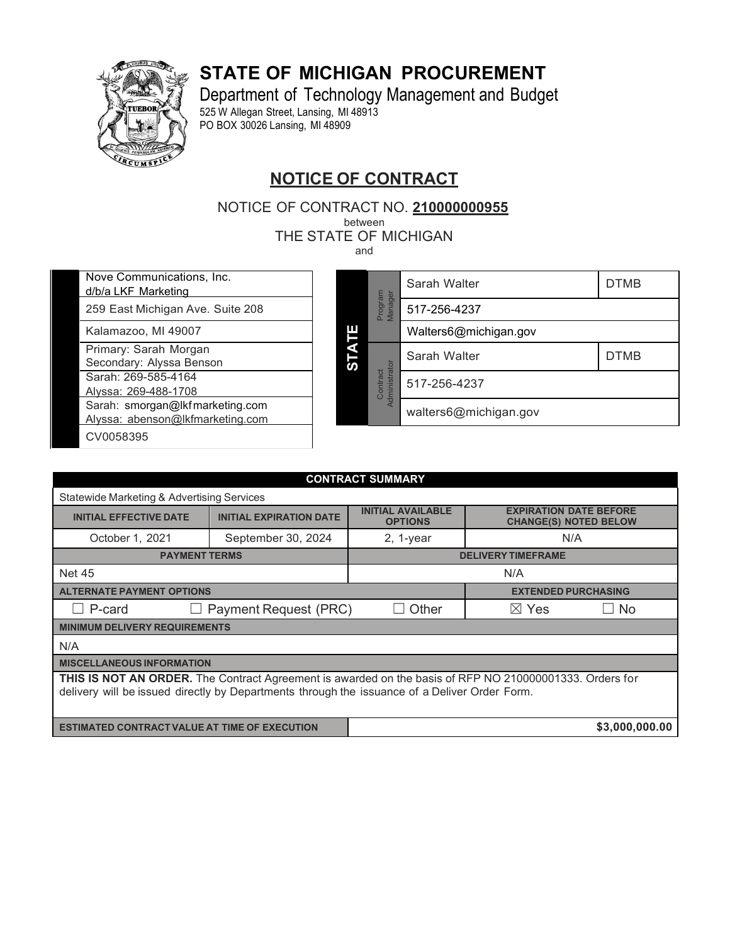### **STATE OF MICHIGAN PROCUREMENT**



Department of Technology Management and Budget 525 W Allegan Street, Lansing, MI 48913 PO BOX 30026 Lansing, MI 48909

### **NOTICE OF CONTRACT**

NOTICE OF CONTRACT NO. **210000000955**

between

THE STATE OF MICHIGAN

and

Nove Communications, Inc. d/b/a LKF Marketing

259 East Michigan Ave. Suite 208

Kalamazoo, MI 49007

Primary: Sarah Morgan

Secondary: Alyssa Benson

Sarah: 269-585-4164 Alyssa: 269-488-1708

Sarah: [smorgan@lkfmarketing.com](mailto:smorgan@lkfmarketing.com)

Alyssa: [abenson@lkfmarketing.com](mailto:abenson@lkfmarketing.com)

CV0058395

<span id="page-0-2"></span><span id="page-0-1"></span><span id="page-0-0"></span>

| ัด | Program<br>Manager        | Sarah Walter          | <b>DTMB</b> |  |  |  |
|----|---------------------------|-----------------------|-------------|--|--|--|
|    |                           | 517-256-4237          |             |  |  |  |
|    |                           | Walters6@michigan.gov |             |  |  |  |
|    | Administrator<br>Contract | Sarah Walter          | <b>DTMB</b> |  |  |  |
|    |                           | 517-256-4237          |             |  |  |  |
|    |                           | walters6@michigan.gov |             |  |  |  |

| <b>CONTRACT SUMMARY</b>                                                                                                                                                                                  |                       |                           |                            |           |  |  |  |  |
|----------------------------------------------------------------------------------------------------------------------------------------------------------------------------------------------------------|-----------------------|---------------------------|----------------------------|-----------|--|--|--|--|
| Statewide Marketing & Advertising Services                                                                                                                                                               |                       |                           |                            |           |  |  |  |  |
| <b>INITIAL AVAILABLE</b><br><b>EXPIRATION DATE BEFORE</b><br><b>INITIAL EXPIRATION DATE</b><br><b>INITIAL EFFECTIVE DATE</b><br><b>CHANGE(S) NOTED BELOW</b><br><b>OPTIONS</b>                           |                       |                           |                            |           |  |  |  |  |
| October 1, 2021                                                                                                                                                                                          | September 30, 2024    | $2, 1$ -year              | N/A                        |           |  |  |  |  |
| <b>PAYMENT TERMS</b>                                                                                                                                                                                     |                       | <b>DELIVERY TIMEFRAME</b> |                            |           |  |  |  |  |
| <b>Net 45</b>                                                                                                                                                                                            | N/A                   |                           |                            |           |  |  |  |  |
| <b>ALTERNATE PAYMENT OPTIONS</b>                                                                                                                                                                         |                       |                           | <b>EXTENDED PURCHASING</b> |           |  |  |  |  |
| $\Box$ P-card                                                                                                                                                                                            | Payment Request (PRC) | Other<br><b>College</b>   | $\boxtimes$ Yes            | $\Box$ No |  |  |  |  |
| <b>MINIMUM DELIVERY REQUIREMENTS</b>                                                                                                                                                                     |                       |                           |                            |           |  |  |  |  |
| N/A                                                                                                                                                                                                      |                       |                           |                            |           |  |  |  |  |
|                                                                                                                                                                                                          |                       |                           |                            |           |  |  |  |  |
| THIS IS NOT AN ORDER. The Contract Agreement is awarded on the basis of RFP NO 210000001333. Orders for<br>delivery will be issued directly by Departments through the issuance of a Deliver Order Form. |                       |                           |                            |           |  |  |  |  |
| \$3,000,000.00<br><b>ESTIMATED CONTRACT VALUE AT TIME OF EXECUTION</b>                                                                                                                                   |                       |                           |                            |           |  |  |  |  |
| <b>MISCELLANEOUS INFORMATION</b>                                                                                                                                                                         |                       |                           |                            |           |  |  |  |  |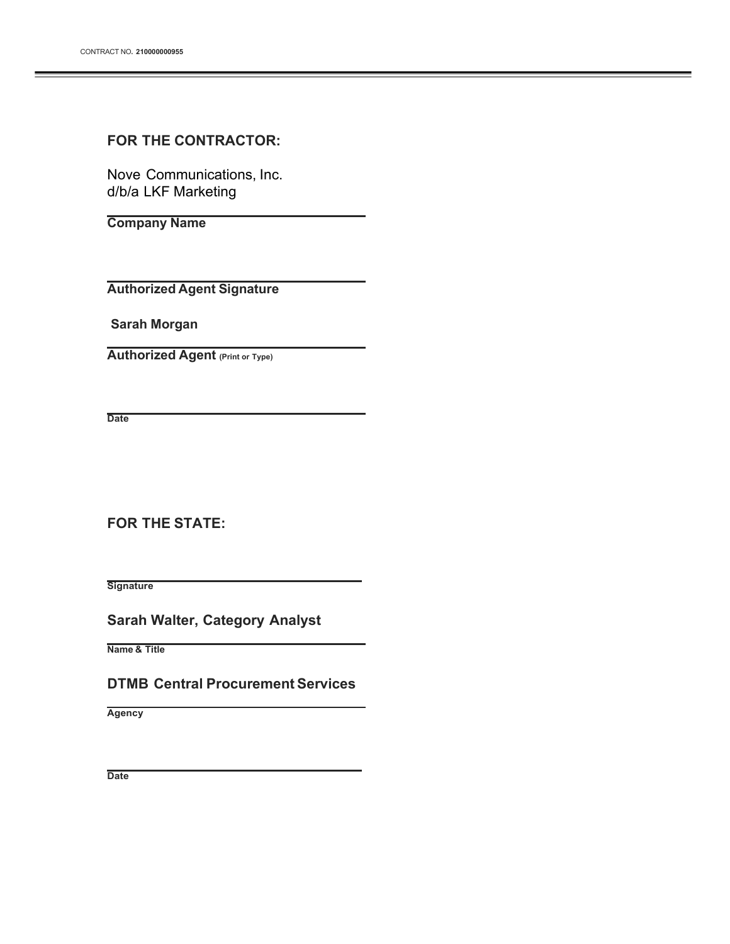#### **FOR THE CONTRACTOR:**

Nove Communications, Inc. d/b/a LKF Marketing

**Company Name**

**Authorized Agent Signature**

**Sarah Morgan**

**Authorized Agent (Print or Type)**

**Date**

**FOR THE STATE:**

**Signature**

**Sarah Walter, Category Analyst**

**Name & Title**

**DTMB Central Procurement Services**

**Agency**

**Date**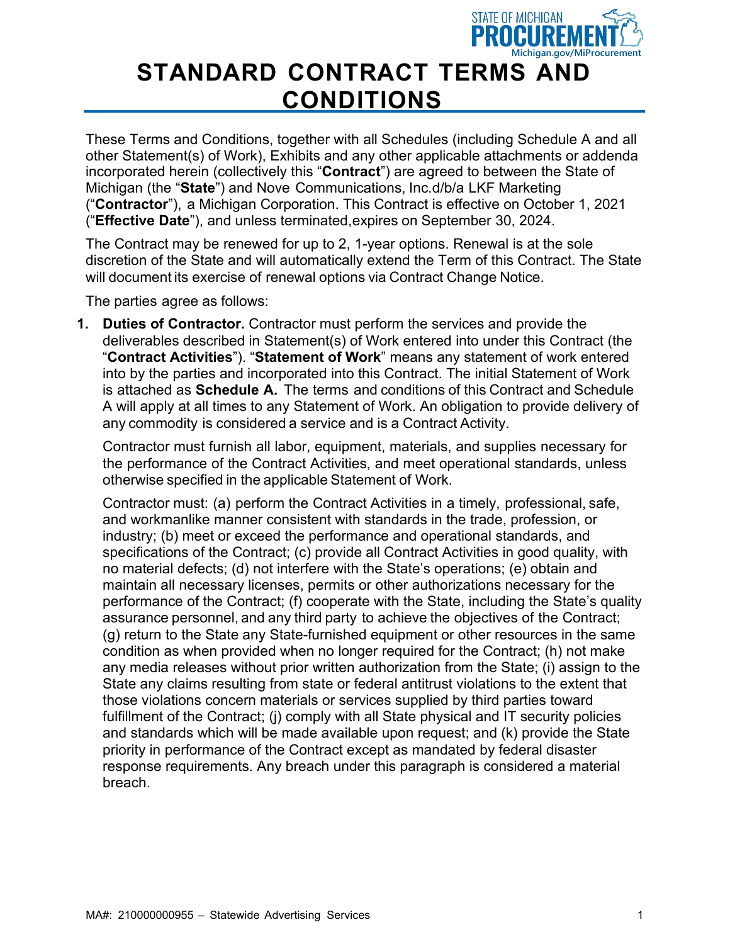

## **STANDARD CONTRACT TERMS AND CONDITIONS**

These Terms and Conditions, together with all Schedules (including Schedule A and all other Statement(s) of Work), Exhibits and any other applicable attachments or addenda incorporated herein (collectively this "**Contract**") are agreed to between the State of Michigan (the "**State**") and Nove Communications, Inc.d/b/a LKF Marketing ("**Contractor**"), a Michigan Corporation. This Contract is effective on October 1, 2021 ("**Effective Date**"), and unless terminated,expires on September 30, 2024.

The Contract may be renewed for up to 2, 1-year options. Renewal is at the sole discretion of the State and will automatically extend the Term of this Contract. The State will document its exercise of renewal options via Contract Change Notice.

The parties agree as follows:

**1. Duties of Contractor.** Contractor must perform the services and provide the deliverables described in Statement(s) of Work entered into under this Contract (the "**Contract Activities**"). "**Statement of Work**" means any statement of work entered into by the parties and incorporated into this Contract. The initial Statement of Work is attached as **Schedule A.** The terms and conditions of this Contract and Schedule A will apply at all times to any Statement of Work. An obligation to provide delivery of any commodity is considered a service and is a Contract Activity.

Contractor must furnish all labor, equipment, materials, and supplies necessary for the performance of the Contract Activities, and meet operational standards, unless otherwise specified in the applicable Statement of Work.

Contractor must: (a) perform the Contract Activities in a timely, professional, safe, and workmanlike manner consistent with standards in the trade, profession, or industry; (b) meet or exceed the performance and operational standards, and specifications of the Contract; (c) provide all Contract Activities in good quality, with no material defects; (d) not interfere with the State's operations; (e) obtain and maintain all necessary licenses, permits or other authorizations necessary for the performance of the Contract; (f) cooperate with the State, including the State's quality assurance personnel, and any third party to achieve the objectives of the Contract; (g) return to the State any State-furnished equipment or other resources in the same condition as when provided when no longer required for the Contract; (h) not make any media releases without prior written authorization from the State; (i) assign to the State any claims resulting from state or federal antitrust violations to the extent that those violations concern materials or services supplied by third parties toward fulfillment of the Contract; (j) comply with all State physical and IT security policies and standards which will be made available upon request; and (k) provide the State priority in performance of the Contract except as mandated by federal disaster response requirements. Any breach under this paragraph is considered a material breach.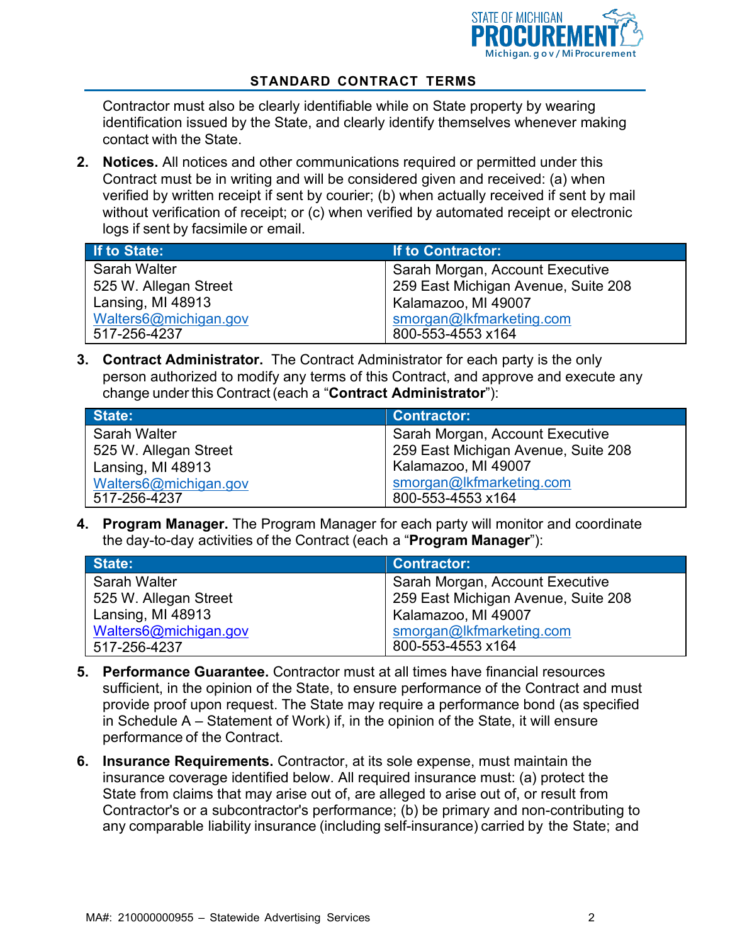

Contractor must also be clearly identifiable while on State property by wearing identification issued by the State, and clearly identify themselves whenever making contact with the State.

**2. Notices.** All notices and other communications required or permitted under this Contract must be in writing and will be considered given and received: (a) when verified by written receipt if sent by courier; (b) when actually received if sent by mail without verification of receipt; or (c) when verified by automated receipt or electronic logs if sent by facsimile or email.

| If to State:          | If to Contractor:                   |
|-----------------------|-------------------------------------|
| <b>Sarah Walter</b>   | Sarah Morgan, Account Executive     |
| 525 W. Allegan Street | 259 East Michigan Avenue, Suite 208 |
| Lansing, MI 48913     | Kalamazoo, MI 49007                 |
| Walters6@michigan.gov | smorgan@lkfmarketing.com            |
| 517-256-4237          | 800-553-4553 x164                   |

**3. Contract Administrator.** The Contract Administrator for each party is the only person authorized to modify any terms of this Contract, and approve and execute any change under this Contract(each a "**Contract Administrator**"):

| State:                | <b>Contractor:</b>                  |
|-----------------------|-------------------------------------|
| Sarah Walter          | Sarah Morgan, Account Executive     |
| 525 W. Allegan Street | 259 East Michigan Avenue, Suite 208 |
| Lansing, MI 48913     | Kalamazoo, MI 49007                 |
| Walters6@michigan.gov | smorgan@lkfmarketing.com            |
| 517-256-4237          | 800-553-4553 x164                   |

**4. Program Manager.** The Program Manager for each party will monitor and coordinate the day-to-day activities of the Contract (each a "**Program Manager**"):

| State:                | <b>Contractor:</b>                  |
|-----------------------|-------------------------------------|
| Sarah Walter          | Sarah Morgan, Account Executive     |
| 525 W. Allegan Street | 259 East Michigan Avenue, Suite 208 |
| Lansing, MI 48913     | Kalamazoo, MI 49007                 |
| Walters6@michigan.gov | smorgan@lkfmarketing.com            |
| 517-256-4237          | 800-553-4553 x164                   |

- **5. Performance Guarantee.** Contractor must at all times have financial resources sufficient, in the opinion of the State, to ensure performance of the Contract and must provide proof upon request. The State may require a performance bond (as specified in Schedule A – Statement of Work) if, in the opinion of the State, it will ensure performance of the Contract.
- **6. Insurance Requirements.** Contractor, at its sole expense, must maintain the insurance coverage identified below. All required insurance must: (a) protect the State from claims that may arise out of, are alleged to arise out of, or result from Contractor's or a subcontractor's performance; (b) be primary and non-contributing to any comparable liability insurance (including self-insurance) carried by the State; and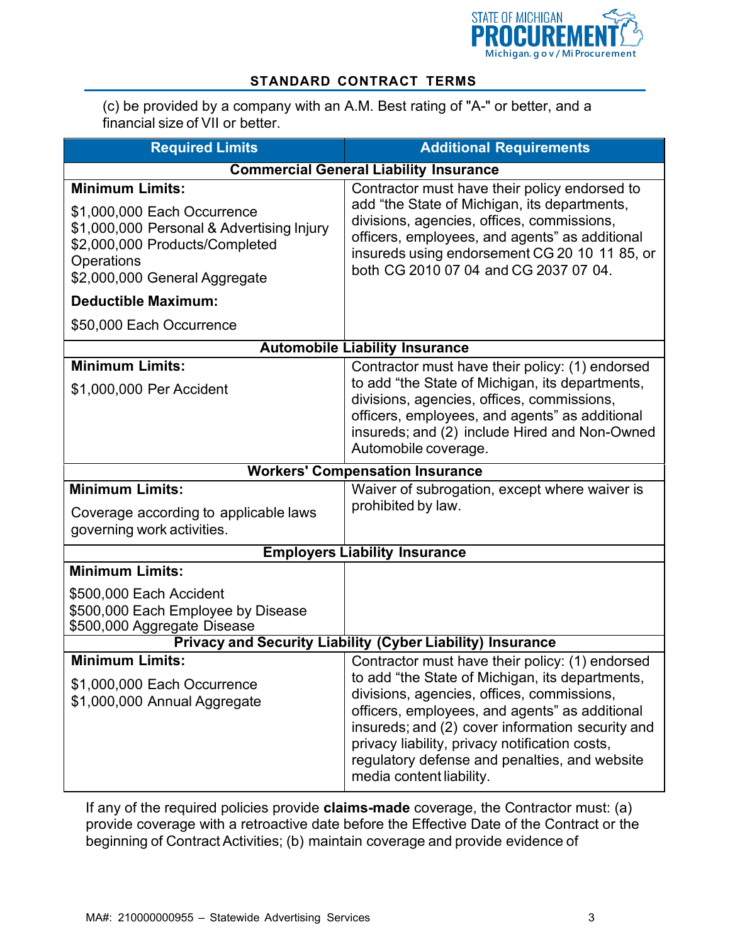

(c) be provided by a company with an A.M. Best rating of "A-" or better, and a financial size of VII or better.

| <b>Required Limits</b>                                                                                                                                                                                                                               | <b>Additional Requirements</b>                                                                                                                                                                                                                                                                                                                                                        |  |  |  |
|------------------------------------------------------------------------------------------------------------------------------------------------------------------------------------------------------------------------------------------------------|---------------------------------------------------------------------------------------------------------------------------------------------------------------------------------------------------------------------------------------------------------------------------------------------------------------------------------------------------------------------------------------|--|--|--|
|                                                                                                                                                                                                                                                      | <b>Commercial General Liability Insurance</b>                                                                                                                                                                                                                                                                                                                                         |  |  |  |
| <b>Minimum Limits:</b><br>\$1,000,000 Each Occurrence<br>\$1,000,000 Personal & Advertising Injury<br>\$2,000,000 Products/Completed<br><b>Operations</b><br>\$2,000,000 General Aggregate<br><b>Deductible Maximum:</b><br>\$50,000 Each Occurrence | Contractor must have their policy endorsed to<br>add "the State of Michigan, its departments,<br>divisions, agencies, offices, commissions,<br>officers, employees, and agents" as additional<br>insureds using endorsement CG 20 10 11 85, or<br>both CG 2010 07 04 and CG 2037 07 04.                                                                                               |  |  |  |
|                                                                                                                                                                                                                                                      | <b>Automobile Liability Insurance</b>                                                                                                                                                                                                                                                                                                                                                 |  |  |  |
| <b>Minimum Limits:</b><br>\$1,000,000 Per Accident                                                                                                                                                                                                   | Contractor must have their policy: (1) endorsed<br>to add "the State of Michigan, its departments,<br>divisions, agencies, offices, commissions,<br>officers, employees, and agents" as additional<br>insureds; and (2) include Hired and Non-Owned<br>Automobile coverage.                                                                                                           |  |  |  |
|                                                                                                                                                                                                                                                      | <b>Workers' Compensation Insurance</b>                                                                                                                                                                                                                                                                                                                                                |  |  |  |
| <b>Minimum Limits:</b><br>Coverage according to applicable laws<br>governing work activities.                                                                                                                                                        | Waiver of subrogation, except where waiver is<br>prohibited by law.                                                                                                                                                                                                                                                                                                                   |  |  |  |
|                                                                                                                                                                                                                                                      | <b>Employers Liability Insurance</b>                                                                                                                                                                                                                                                                                                                                                  |  |  |  |
| Minimum Limits:                                                                                                                                                                                                                                      |                                                                                                                                                                                                                                                                                                                                                                                       |  |  |  |
| \$500,000 Each Accident<br>\$500,000 Each Employee by Disease<br>\$500,000 Aggregate Disease                                                                                                                                                         |                                                                                                                                                                                                                                                                                                                                                                                       |  |  |  |
|                                                                                                                                                                                                                                                      | Privacy and Security Liability (Cyber Liability) Insurance                                                                                                                                                                                                                                                                                                                            |  |  |  |
| <b>Minimum Limits:</b><br>\$1,000,000 Each Occurrence<br>\$1,000,000 Annual Aggregate                                                                                                                                                                | Contractor must have their policy: (1) endorsed<br>to add "the State of Michigan, its departments,<br>divisions, agencies, offices, commissions,<br>officers, employees, and agents" as additional<br>insureds; and (2) cover information security and<br>privacy liability, privacy notification costs,<br>regulatory defense and penalties, and website<br>media content liability. |  |  |  |

If any of the required policies provide **claims-made** coverage, the Contractor must: (a) provide coverage with a retroactive date before the Effective Date of the Contract or the beginning of Contract Activities; (b) maintain coverage and provide evidence of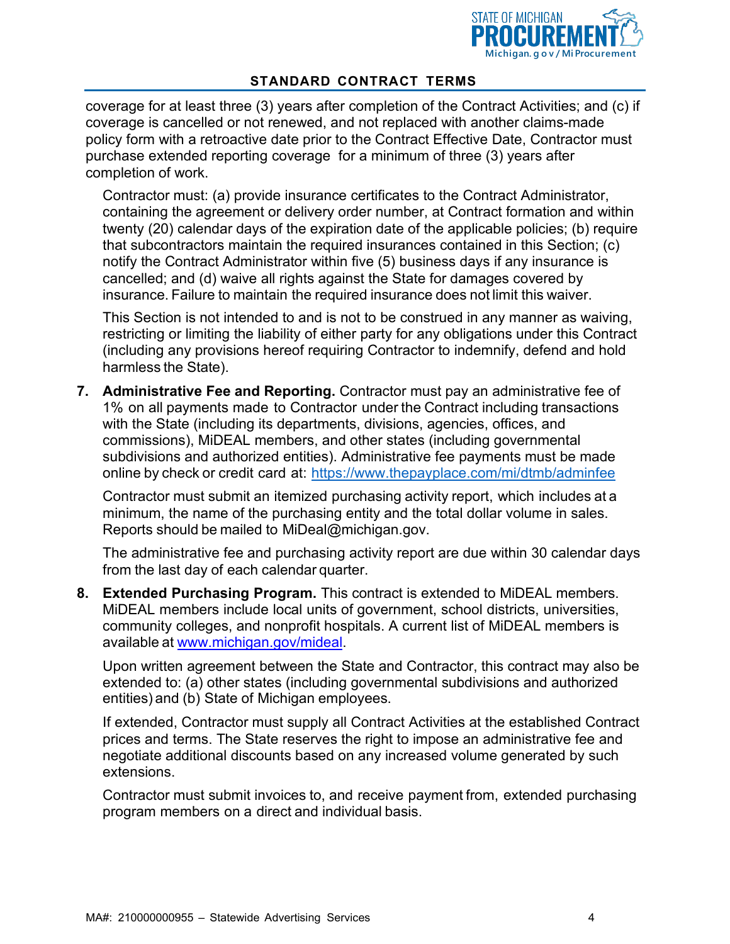

coverage for at least three (3) years after completion of the Contract Activities; and (c) if coverage is cancelled or not renewed, and not replaced with another claims-made policy form with a retroactive date prior to the Contract Effective Date, Contractor must purchase extended reporting coverage for a minimum of three (3) years after completion of work.

Contractor must: (a) provide insurance certificates to the Contract Administrator, containing the agreement or delivery order number, at Contract formation and within twenty (20) calendar days of the expiration date of the applicable policies; (b) require that subcontractors maintain the required insurances contained in this Section; (c) notify the Contract Administrator within five (5) business days if any insurance is cancelled; and (d) waive all rights against the State for damages covered by insurance. Failure to maintain the required insurance does not limit this waiver.

This Section is not intended to and is not to be construed in any manner as waiving, restricting or limiting the liability of either party for any obligations under this Contract (including any provisions hereof requiring Contractor to indemnify, defend and hold harmless the State).

**7. Administrative Fee and Reporting.** Contractor must pay an administrative fee of 1% on all payments made to Contractor under the Contract including transactions with the State (including its departments, divisions, agencies, offices, and commissions), MiDEAL members, and other states (including governmental subdivisions and authorized entities). Administrative fee payments must be made online by check or credit card at: <https://www.thepayplace.com/mi/dtmb/adminfee>

Contractor must submit an itemized purchasing activity report, which includes at a minimum, the name of the purchasing entity and the total dollar volume in sales. Reports should be mailed to [MiDeal@michigan.gov.](mailto:MiDeal@michigan.gov)

The administrative fee and purchasing activity report are due within 30 calendar days from the last day of each calendar quarter.

**8. Extended Purchasing Program.** This contract is extended to MiDEAL members. MiDEAL members include local units of government, school districts, universities, community colleges, and nonprofit hospitals. A current list of MiDEAL members is available at [www.michigan.gov/mideal.](http://www.michigan.gov/mideal)

Upon written agreement between the State and Contractor, this contract may also be extended to: (a) other states (including governmental subdivisions and authorized entities) and (b) State of Michigan employees.

If extended, Contractor must supply all Contract Activities at the established Contract prices and terms. The State reserves the right to impose an administrative fee and negotiate additional discounts based on any increased volume generated by such extensions.

Contractor must submit invoices to, and receive payment from, extended purchasing program members on a direct and individual basis.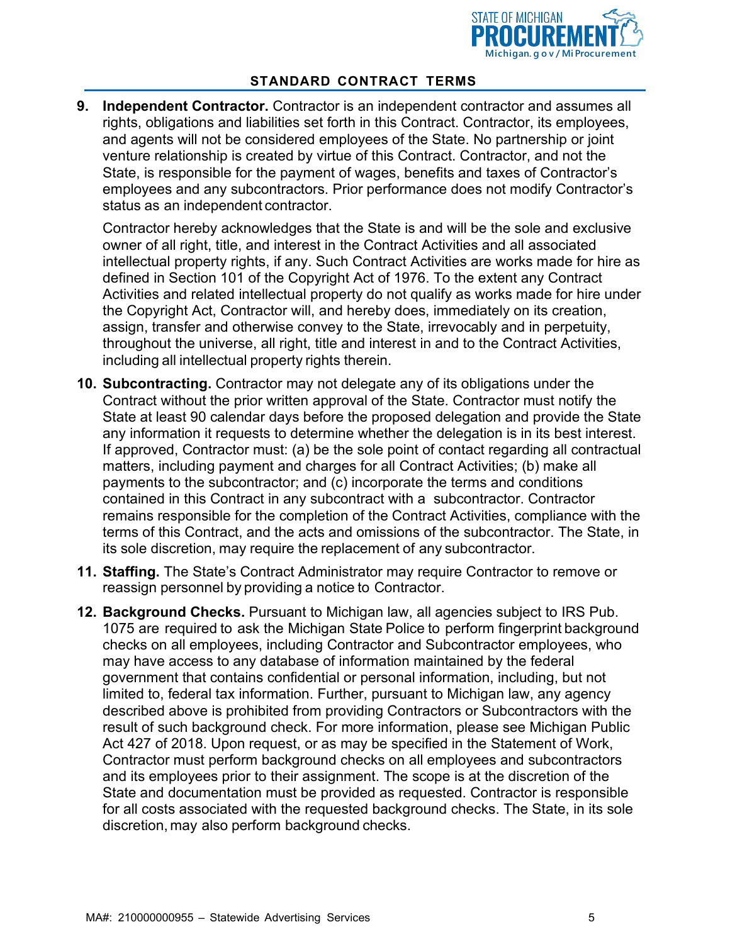

**9. Independent Contractor.** Contractor is an independent contractor and assumes all rights, obligations and liabilities set forth in this Contract. Contractor, its employees, and agents will not be considered employees of the State. No partnership or joint venture relationship is created by virtue of this Contract. Contractor, and not the State, is responsible for the payment of wages, benefits and taxes of Contractor's employees and any subcontractors. Prior performance does not modify Contractor's status as an independent contractor.

Contractor hereby acknowledges that the State is and will be the sole and exclusive owner of all right, title, and interest in the Contract Activities and all associated intellectual property rights, if any. Such Contract Activities are works made for hire as defined in Section 101 of the Copyright Act of 1976. To the extent any Contract Activities and related intellectual property do not qualify as works made for hire under the Copyright Act, Contractor will, and hereby does, immediately on its creation, assign, transfer and otherwise convey to the State, irrevocably and in perpetuity, throughout the universe, all right, title and interest in and to the Contract Activities, including all intellectual property rights therein.

- **10. Subcontracting.** Contractor may not delegate any of its obligations under the Contract without the prior written approval of the State. Contractor must notify the State at least 90 calendar days before the proposed delegation and provide the State any information it requests to determine whether the delegation is in its best interest. If approved, Contractor must: (a) be the sole point of contact regarding all contractual matters, including payment and charges for all Contract Activities; (b) make all payments to the subcontractor; and (c) incorporate the terms and conditions contained in this Contract in any subcontract with a subcontractor. Contractor remains responsible for the completion of the Contract Activities, compliance with the terms of this Contract, and the acts and omissions of the subcontractor. The State, in its sole discretion, may require the replacement of any subcontractor.
- **11. Staffing.** The State's Contract Administrator may require Contractor to remove or reassign personnel by providing a notice to Contractor.
- **12. Background Checks.** Pursuant to Michigan law, all agencies subject to IRS Pub. 1075 are required to ask the Michigan State Police to perform fingerprint background checks on all employees, including Contractor and Subcontractor employees, who may have access to any database of information maintained by the federal government that contains confidential or personal information, including, but not limited to, federal tax information. Further, pursuant to Michigan law, any agency described above is prohibited from providing Contractors or Subcontractors with the result of such background check. For more information, please see Michigan Public Act 427 of 2018. Upon request, or as may be specified in the Statement of Work, Contractor must perform background checks on all employees and subcontractors and its employees prior to their assignment. The scope is at the discretion of the State and documentation must be provided as requested. Contractor is responsible for all costs associated with the requested background checks. The State, in its sole discretion, may also perform background checks.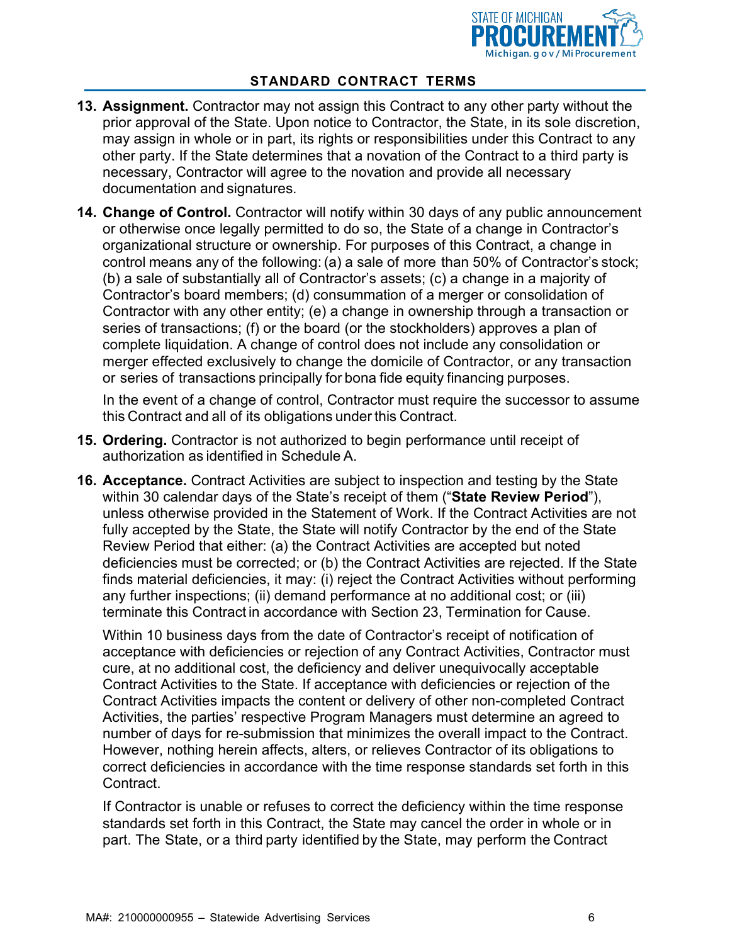

- **13. Assignment.** Contractor may not assign this Contract to any other party without the prior approval of the State. Upon notice to Contractor, the State, in its sole discretion, may assign in whole or in part, its rights or responsibilities under this Contract to any other party. If the State determines that a novation of the Contract to a third party is necessary, Contractor will agree to the novation and provide all necessary documentation and signatures.
- **14. Change of Control.** Contractor will notify within 30 days of any public announcement or otherwise once legally permitted to do so, the State of a change in Contractor's organizational structure or ownership. For purposes of this Contract, a change in control means any of the following: (a) a sale of more than 50% of Contractor's stock; (b) a sale of substantially all of Contractor's assets; (c) a change in a majority of Contractor's board members; (d) consummation of a merger or consolidation of Contractor with any other entity; (e) a change in ownership through a transaction or series of transactions; (f) or the board (or the stockholders) approves a plan of complete liquidation. A change of control does not include any consolidation or merger effected exclusively to change the domicile of Contractor, or any transaction or series of transactions principally for bona fide equity financing purposes.

In the event of a change of control, Contractor must require the successor to assume this Contract and all of its obligations under this Contract.

- **15. Ordering.** Contractor is not authorized to begin performance until receipt of authorization as identified in Schedule A.
- **16. Acceptance.** Contract Activities are subject to inspection and testing by the State within 30 calendar days of the State's receipt of them ("**State Review Period**"), unless otherwise provided in the Statement of Work. If the Contract Activities are not fully accepted by the State, the State will notify Contractor by the end of the State Review Period that either: (a) the Contract Activities are accepted but noted deficiencies must be corrected; or (b) the Contract Activities are rejected. If the State finds material deficiencies, it may: (i) reject the Contract Activities without performing any further inspections; (ii) demand performance at no additional cost; or (iii) terminate this Contract in accordance with Section [23,](#page-9-0) Termination for Cause.

Within 10 business days from the date of Contractor's receipt of notification of acceptance with deficiencies or rejection of any Contract Activities, Contractor must cure, at no additional cost, the deficiency and deliver unequivocally acceptable Contract Activities to the State. If acceptance with deficiencies or rejection of the Contract Activities impacts the content or delivery of other non-completed Contract Activities, the parties' respective Program Managers must determine an agreed to number of days for re-submission that minimizes the overall impact to the Contract. However, nothing herein affects, alters, or relieves Contractor of its obligations to correct deficiencies in accordance with the time response standards set forth in this Contract.

If Contractor is unable or refuses to correct the deficiency within the time response standards set forth in this Contract, the State may cancel the order in whole or in part. The State, or a third party identified by the State, may perform the Contract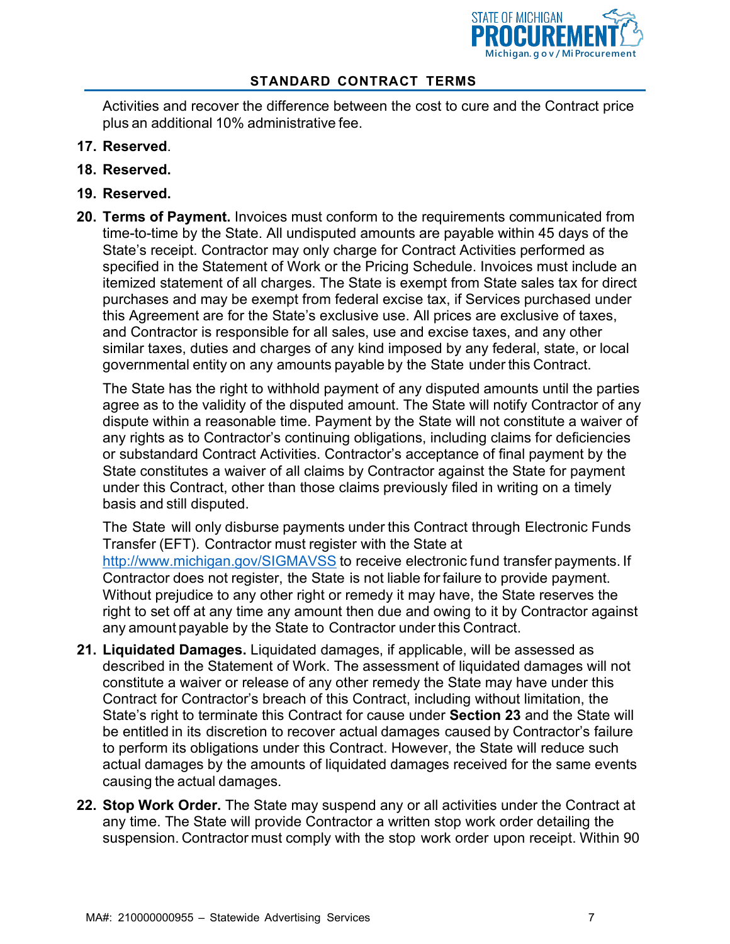

Activities and recover the difference between the cost to cure and the Contract price plus an additional 10% administrative fee.

- **17. Reserved**.
- **18. Reserved.**
- **19. Reserved.**
- **20. Terms of Payment.** Invoices must conform to the requirements communicated from time-to-time by the State. All undisputed amounts are payable within 45 days of the State's receipt. Contractor may only charge for Contract Activities performed as specified in the Statement of Work or the Pricing Schedule. Invoices must include an itemized statement of all charges. The State is exempt from State sales tax for direct purchases and may be exempt from federal excise tax, if Services purchased under this Agreement are for the State's exclusive use. All prices are exclusive of taxes, and Contractor is responsible for all sales, use and excise taxes, and any other similar taxes, duties and charges of any kind imposed by any federal, state, or local governmental entity on any amounts payable by the State under this Contract.

The State has the right to withhold payment of any disputed amounts until the parties agree as to the validity of the disputed amount. The State will notify Contractor of any dispute within a reasonable time. Payment by the State will not constitute a waiver of any rights as to Contractor's continuing obligations, including claims for deficiencies or substandard Contract Activities. Contractor's acceptance of final payment by the State constitutes a waiver of all claims by Contractor against the State for payment under this Contract, other than those claims previously filed in writing on a timely basis and still disputed.

The State will only disburse payments under this Contract through Electronic Funds Transfer (EFT). Contractor must register with the State at <http://www.michigan.gov/SIGMAVSS> to receive electronic fund transfer payments. If Contractor does not register, the State is not liable for failure to provide payment. Without prejudice to any other right or remedy it may have, the State reserves the right to set off at any time any amount then due and owing to it by Contractor against any amount payable by the State to Contractor under this Contract.

- **21. Liquidated Damages.** Liquidated damages, if applicable, will be assessed as described in the Statement of Work. The assessment of liquidated damages will not constitute a waiver or release of any other remedy the State may have under this Contract for Contractor's breach of this Contract, including without limitation, the State's right to terminate this Contract for cause under **Section 23** and the State will be entitled in its discretion to recover actual damages caused by Contractor's failure to perform its obligations under this Contract. However, the State will reduce such actual damages by the amounts of liquidated damages received for the same events causing the actual damages.
- **22. Stop Work Order.** The State may suspend any or all activities under the Contract at any time. The State will provide Contractor a written stop work order detailing the suspension. Contractor must comply with the stop work order upon receipt. Within 90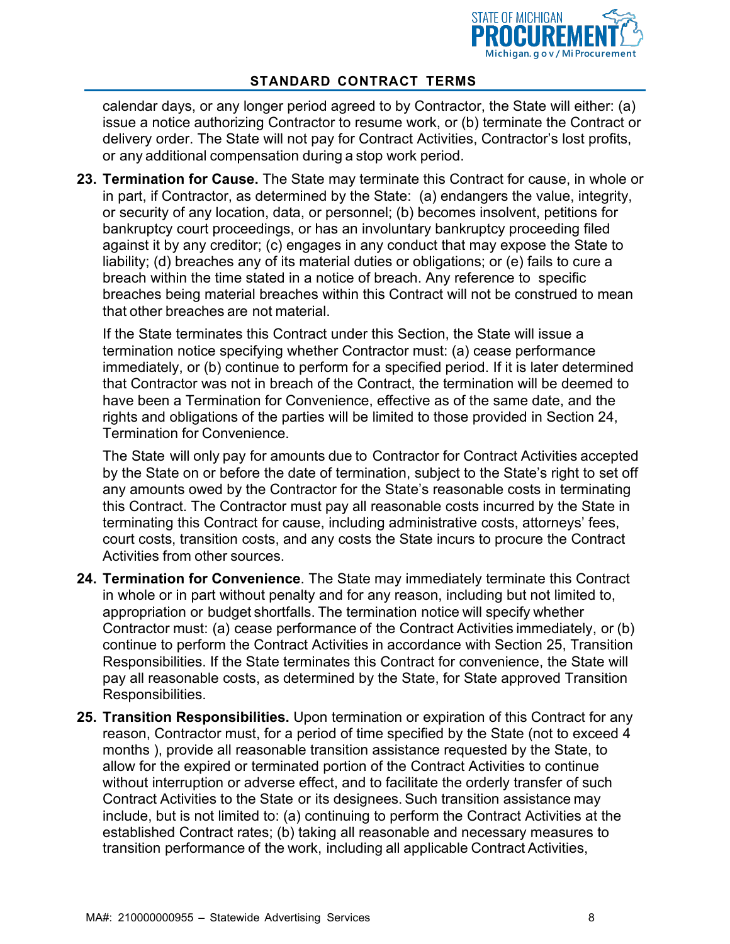

calendar days, or any longer period agreed to by Contractor, the State will either: (a) issue a notice authorizing Contractor to resume work, or (b) terminate the Contract or delivery order. The State will not pay for Contract Activities, Contractor's lost profits, or any additional compensation during a stop work period.

<span id="page-9-0"></span>**23. Termination for Cause.** The State may terminate this Contract for cause, in whole or in part, if Contractor, as determined by the State: (a) endangers the value, integrity, or security of any location, data, or personnel; (b) becomes insolvent, petitions for bankruptcy court proceedings, or has an involuntary bankruptcy proceeding filed against it by any creditor; (c) engages in any conduct that may expose the State to liability; (d) breaches any of its material duties or obligations; or (e) fails to cure a breach within the time stated in a notice of breach. Any reference to specific breaches being material breaches within this Contract will not be construed to mean that other breaches are not material.

If the State terminates this Contract under this Section, the State will issue a termination notice specifying whether Contractor must: (a) cease performance immediately, or (b) continue to perform for a specified period. If it is later determined that Contractor was not in breach of the Contract, the termination will be deemed to have been a Termination for Convenience, effective as of the same date, and the rights and obligations of the parties will be limited to those provided in Section 24, Termination for Convenience.

The State will only pay for amounts due to Contractor for Contract Activities accepted by the State on or before the date of termination, subject to the State's right to set off any amounts owed by the Contractor for the State's reasonable costs in terminating this Contract. The Contractor must pay all reasonable costs incurred by the State in terminating this Contract for cause, including administrative costs, attorneys' fees, court costs, transition costs, and any costs the State incurs to procure the Contract Activities from other sources.

- **24. Termination for Convenience**. The State may immediately terminate this Contract in whole or in part without penalty and for any reason, including but not limited to, appropriation or budget shortfalls. The termination notice will specify whether Contractor must: (a) cease performance of the Contract Activities immediately, or (b) continue to perform the Contract Activities in accordance with Section [25,](#page-9-1) Transition Responsibilities. If the State terminates this Contract for convenience, the State will pay all reasonable costs, as determined by the State, for State approved Transition Responsibilities.
- <span id="page-9-1"></span>**25. Transition Responsibilities.** Upon termination or expiration of this Contract for any reason, Contractor must, for a period of time specified by the State (not to exceed 4 months ), provide all reasonable transition assistance requested by the State, to allow for the expired or terminated portion of the Contract Activities to continue without interruption or adverse effect, and to facilitate the orderly transfer of such Contract Activities to the State or its designees. Such transition assistance may include, but is not limited to: (a) continuing to perform the Contract Activities at the established Contract rates; (b) taking all reasonable and necessary measures to transition performance of the work, including all applicable Contract Activities,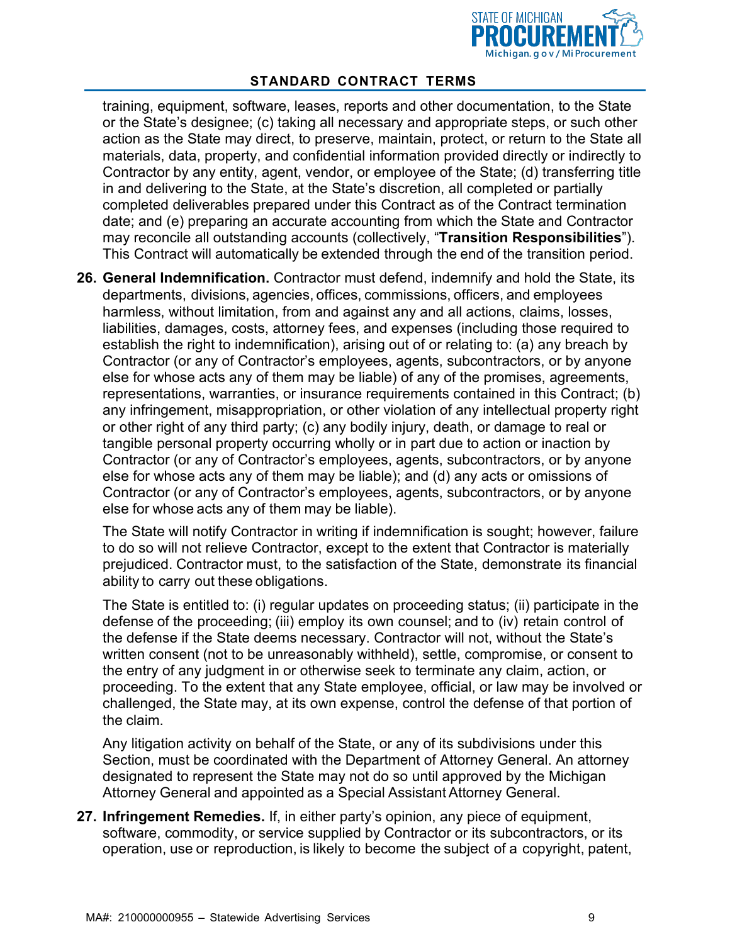

training, equipment, software, leases, reports and other documentation, to the State or the State's designee; (c) taking all necessary and appropriate steps, or such other action as the State may direct, to preserve, maintain, protect, or return to the State all materials, data, property, and confidential information provided directly or indirectly to Contractor by any entity, agent, vendor, or employee of the State; (d) transferring title in and delivering to the State, at the State's discretion, all completed or partially completed deliverables prepared under this Contract as of the Contract termination date; and (e) preparing an accurate accounting from which the State and Contractor may reconcile all outstanding accounts (collectively, "**Transition Responsibilities**"). This Contract will automatically be extended through the end of the transition period.

**26. General Indemnification.** Contractor must defend, indemnify and hold the State, its departments, divisions, agencies, offices, commissions, officers, and employees harmless, without limitation, from and against any and all actions, claims, losses, liabilities, damages, costs, attorney fees, and expenses (including those required to establish the right to indemnification), arising out of or relating to: (a) any breach by Contractor (or any of Contractor's employees, agents, subcontractors, or by anyone else for whose acts any of them may be liable) of any of the promises, agreements, representations, warranties, or insurance requirements contained in this Contract; (b) any infringement, misappropriation, or other violation of any intellectual property right or other right of any third party; (c) any bodily injury, death, or damage to real or tangible personal property occurring wholly or in part due to action or inaction by Contractor (or any of Contractor's employees, agents, subcontractors, or by anyone else for whose acts any of them may be liable); and (d) any acts or omissions of Contractor (or any of Contractor's employees, agents, subcontractors, or by anyone else for whose acts any of them may be liable).

The State will notify Contractor in writing if indemnification is sought; however, failure to do so will not relieve Contractor, except to the extent that Contractor is materially prejudiced. Contractor must, to the satisfaction of the State, demonstrate its financial ability to carry out these obligations.

The State is entitled to: (i) regular updates on proceeding status; (ii) participate in the defense of the proceeding; (iii) employ its own counsel; and to (iv) retain control of the defense if the State deems necessary. Contractor will not, without the State's written consent (not to be unreasonably withheld), settle, compromise, or consent to the entry of any judgment in or otherwise seek to terminate any claim, action, or proceeding. To the extent that any State employee, official, or law may be involved or challenged, the State may, at its own expense, control the defense of that portion of the claim.

Any litigation activity on behalf of the State, or any of its subdivisions under this Section, must be coordinated with the Department of Attorney General. An attorney designated to represent the State may not do so until approved by the Michigan Attorney General and appointed as a Special AssistantAttorney General.

**27. Infringement Remedies.** If, in either party's opinion, any piece of equipment, software, commodity, or service supplied by Contractor or its subcontractors, or its operation, use or reproduction, is likely to become the subject of a copyright, patent,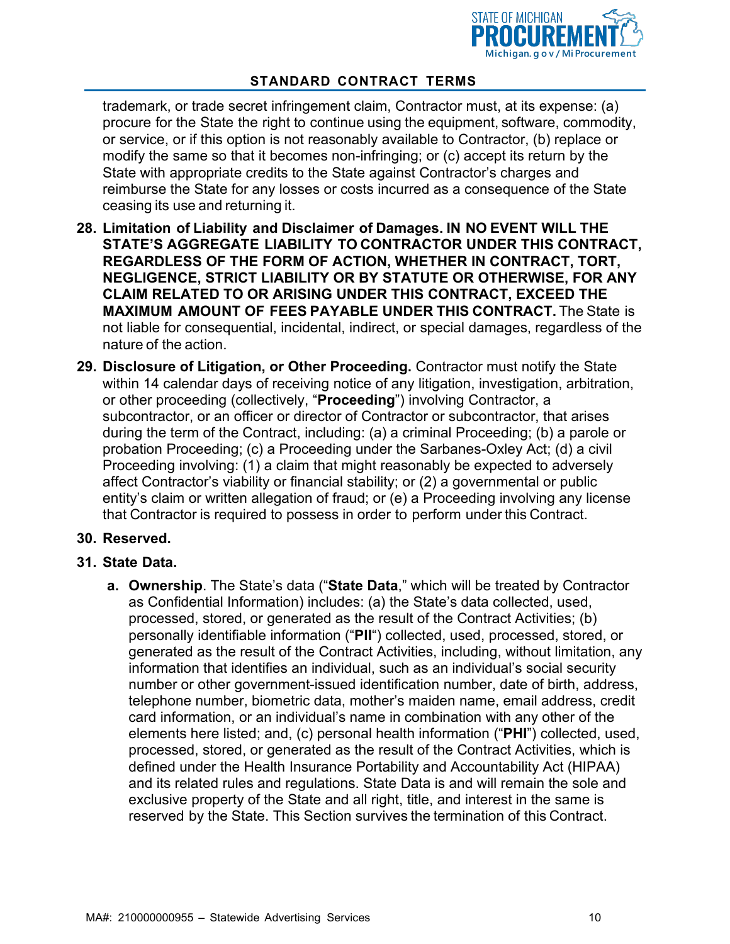

trademark, or trade secret infringement claim, Contractor must, at its expense: (a) procure for the State the right to continue using the equipment, software, commodity, or service, or if this option is not reasonably available to Contractor, (b) replace or modify the same so that it becomes non-infringing; or (c) accept its return by the State with appropriate credits to the State against Contractor's charges and reimburse the State for any losses or costs incurred as a consequence of the State ceasing its use and returning it.

- **28. Limitation of Liability and Disclaimer of Damages. IN NO EVENT WILL THE STATE'S AGGREGATE LIABILITY TO CONTRACTOR UNDER THIS CONTRACT, REGARDLESS OF THE FORM OF ACTION, WHETHER IN CONTRACT, TORT, NEGLIGENCE, STRICT LIABILITY OR BY STATUTE OR OTHERWISE, FOR ANY CLAIM RELATED TO OR ARISING UNDER THIS CONTRACT, EXCEED THE MAXIMUM AMOUNT OF FEES PAYABLE UNDER THIS CONTRACT.** The State is not liable for consequential, incidental, indirect, or special damages, regardless of the nature of the action.
- **29. Disclosure of Litigation, or Other Proceeding.** Contractor must notify the State within 14 calendar days of receiving notice of any litigation, investigation, arbitration, or other proceeding (collectively, "**Proceeding**") involving Contractor, a subcontractor, or an officer or director of Contractor or subcontractor, that arises during the term of the Contract, including: (a) a criminal Proceeding; (b) a parole or probation Proceeding; (c) a Proceeding under the Sarbanes-Oxley Act; (d) a civil Proceeding involving: (1) a claim that might reasonably be expected to adversely affect Contractor's viability or financial stability; or (2) a governmental or public entity's claim or written allegation of fraud; or (e) a Proceeding involving any license that Contractor is required to possess in order to perform under this Contract.

#### **30. Reserved.**

#### **31. State Data.**

**a. Ownership**. The State's data ("**State Data**," which will be treated by Contractor as Confidential Information) includes: (a) the State's data collected, used, processed, stored, or generated as the result of the Contract Activities; (b) personally identifiable information ("**PII**") collected, used, processed, stored, or generated as the result of the Contract Activities, including, without limitation, any information that identifies an individual, such as an individual's social security number or other government-issued identification number, date of birth, address, telephone number, biometric data, mother's maiden name, email address, credit card information, or an individual's name in combination with any other of the elements here listed; and, (c) personal health information ("**PHI**") collected, used, processed, stored, or generated as the result of the Contract Activities, which is defined under the Health Insurance Portability and Accountability Act (HIPAA) and its related rules and regulations. State Data is and will remain the sole and exclusive property of the State and all right, title, and interest in the same is reserved by the State. This Section survives the termination of this Contract.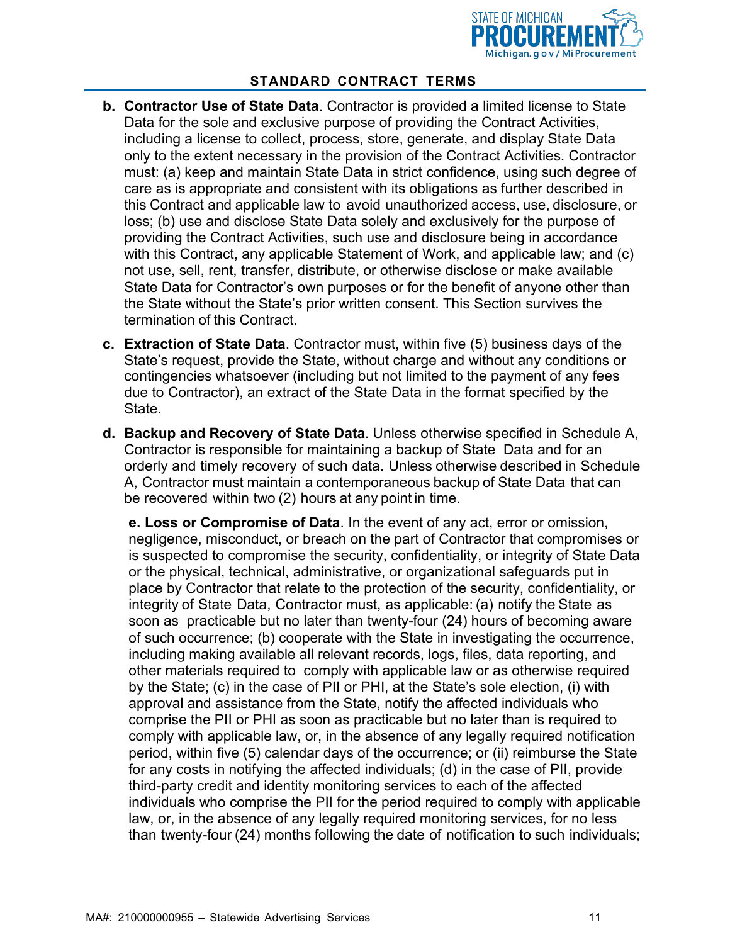

- **b. Contractor Use of State Data**. Contractor is provided a limited license to State Data for the sole and exclusive purpose of providing the Contract Activities, including a license to collect, process, store, generate, and display State Data only to the extent necessary in the provision of the Contract Activities. Contractor must: (a) keep and maintain State Data in strict confidence, using such degree of care as is appropriate and consistent with its obligations as further described in this Contract and applicable law to avoid unauthorized access, use, disclosure, or loss; (b) use and disclose State Data solely and exclusively for the purpose of providing the Contract Activities, such use and disclosure being in accordance with this Contract, any applicable Statement of Work, and applicable law; and (c) not use, sell, rent, transfer, distribute, or otherwise disclose or make available State Data for Contractor's own purposes or for the benefit of anyone other than the State without the State's prior written consent. This Section survives the termination of this Contract.
- **c. Extraction of State Data**. Contractor must, within five (5) business days of the State's request, provide the State, without charge and without any conditions or contingencies whatsoever (including but not limited to the payment of any fees due to Contractor), an extract of the State Data in the format specified by the State.
- **d. Backup and Recovery of State Data**. Unless otherwise specified in Schedule A, Contractor is responsible for maintaining a backup of State Data and for an orderly and timely recovery of such data. Unless otherwise described in Schedule A, Contractor must maintain a contemporaneous backup of State Data that can be recovered within two (2) hours at any point in time.

**e. Loss or Compromise of Data**. In the event of any act, error or omission, negligence, misconduct, or breach on the part of Contractor that compromises or is suspected to compromise the security, confidentiality, or integrity of State Data or the physical, technical, administrative, or organizational safeguards put in place by Contractor that relate to the protection of the security, confidentiality, or integrity of State Data, Contractor must, as applicable: (a) notify the State as soon as practicable but no later than twenty-four (24) hours of becoming aware of such occurrence; (b) cooperate with the State in investigating the occurrence, including making available all relevant records, logs, files, data reporting, and other materials required to comply with applicable law or as otherwise required by the State; (c) in the case of PII or PHI, at the State's sole election, (i) with approval and assistance from the State, notify the affected individuals who comprise the PII or PHI as soon as practicable but no later than is required to comply with applicable law, or, in the absence of any legally required notification period, within five (5) calendar days of the occurrence; or (ii) reimburse the State for any costs in notifying the affected individuals; (d) in the case of PII, provide third-party credit and identity monitoring services to each of the affected individuals who comprise the PII for the period required to comply with applicable law, or, in the absence of any legally required monitoring services, for no less than twenty-four (24) months following the date of notification to such individuals;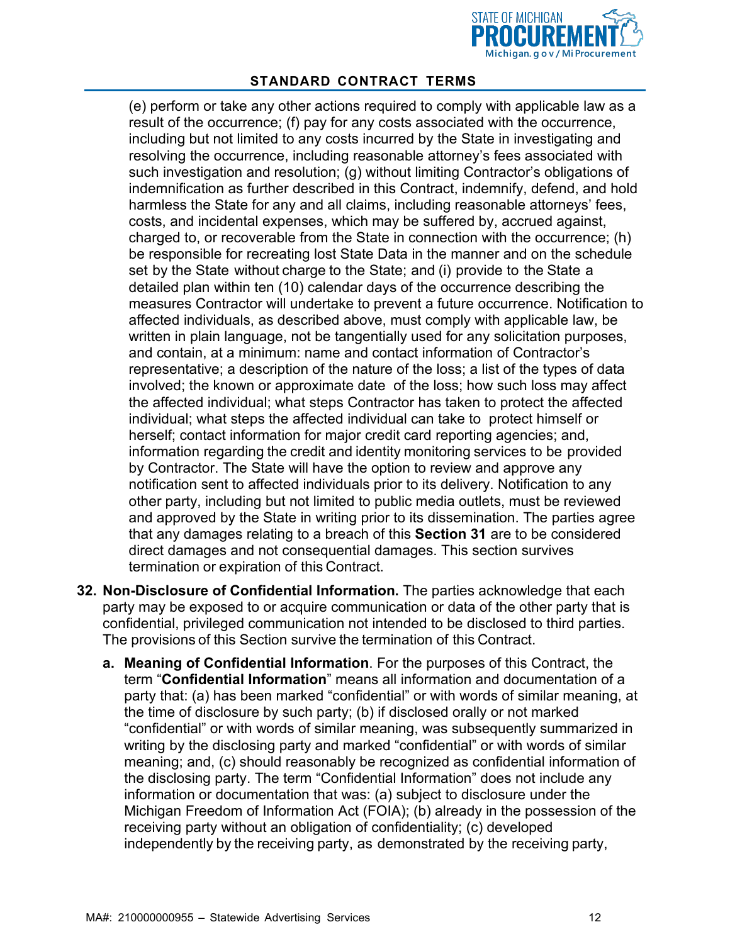

(e) perform or take any other actions required to comply with applicable law as a result of the occurrence; (f) pay for any costs associated with the occurrence, including but not limited to any costs incurred by the State in investigating and resolving the occurrence, including reasonable attorney's fees associated with such investigation and resolution; (g) without limiting Contractor's obligations of indemnification as further described in this Contract, indemnify, defend, and hold harmless the State for any and all claims, including reasonable attorneys' fees, costs, and incidental expenses, which may be suffered by, accrued against, charged to, or recoverable from the State in connection with the occurrence; (h) be responsible for recreating lost State Data in the manner and on the schedule set by the State without charge to the State; and (i) provide to the State a detailed plan within ten (10) calendar days of the occurrence describing the measures Contractor will undertake to prevent a future occurrence. Notification to affected individuals, as described above, must comply with applicable law, be written in plain language, not be tangentially used for any solicitation purposes, and contain, at a minimum: name and contact information of Contractor's representative; a description of the nature of the loss; a list of the types of data involved; the known or approximate date of the loss; how such loss may affect the affected individual; what steps Contractor has taken to protect the affected individual; what steps the affected individual can take to protect himself or herself; contact information for major credit card reporting agencies; and, information regarding the credit and identity monitoring services to be provided by Contractor. The State will have the option to review and approve any notification sent to affected individuals prior to its delivery. Notification to any other party, including but not limited to public media outlets, must be reviewed and approved by the State in writing prior to its dissemination. The parties agree that any damages relating to a breach of this **Section 31** are to be considered direct damages and not consequential damages. This section survives termination or expiration of this Contract.

- **32. Non-Disclosure of Confidential Information.** The parties acknowledge that each party may be exposed to or acquire communication or data of the other party that is confidential, privileged communication not intended to be disclosed to third parties. The provisions of this Section survive the termination of this Contract.
	- **a. Meaning of Confidential Information**. For the purposes of this Contract, the term "**Confidential Information**" means all information and documentation of a party that: (a) has been marked "confidential" or with words of similar meaning, at the time of disclosure by such party; (b) if disclosed orally or not marked "confidential" or with words of similar meaning, was subsequently summarized in writing by the disclosing party and marked "confidential" or with words of similar meaning; and, (c) should reasonably be recognized as confidential information of the disclosing party. The term "Confidential Information" does not include any information or documentation that was: (a) subject to disclosure under the Michigan Freedom of Information Act (FOIA); (b) already in the possession of the receiving party without an obligation of confidentiality; (c) developed independently by the receiving party, as demonstrated by the receiving party,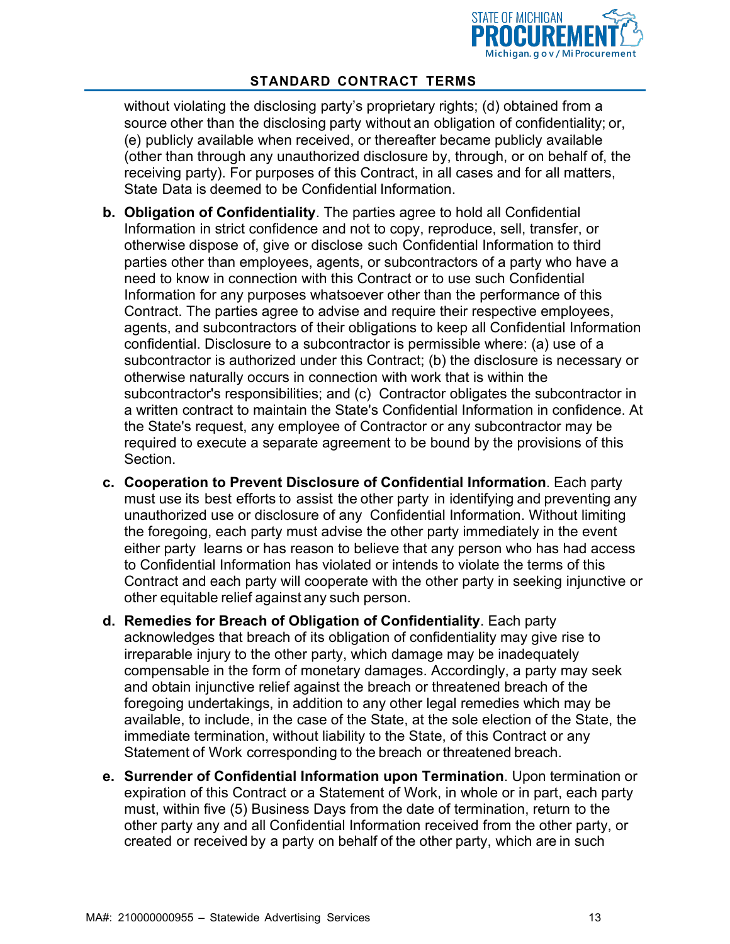

without violating the disclosing party's proprietary rights; (d) obtained from a source other than the disclosing party without an obligation of confidentiality; or, (e) publicly available when received, or thereafter became publicly available (other than through any unauthorized disclosure by, through, or on behalf of, the receiving party). For purposes of this Contract, in all cases and for all matters, State Data is deemed to be Confidential Information.

- **b. Obligation of Confidentiality**. The parties agree to hold all Confidential Information in strict confidence and not to copy, reproduce, sell, transfer, or otherwise dispose of, give or disclose such Confidential Information to third parties other than employees, agents, or subcontractors of a party who have a need to know in connection with this Contract or to use such Confidential Information for any purposes whatsoever other than the performance of this Contract. The parties agree to advise and require their respective employees, agents, and subcontractors of their obligations to keep all Confidential Information confidential. Disclosure to a subcontractor is permissible where: (a) use of a subcontractor is authorized under this Contract; (b) the disclosure is necessary or otherwise naturally occurs in connection with work that is within the subcontractor's responsibilities; and (c) Contractor obligates the subcontractor in a written contract to maintain the State's Confidential Information in confidence. At the State's request, any employee of Contractor or any subcontractor may be required to execute a separate agreement to be bound by the provisions of this Section.
- **c. Cooperation to Prevent Disclosure of Confidential Information**. Each party must use its best efforts to assist the other party in identifying and preventing any unauthorized use or disclosure of any Confidential Information. Without limiting the foregoing, each party must advise the other party immediately in the event either party learns or has reason to believe that any person who has had access to Confidential Information has violated or intends to violate the terms of this Contract and each party will cooperate with the other party in seeking injunctive or other equitable relief against any such person.
- **d. Remedies for Breach of Obligation of Confidentiality**. Each party acknowledges that breach of its obligation of confidentiality may give rise to irreparable injury to the other party, which damage may be inadequately compensable in the form of monetary damages. Accordingly, a party may seek and obtain injunctive relief against the breach or threatened breach of the foregoing undertakings, in addition to any other legal remedies which may be available, to include, in the case of the State, at the sole election of the State, the immediate termination, without liability to the State, of this Contract or any Statement of Work corresponding to the breach or threatened breach.
- **e. Surrender of Confidential Information upon Termination**. Upon termination or expiration of this Contract or a Statement of Work, in whole or in part, each party must, within five (5) Business Days from the date of termination, return to the other party any and all Confidential Information received from the other party, or created or received by a party on behalf of the other party, which are in such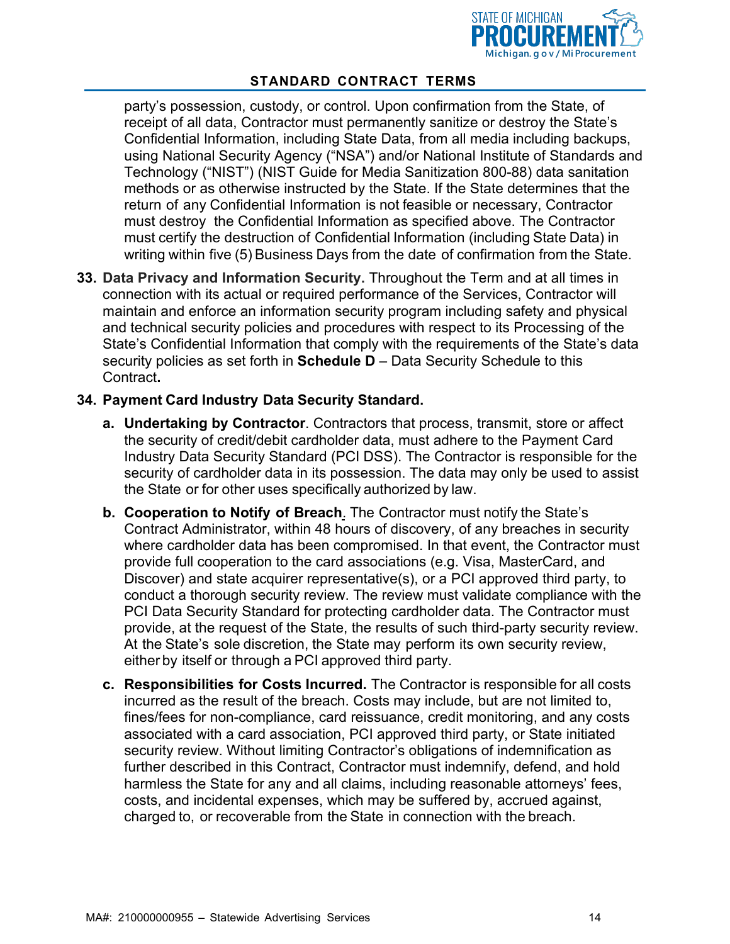

party's possession, custody, or control. Upon confirmation from the State, of receipt of all data, Contractor must permanently sanitize or destroy the State's Confidential Information, including State Data, from all media including backups, using National Security Agency ("NSA") and/or National Institute of Standards and Technology ("NIST") (NIST Guide for Media Sanitization 800-88) data sanitation methods or as otherwise instructed by the State. If the State determines that the return of any Confidential Information is not feasible or necessary, Contractor must destroy the Confidential Information as specified above. The Contractor must certify the destruction of Confidential Information (including State Data) in writing within five (5) Business Days from the date of confirmation from the State.

**33. Data Privacy and Information Security.** Throughout the Term and at all times in connection with its actual or required performance of the Services, Contractor will maintain and enforce an information security program including safety and physical and technical security policies and procedures with respect to its Processing of the State's Confidential Information that comply with the requirements of the State's data security policies as set forth in **Schedule D** – Data Security Schedule to this Contract**.**

#### **34. Payment Card Industry Data Security Standard.**

- **a. Undertaking by Contractor**. Contractors that process, transmit, store or affect the security of credit/debit cardholder data, must adhere to the Payment Card Industry Data Security Standard (PCI DSS). The Contractor is responsible for the security of cardholder data in its possession. The data may only be used to assist the State or for other uses specifically authorized by law.
- **b. Cooperation to Notify of Breach**. The Contractor must notify the State's Contract Administrator, within 48 hours of discovery, of any breaches in security where cardholder data has been compromised. In that event, the Contractor must provide full cooperation to the card associations (e.g. Visa, MasterCard, and Discover) and state acquirer representative(s), or a PCI approved third party, to conduct a thorough security review. The review must validate compliance with the PCI Data Security Standard for protecting cardholder data. The Contractor must provide, at the request of the State, the results of such third-party security review. At the State's sole discretion, the State may perform its own security review, either by itself or through a PCI approved third party.
- **c. Responsibilities for Costs Incurred.** The Contractor is responsible for all costs incurred as the result of the breach. Costs may include, but are not limited to, fines/fees for non-compliance, card reissuance, credit monitoring, and any costs associated with a card association, PCI approved third party, or State initiated security review. Without limiting Contractor's obligations of indemnification as further described in this Contract, Contractor must indemnify, defend, and hold harmless the State for any and all claims, including reasonable attorneys' fees, costs, and incidental expenses, which may be suffered by, accrued against, charged to, or recoverable from the State in connection with the breach.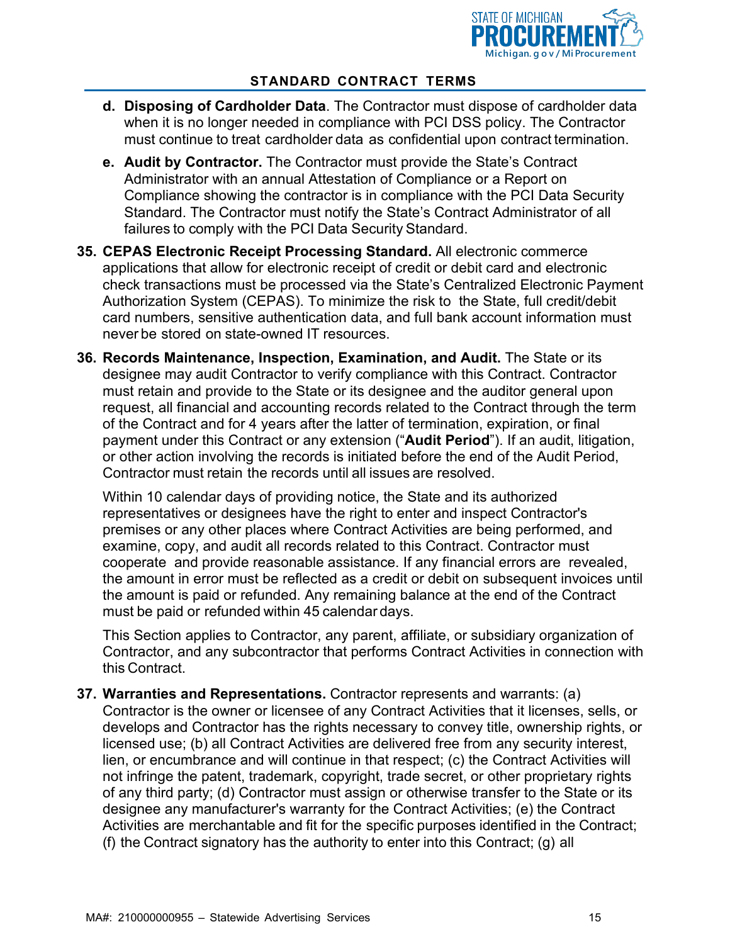

- **d. Disposing of Cardholder Data**. The Contractor must dispose of cardholder data when it is no longer needed in compliance with PCI DSS policy. The Contractor must continue to treat cardholder data as confidential upon contract termination.
- **e. Audit by Contractor.** The Contractor must provide the State's Contract Administrator with an annual Attestation of Compliance or a Report on Compliance showing the contractor is in compliance with the PCI Data Security Standard. The Contractor must notify the State's Contract Administrator of all failures to comply with the PCI Data Security Standard.
- **35. CEPAS Electronic Receipt Processing Standard.** All electronic commerce applications that allow for electronic receipt of credit or debit card and electronic check transactions must be processed via the State's Centralized Electronic Payment Authorization System (CEPAS). To minimize the risk to the State, full credit/debit card numbers, sensitive authentication data, and full bank account information must never be stored on state-owned IT resources.
- **36. Records Maintenance, Inspection, Examination, and Audit.** The State or its designee may audit Contractor to verify compliance with this Contract. Contractor must retain and provide to the State or its designee and the auditor general upon request, all financial and accounting records related to the Contract through the term of the Contract and for 4 years after the latter of termination, expiration, or final payment under this Contract or any extension ("**Audit Period**"). If an audit, litigation, or other action involving the records is initiated before the end of the Audit Period, Contractor must retain the records until all issues are resolved.

Within 10 calendar days of providing notice, the State and its authorized representatives or designees have the right to enter and inspect Contractor's premises or any other places where Contract Activities are being performed, and examine, copy, and audit all records related to this Contract. Contractor must cooperate and provide reasonable assistance. If any financial errors are revealed, the amount in error must be reflected as a credit or debit on subsequent invoices until the amount is paid or refunded. Any remaining balance at the end of the Contract must be paid or refunded within 45 calendar days.

This Section applies to Contractor, any parent, affiliate, or subsidiary organization of Contractor, and any subcontractor that performs Contract Activities in connection with this Contract.

**37. Warranties and Representations.** Contractor represents and warrants: (a) Contractor is the owner or licensee of any Contract Activities that it licenses, sells, or develops and Contractor has the rights necessary to convey title, ownership rights, or licensed use; (b) all Contract Activities are delivered free from any security interest, lien, or encumbrance and will continue in that respect; (c) the Contract Activities will not infringe the patent, trademark, copyright, trade secret, or other proprietary rights of any third party; (d) Contractor must assign or otherwise transfer to the State or its designee any manufacturer's warranty for the Contract Activities; (e) the Contract Activities are merchantable and fit for the specific purposes identified in the Contract; (f) the Contract signatory has the authority to enter into this Contract; (g) all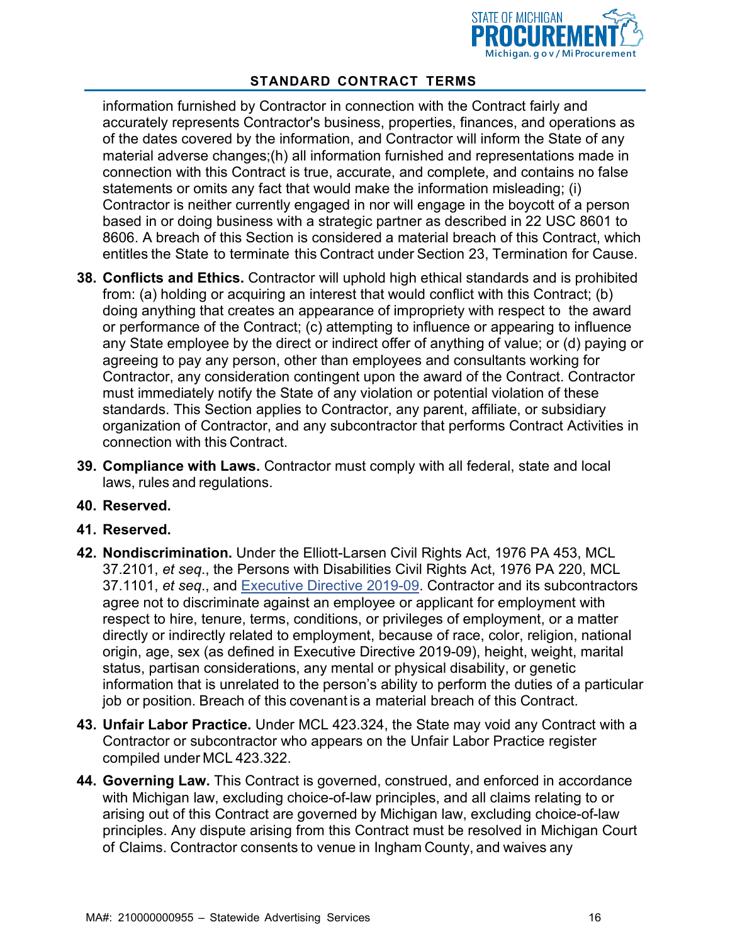

information furnished by Contractor in connection with the Contract fairly and accurately represents Contractor's business, properties, finances, and operations as of the dates covered by the information, and Contractor will inform the State of any material adverse changes;(h) all information furnished and representations made in connection with this Contract is true, accurate, and complete, and contains no false statements or omits any fact that would make the information misleading; (i) Contractor is neither currently engaged in nor will engage in the boycott of a person based in or doing business with a strategic partner as described in 22 USC 8601 to 8606. A breach of this Section is considered a material breach of this Contract, which entitles the State to terminate this Contract under Section [23,](#page-9-0) Termination for Cause.

- **38. Conflicts and Ethics.** Contractor will uphold high ethical standards and is prohibited from: (a) holding or acquiring an interest that would conflict with this Contract; (b) doing anything that creates an appearance of impropriety with respect to the award or performance of the Contract; (c) attempting to influence or appearing to influence any State employee by the direct or indirect offer of anything of value; or (d) paying or agreeing to pay any person, other than employees and consultants working for Contractor, any consideration contingent upon the award of the Contract. Contractor must immediately notify the State of any violation or potential violation of these standards. This Section applies to Contractor, any parent, affiliate, or subsidiary organization of Contractor, and any subcontractor that performs Contract Activities in connection with this Contract.
- **39. Compliance with Laws.** Contractor must comply with all federal, state and local laws, rules and regulations.
- **40. Reserved.**
- **41. Reserved.**
- **42. Nondiscrimination.** Under the Elliott-Larsen Civil Rights Act, 1976 PA 453, MCL 37.2101, *et seq*., the Persons with Disabilities Civil Rights Act, 1976 PA 220, MCL 37.1101, *et seq*., and [Executive Directive 2019-09.](https://www.michigan.gov/whitmer/0%2C9309%2C7-387-90499_90704-486781--%2C00.html) Contractor and its subcontractors agree not to discriminate against an employee or applicant for employment with respect to hire, tenure, terms, conditions, or privileges of employment, or a matter directly or indirectly related to employment, because of race, color, religion, national origin, age, sex (as defined in Executive Directive 2019-09), height, weight, marital status, partisan considerations, any mental or physical disability, or genetic information that is unrelated to the person's ability to perform the duties of a particular job or position. Breach of this covenant is a material breach of this Contract.
- **43. Unfair Labor Practice.** Under MCL 423.324, the State may void any Contract with a Contractor or subcontractor who appears on the Unfair Labor Practice register compiled under MCL 423.322.
- **44. Governing Law.** This Contract is governed, construed, and enforced in accordance with Michigan law, excluding choice-of-law principles, and all claims relating to or arising out of this Contract are governed by Michigan law, excluding choice-of-law principles. Any dispute arising from this Contract must be resolved in Michigan Court of Claims. Contractor consents to venue in Ingham County, and waives any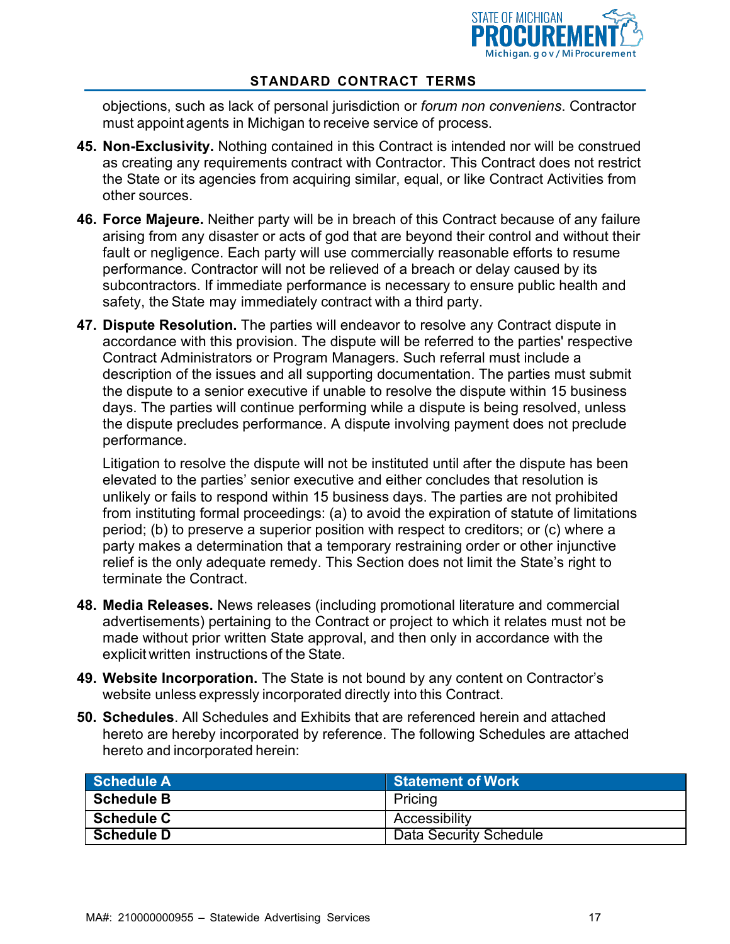

objections, such as lack of personal jurisdiction or *forum non conveniens*. Contractor must appoint agents in Michigan to receive service of process.

- **45. Non-Exclusivity.** Nothing contained in this Contract is intended nor will be construed as creating any requirements contract with Contractor. This Contract does not restrict the State or its agencies from acquiring similar, equal, or like Contract Activities from other sources.
- **46. Force Majeure.** Neither party will be in breach of this Contract because of any failure arising from any disaster or acts of god that are beyond their control and without their fault or negligence. Each party will use commercially reasonable efforts to resume performance. Contractor will not be relieved of a breach or delay caused by its subcontractors. If immediate performance is necessary to ensure public health and safety, the State may immediately contract with a third party.
- **47. Dispute Resolution.** The parties will endeavor to resolve any Contract dispute in accordance with this provision. The dispute will be referred to the parties' respective Contract Administrators or Program Managers. Such referral must include a description of the issues and all supporting documentation. The parties must submit the dispute to a senior executive if unable to resolve the dispute within 15 business days. The parties will continue performing while a dispute is being resolved, unless the dispute precludes performance. A dispute involving payment does not preclude performance.

Litigation to resolve the dispute will not be instituted until after the dispute has been elevated to the parties' senior executive and either concludes that resolution is unlikely or fails to respond within 15 business days. The parties are not prohibited from instituting formal proceedings: (a) to avoid the expiration of statute of limitations period; (b) to preserve a superior position with respect to creditors; or (c) where a party makes a determination that a temporary restraining order or other injunctive relief is the only adequate remedy. This Section does not limit the State's right to terminate the Contract.

- **48. Media Releases.** News releases (including promotional literature and commercial advertisements) pertaining to the Contract or project to which it relates must not be made without prior written State approval, and then only in accordance with the explicit written instructions of the State.
- **49. Website Incorporation.** The State is not bound by any content on Contractor's website unless expressly incorporated directly into this Contract.
- **50. Schedules**. All Schedules and Exhibits that are referenced herein and attached hereto are hereby incorporated by reference. The following Schedules are attached hereto and incorporated herein:

| Schedule A        | <b>Statement of Work</b>      |
|-------------------|-------------------------------|
| <b>Schedule B</b> | Pricing                       |
| <b>Schedule C</b> | Accessibility                 |
| <b>Schedule D</b> | <b>Data Security Schedule</b> |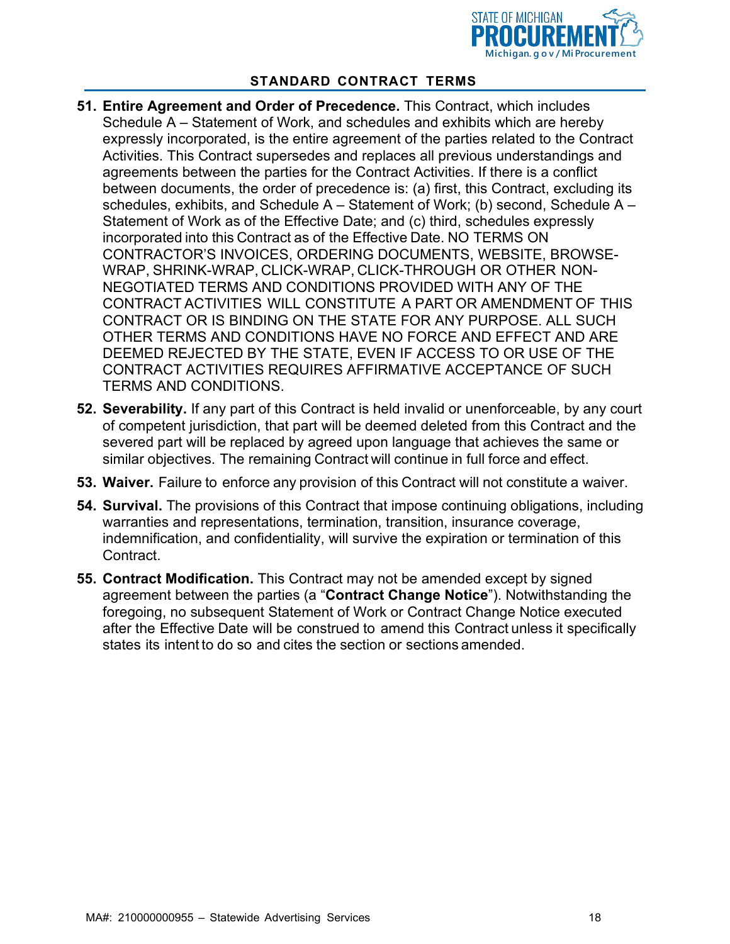

- **51. Entire Agreement and Order of Precedence.** This Contract, which includes Schedule A – Statement of Work, and schedules and exhibits which are hereby expressly incorporated, is the entire agreement of the parties related to the Contract Activities. This Contract supersedes and replaces all previous understandings and agreements between the parties for the Contract Activities. If there is a conflict between documents, the order of precedence is: (a) first, this Contract, excluding its schedules, exhibits, and Schedule  $A -$  Statement of Work; (b) second, Schedule  $A -$ Statement of Work as of the Effective Date; and (c) third, schedules expressly incorporated into this Contract as of the Effective Date. NO TERMS ON CONTRACTOR'S INVOICES, ORDERING DOCUMENTS, WEBSITE, BROWSE-WRAP, SHRINK-WRAP, CLICK-WRAP, CLICK-THROUGH OR OTHER NON-NEGOTIATED TERMS AND CONDITIONS PROVIDED WITH ANY OF THE CONTRACT ACTIVITIES WILL CONSTITUTE A PART OR AMENDMENT OF THIS CONTRACT OR IS BINDING ON THE STATE FOR ANY PURPOSE. ALL SUCH OTHER TERMS AND CONDITIONS HAVE NO FORCE AND EFFECT AND ARE DEEMED REJECTED BY THE STATE, EVEN IF ACCESS TO OR USE OF THE CONTRACT ACTIVITIES REQUIRES AFFIRMATIVE ACCEPTANCE OF SUCH TERMS AND CONDITIONS.
- **52. Severability.** If any part of this Contract is held invalid or unenforceable, by any court of competent jurisdiction, that part will be deemed deleted from this Contract and the severed part will be replaced by agreed upon language that achieves the same or similar objectives. The remaining Contract will continue in full force and effect.
- **53. Waiver.** Failure to enforce any provision of this Contract will not constitute a waiver.
- **54. Survival.** The provisions of this Contract that impose continuing obligations, including warranties and representations, termination, transition, insurance coverage, indemnification, and confidentiality, will survive the expiration or termination of this Contract.
- **55. Contract Modification.** This Contract may not be amended except by signed agreement between the parties (a "**Contract Change Notice**"). Notwithstanding the foregoing, no subsequent Statement of Work or Contract Change Notice executed after the Effective Date will be construed to amend this Contract unless it specifically states its intent to do so and cites the section or sections amended.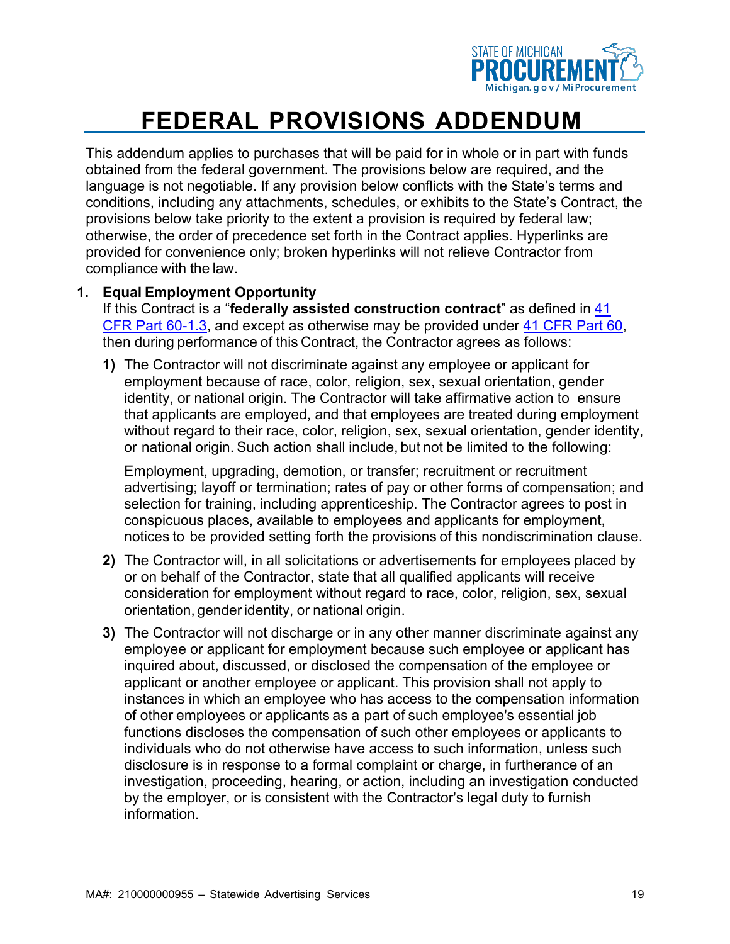

This addendum applies to purchases that will be paid for in whole or in part with funds obtained from the federal government. The provisions below are required, and the language is not negotiable. If any provision below conflicts with the State's terms and conditions, including any attachments, schedules, or exhibits to the State's Contract, the provisions below take priority to the extent a provision is required by federal law; otherwise, the order of precedence set forth in the Contract applies. Hyperlinks are provided for convenience only; broken hyperlinks will not relieve Contractor from compliance with the law.

#### **1. Equal Employment Opportunity**

If this Contract is a "**federally assisted construction contract**" as defined in [41](https://www.govinfo.gov/content/pkg/CFR-2019-title41-vol1/pdf/CFR-2019-title41-vol1-part60.pdf) [CFR Part 60-1.3, a](https://www.govinfo.gov/content/pkg/CFR-2019-title41-vol1/pdf/CFR-2019-title41-vol1-part60.pdf)nd except as otherwise may be provided under [41 CFR Part 60,](https://www.govinfo.gov/app/details/CFR-2019-title41-vol1/CFR-2019-title41-vol1-subtitleB-chap60/summary) then during performance of this Contract, the Contractor agrees as follows:

**1)** The Contractor will not discriminate against any employee or applicant for employment because of race, color, religion, sex, sexual orientation, gender identity, or national origin. The Contractor will take affirmative action to ensure that applicants are employed, and that employees are treated during employment without regard to their race, color, religion, sex, sexual orientation, gender identity, or national origin. Such action shall include, but not be limited to the following:

Employment, upgrading, demotion, or transfer; recruitment or recruitment advertising; layoff or termination; rates of pay or other forms of compensation; and selection for training, including apprenticeship. The Contractor agrees to post in conspicuous places, available to employees and applicants for employment, notices to be provided setting forth the provisions of this nondiscrimination clause.

- **2)** The Contractor will, in all solicitations or advertisements for employees placed by or on behalf of the Contractor, state that all qualified applicants will receive consideration for employment without regard to race, color, religion, sex, sexual orientation, gender identity, or national origin.
- **3)** The Contractor will not discharge or in any other manner discriminate against any employee or applicant for employment because such employee or applicant has inquired about, discussed, or disclosed the compensation of the employee or applicant or another employee or applicant. This provision shall not apply to instances in which an employee who has access to the compensation information of other employees or applicants as a part of such employee's essential job functions discloses the compensation of such other employees or applicants to individuals who do not otherwise have access to such information, unless such disclosure is in response to a formal complaint or charge, in furtherance of an investigation, proceeding, hearing, or action, including an investigation conducted by the employer, or is consistent with the Contractor's legal duty to furnish information.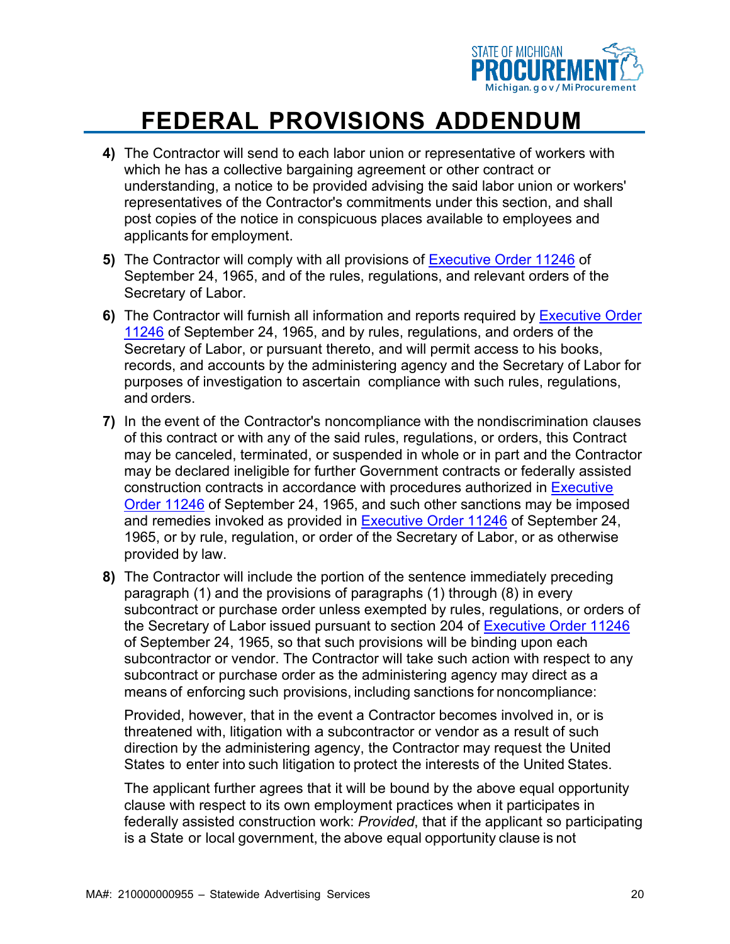

- **4)** The Contractor will send to each labor union or representative of workers with which he has a collective bargaining agreement or other contract or understanding, a notice to be provided advising the said labor union or workers' representatives of the Contractor's commitments under this section, and shall post copies of the notice in conspicuous places available to employees and applicants for employment.
- **5)** The Contractor will comply with all provisions of [Executive Order 11246](https://www.dol.gov/ofccp/regs/statutes/eo11246.htm) of September 24, 1965, and of the rules, regulations, and relevant orders of the Secretary of Labor.
- **6)** The Contractor will furnish all information and reports required by [Executive Order](https://www.dol.gov/ofccp/regs/statutes/eo11246.htm) [11246](https://www.dol.gov/ofccp/regs/statutes/eo11246.htm) of September 24, 1965, and by rules, regulations, and orders of the Secretary of Labor, or pursuant thereto, and will permit access to his books, records, and accounts by the administering agency and the Secretary of Labor for purposes of investigation to ascertain compliance with such rules, regulations, and orders.
- **7)** In the event of the Contractor's noncompliance with the nondiscrimination clauses of this contract or with any of the said rules, regulations, or orders, this Contract may be canceled, terminated, or suspended in whole or in part and the Contractor may be declared ineligible for further Government contracts or federally assisted construction contracts in accordance with procedures authorized in [Executive](https://www.dol.gov/ofccp/regs/statutes/eo11246.htm) [Order 11246](https://www.dol.gov/ofccp/regs/statutes/eo11246.htm) of September 24, 1965, and such other sanctions may be imposed and remedies invoked as provided in [Executive Order 11246](https://www.dol.gov/ofccp/regs/statutes/eo11246.htm) of September 24, 1965, or by rule, regulation, or order of the Secretary of Labor, or as otherwise provided by law.
- **8)** The Contractor will include the portion of the sentence immediately preceding paragraph (1) and the provisions of paragraphs (1) through (8) in every subcontract or purchase order unless exempted by rules, regulations, or orders of the Secretary of Labor issued pursuant to section 204 of [Executive Order 11246](https://www.dol.gov/ofccp/regs/statutes/eo11246.htm) of September 24, 1965, so that such provisions will be binding upon each subcontractor or vendor. The Contractor will take such action with respect to any subcontract or purchase order as the administering agency may direct as a means of enforcing such provisions, including sanctions for noncompliance:

Provided, however, that in the event a Contractor becomes involved in, or is threatened with, litigation with a subcontractor or vendor as a result of such direction by the administering agency, the Contractor may request the United States to enter into such litigation to protect the interests of the United States.

The applicant further agrees that it will be bound by the above equal opportunity clause with respect to its own employment practices when it participates in federally assisted construction work: *Provided*, that if the applicant so participating is a State or local government, the above equal opportunity clause is not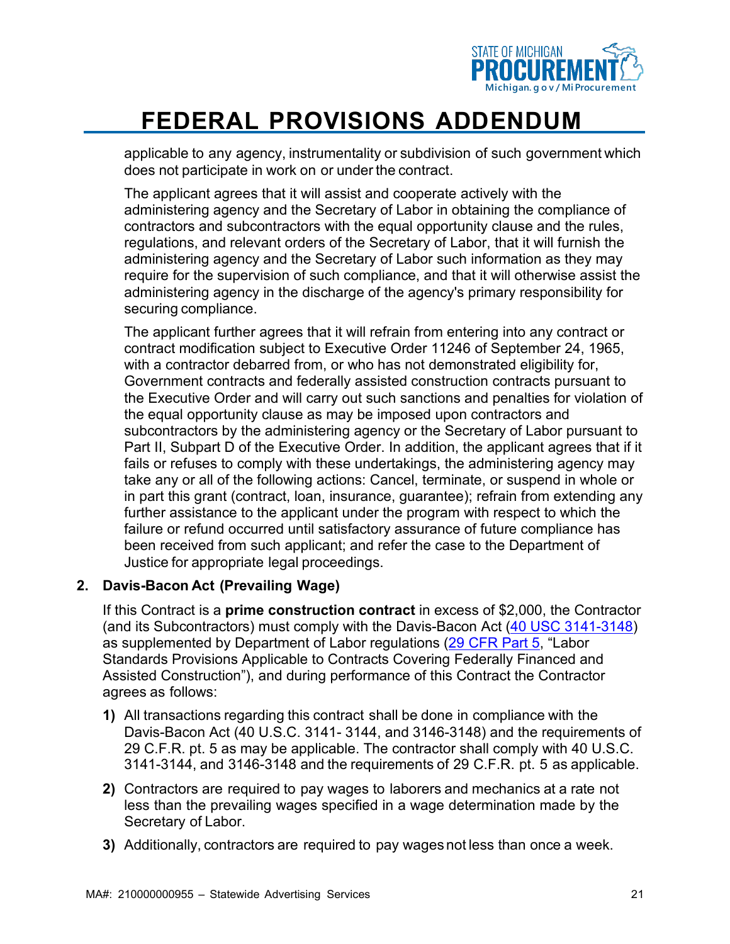

applicable to any agency, instrumentality or subdivision of such government which does not participate in work on or under the contract.

The applicant agrees that it will assist and cooperate actively with the administering agency and the Secretary of Labor in obtaining the compliance of contractors and subcontractors with the equal opportunity clause and the rules, regulations, and relevant orders of the Secretary of Labor, that it will furnish the administering agency and the Secretary of Labor such information as they may require for the supervision of such compliance, and that it will otherwise assist the administering agency in the discharge of the agency's primary responsibility for securing compliance.

The applicant further agrees that it will refrain from entering into any contract [or](https://www.law.cornell.edu/definitions/index.php?width=840&%3Bheight=800&%3Biframe=true&%3Bdef_id=22edf9acbb0b836eba994727b86adedf&%3Bterm_occur=16&%3Bterm_src=Title%3A41%3ASubtitle%3AB%3AChapter%3A60%3APart%3A60-1%3ASubpart%3AA%3A60-1.4) [contract m](https://www.law.cornell.edu/definitions/index.php?width=840&%3Bheight=800&%3Biframe=true&%3Bdef_id=22edf9acbb0b836eba994727b86adedf&%3Bterm_occur=16&%3Bterm_src=Title%3A41%3ASubtitle%3AB%3AChapter%3A60%3APart%3A60-1%3ASubpart%3AA%3A60-1.4)odification subject to Executive Order 11246 of September 24, 1965, with a contractor debarred from, or who has not demonstrated eligibility for, Government contracts and federally assisted construction contracts pursuant to the Executive Order and will carry out such sanctions and penalties for violation of the equal opportunity clause as may be imposed upon contractors and subcontractors by the administering agency or the Secretary of Labor pursuant to Part II, Subpart D of the Executive Order. In addition, the applicant agrees that if it fails or refuses to comply with these undertakings, the administering agency may take any or all of the following actions: Cancel, terminate, or suspend in whole or in part this grant (contract, loan, insurance, guarantee); refrain from extending any further assistance to the applicant under the program with respect to which the failure or refund occurred until satisfactory assurance of future compliance has been received from such applicant; and refer the case to the Department of Justice for appropriate legal proceedings.

#### **2. Davis-Bacon Act (Prevailing Wage)**

If this Contract is a **prime construction contract** in excess of \$2,000, the Contractor (and its Subcontractors) must comply with the Davis-Bacon Act [\(40 USC 3141-3148\)](https://www.govinfo.gov/app/details/USCODE-2018-title40/USCODE-2018-title40-subtitleII-partA-chap31-subchapIV) as supplemented by Department of Labor regulations [\(29 CFR Part 5, "](https://www.govinfo.gov/app/details/CFR-2019-title29-vol1/CFR-2019-title29-vol1-part5)Labor Standards Provisions Applicable to Contracts Covering Federally Financed and Assisted Construction"), and during performance of this Contract the Contractor agrees as follows:

- **1)** All transactions regarding this contract shall be done in compliance with the Davis-Bacon Act (40 U.S.C. 3141- 3144, and 3146-3148) and the requirements of 29 C.F.R. pt. 5 as may be applicable. The contractor shall comply with 40 U.S.C. 3141-3144, and 3146-3148 and the requirements of 29 C.F.R. pt. 5 as applicable.
- **2)** Contractors are required to pay wages to laborers and mechanics at a rate not less than the prevailing wages specified in a wage determination made by the Secretary of Labor.
- **3)** Additionally, contractors are required to pay wages not less than once a week.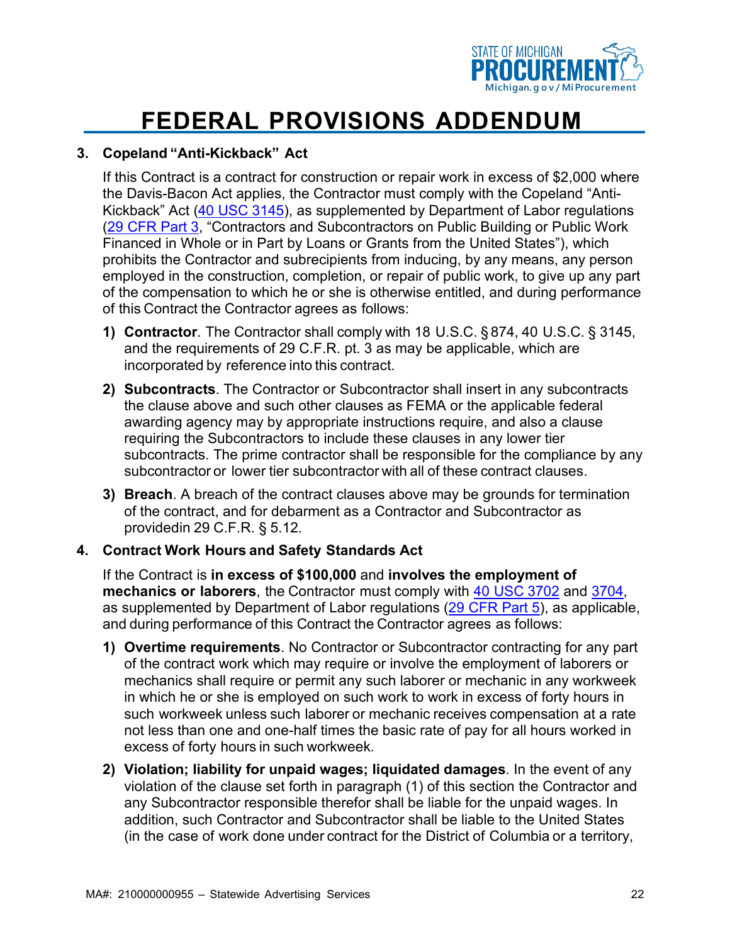

#### **3. Copeland "Anti-Kickback" Act**

If this Contract is a contract for construction or repair work in excess of \$2,000 where the Davis-Bacon Act applies, the Contractor must comply with the Copeland "Anti-Kickback" Act [\(40 USC 3145\)](https://www.govinfo.gov/app/details/USCODE-2018-title40/USCODE-2018-title40-subtitleII-partA-chap31-subchapIV-sec3145), as supplemented by Department of Labor regulations [\(29 CFR Part 3,](https://www.govinfo.gov/app/details/CFR-2019-title29-vol1/CFR-2019-title29-vol1-part3) "Contractors and Subcontractors on Public Building or Public Work Financed in Whole or in Part by Loans or Grants from the United States"), which prohibits the Contractor and subrecipients from inducing, by any means, any person employed in the construction, completion, or repair of public work, to give up any part of the compensation to which he or she is otherwise entitled, and during performance of this Contract the Contractor agrees as follows:

- **1) Contractor**. The Contractor shall comply with 18 U.S.C. § 874, 40 U.S.C. § 3145, and the requirements of 29 C.F.R. pt. 3 as may be applicable, which are incorporated by reference into this contract.
- **2) Subcontracts**. The Contractor or Subcontractor shall insert in any subcontracts the clause above and such other clauses as FEMA or the applicable federal awarding agency may by appropriate instructions require, and also a clause requiring the Subcontractors to include these clauses in any lower tier subcontracts. The prime contractor shall be responsible for the compliance by any subcontractor or lower tier subcontractor with all of these contract clauses.
- **3) Breach**. A breach of the contract clauses above may be grounds for termination of the contract, and for debarment as a Contractor and Subcontractor as providedin 29 C.F.R. § 5.12.

#### **4. Contract Work Hours and Safety Standards Act**

If the Contract is **in excess of \$100,000** and **involves the employment of mechanics or laborers**, the Contractor must comply with 40 USC [3702](https://www.govinfo.gov/app/details/USCODE-2018-title40/USCODE-2018-title40-subtitleII-partA-chap37-sec3702) and [3704,](https://www.govinfo.gov/app/details/USCODE-2018-title40/USCODE-2018-title40-subtitleII-partA-chap37-sec3704) as supplemented by Department of Labor regulations [\(29 CFR Part 5\)](https://www.govinfo.gov/app/details/CFR-2019-title29-vol1/CFR-2019-title29-vol1-part5), as applicable, and during performance of this Contract the Contractor agrees as follows:

- **1) Overtime requirements**. No Contractor or Subcontractor contracting for any part of the contract work which may require or involve the employment of laborers or mechanics shall require or permit any such laborer or mechanic in any workweek in which he or she is employed on such work to work in excess of forty hours in such workweek unless such laborer or mechanic receives compensation at a rate not less than one and one-half times the basic rate of pay for all hours worked in excess of forty hours in such workweek.
- **2) Violation; liability for unpaid wages; liquidated damages***.* In the event of any violation of the clause set forth in paragraph (1) of this section the Contractor and any Subcontractor responsible therefor shall be liable for the unpaid wages. In addition, such Contractor and Subcontractor shall be liable to the United States (in the case of work done under contract for the District of Columbia or a territory,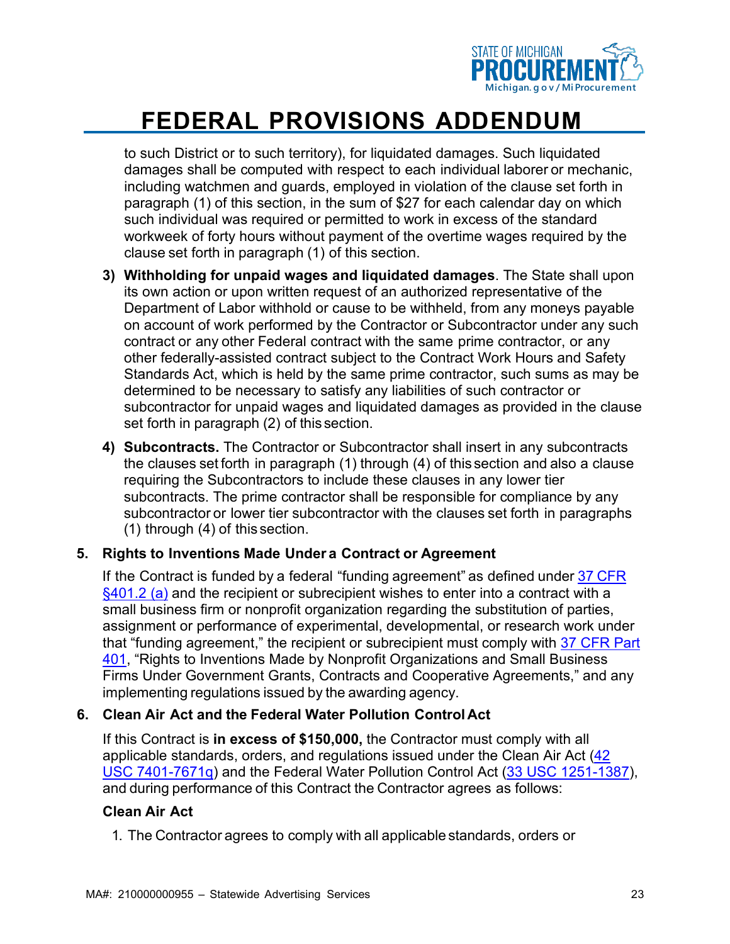

to such District or to such territory), for liquidated damages. Such liquidated damages shall be computed with respect to each individual laborer or mechanic, including watchmen and guards, employed in violation of the clause set forth in paragraph (1) of this section, in the sum of \$27 for each calendar day on which such individual was required or permitted to work in excess of the standard workweek of forty hours without payment of the overtime wages required by the clause set forth in paragraph (1) of this section.

- **3) Withholding for unpaid wages and liquidated damages**. The State shall upon its own action or upon written request of an authorized representative of the Department of Labor withhold or cause to be withheld, from any moneys payable on account of work performed by the Contractor or Subcontractor under any such contract or any other Federal contract with the same prime contractor, or any other federally-assisted contract subject to the Contract Work Hours and Safety Standards Act, which is held by the same prime contractor, such sums as may be determined to be necessary to satisfy any liabilities of such contractor or subcontractor for unpaid wages and liquidated damages as provided in the clause set forth in paragraph (2) of this section.
- **4) Subcontracts.** The Contractor or Subcontractor shall insert in any subcontracts the clauses set forth in paragraph (1) through (4) of this section and also a clause requiring the Subcontractors to include these clauses in any lower tier subcontracts. The prime contractor shall be responsible for compliance by any subcontractor or lower tier subcontractor with the clauses set forth in paragraphs (1) through (4) of this section.

#### **5. Rights to Inventions Made Under a Contract or Agreement**

If the Contract is funded by a federal "funding agreement" as defined under  $37$  [CFR](https://www.govinfo.gov/content/pkg/CFR-2019-title37-vol1/pdf/CFR-2019-title37-vol1-sec401-2.pdf) [§401.2 \(a\)](https://www.govinfo.gov/content/pkg/CFR-2019-title37-vol1/pdf/CFR-2019-title37-vol1-sec401-2.pdf) and the recipient or subrecipient wishes to enter into a contract with a small business firm or nonprofit organization regarding the substitution of parties, assignment or performance of experimental, developmental, or research work under that "funding agreement," the recipient or subrecipient must comply with [37 CFR Part](https://www.govinfo.gov/app/details/CFR-2019-title37-vol1/CFR-2019-title37-vol1-part401) [401,](https://www.govinfo.gov/app/details/CFR-2019-title37-vol1/CFR-2019-title37-vol1-part401) "Rights to Inventions Made by Nonprofit Organizations and Small Business Firms Under Government Grants, Contracts and Cooperative Agreements," and any implementing regulations issued by the awarding agency.

#### **6. Clean Air Act and the Federal Water Pollution Control Act**

If this Contract is **in excess of \$150,000,** the Contractor must comply with all applicable standards, orders, and regulations issued under the Clean Air Act [\(42](https://www.govinfo.gov/app/details/USCODE-2018-title42/USCODE-2018-title42-chap85) [USC 7401-7671q\)](https://www.govinfo.gov/app/details/USCODE-2018-title42/USCODE-2018-title42-chap85) and the Federal Water Pollution Control Act [\(33 USC 1251-1387\)](https://www.govinfo.gov/app/details/USCODE-2018-title33/USCODE-2018-title33-chap26), and during performance of this Contract the Contractor agrees as follows:

#### **Clean Air Act**

1. The Contractor agrees to comply with all applicable standards, orders or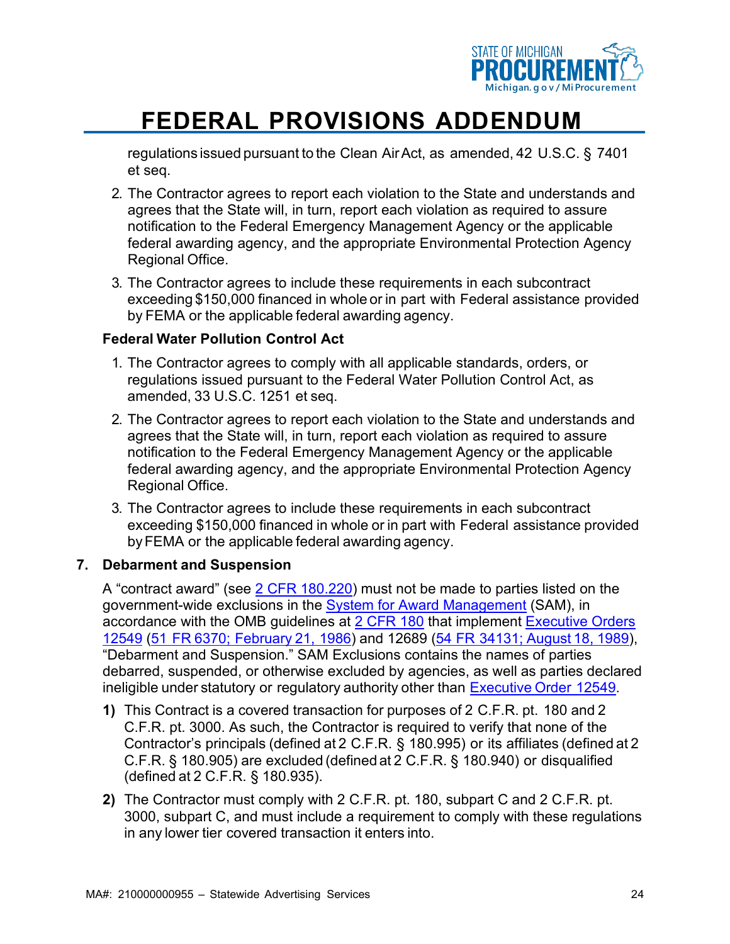

regulations issued pursuant to the Clean AirAct, as amended, 42 U.S.C. § 7401 et seq.

- 2. The Contractor agrees to report each violation to the State and understands and agrees that the State will, in turn, report each violation as required to assure notification to the Federal Emergency Management Agency or the applicable federal awarding agency, and the appropriate Environmental Protection Agency Regional Office.
- 3. The Contractor agrees to include these requirements in each subcontract exceeding \$150,000 financed in whole or in part with Federal assistance provided by FEMA or the applicable federal awarding agency.

#### **Federal Water Pollution Control Act**

- 1. The Contractor agrees to comply with all applicable standards, orders, or regulations issued pursuant to the Federal Water Pollution Control Act, as amended, 33 U.S.C. 1251 et seq.
- 2. The Contractor agrees to report each violation to the State and understands and agrees that the State will, in turn, report each violation as required to assure notification to the Federal Emergency Management Agency or the applicable federal awarding agency, and the appropriate Environmental Protection Agency Regional Office.
- 3. The Contractor agrees to include these requirements in each subcontract exceeding \$150,000 financed in whole or in part with Federal assistance provided byFEMA or the applicable federal awarding agency.

#### **7. Debarment and Suspension**

A "contract award" (see [2 CFR 180.220\)](https://www.govinfo.gov/app/details/CFR-2019-title2-vol1/CFR-2019-title2-vol1-sec180-220) must not be made to parties listed on the government-wide exclusions in the [System for Award Management](https://sam.gov/SAM/pages/public/index.jsf) (SAM), in accordance with the OMB guidelines at [2 CFR 180](https://www.govinfo.gov/app/details/CFR-2019-title2-vol1/CFR-2019-title2-vol1-part180) that implement [Executive Orders](https://www.archives.gov/federal-register/codification/executive-order/12549.html) [12549](https://www.archives.gov/federal-register/codification/executive-order/12549.html) (51 FR 6370; [February](https://www.govinfo.gov/content/pkg/FR-1986-02-21/pdf/FR-1986-02-21.pdf) 21, 1986) and 12689 (54 FR 34131; [August](https://www.govinfo.gov/content/pkg/FR-1989-08-18/pdf/FR-1989-08-18.pdf) 18, 1989), "Debarment and Suspension." SAM Exclusions contains the names of parties debarred, suspended, or otherwise excluded by agencies, as well as parties declared ineligible under statutory or regulatory authority other than [Executive](https://www.archives.gov/federal-register/codification/executive-order/12549.html) Order 12549.

- **1)** This Contract is a covered transaction for purposes of 2 C.F.R. pt. 180 and 2 C.F.R. pt. 3000. As such, the Contractor is required to verify that none of the Contractor's principals (defined at 2 C.F.R. § 180.995) or its affiliates (defined at 2 C.F.R. § 180.905) are excluded (defined at 2 C.F.R. § 180.940) or disqualified (defined at 2 C.F.R. § 180.935).
- **2)** The Contractor must comply with 2 C.F.R. pt. 180, subpart C and 2 C.F.R. pt. 3000, subpart C, and must include a requirement to comply with these regulations in any lower tier covered transaction it enters into.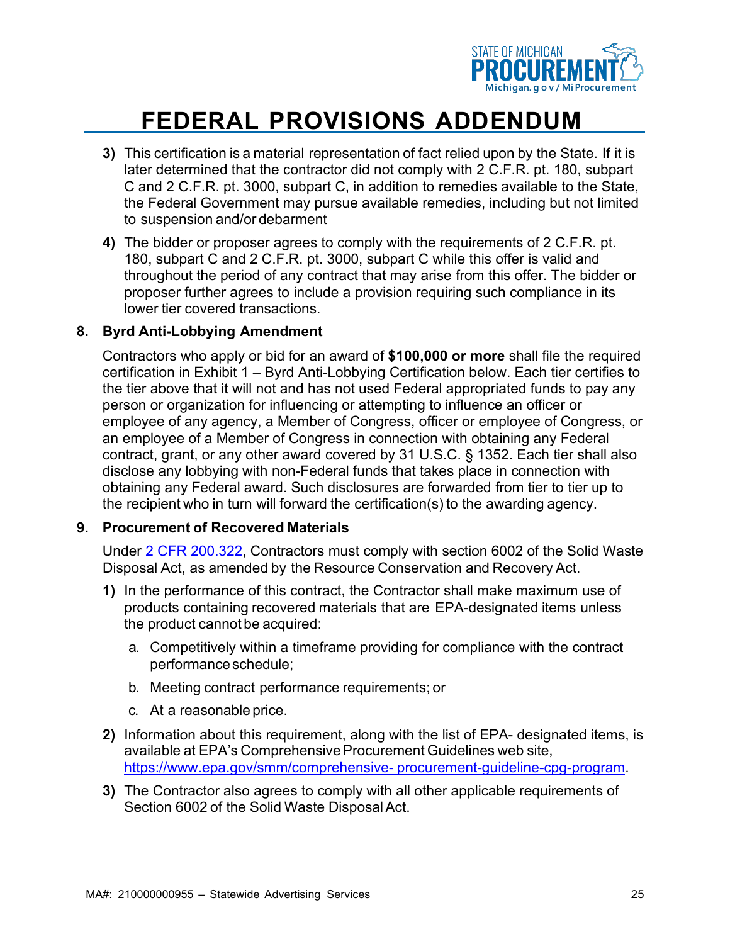

- **3)** This certification is a material representation of fact relied upon by the State. If it is later determined that the contractor did not comply with 2 C.F.R. pt. 180, subpart C and 2 C.F.R. pt. 3000, subpart C, in addition to remedies available to the State, the Federal Government may pursue available remedies, including but not limited to suspension and/or debarment
- **4)** The bidder or proposer agrees to comply with the requirements of 2 C.F.R. pt. 180, subpart C and 2 C.F.R. pt. 3000, subpart C while this offer is valid and throughout the period of any contract that may arise from this offer. The bidder or proposer further agrees to include a provision requiring such compliance in its lower tier covered transactions.

#### **8. Byrd Anti-Lobbying Amendment**

Contractors who apply or bid for an award of **\$100,000 or more** shall file the required certification in Exhibit 1 – Byrd Anti-Lobbying Certification below. Each tier certifies to the tier above that it will not and has not used Federal appropriated funds to pay any person or organization for influencing or attempting to influence an officer or employee of any agency, a Member of Congress, officer or employee of Congress, or an employee of a Member of Congress in connection with obtaining any Federal contract, grant, or any other award covered by 31 U.S.C. § 1352. Each tier shall also disclose any lobbying with non-Federal funds that takes place in connection with obtaining any Federal award. Such disclosures are forwarded from tier to tier up to the recipient who in turn will forward the certification(s) to the awarding agency.

#### **9. Procurement of Recovered Materials**

Under [2 CFR 200.322,](https://www.govinfo.gov/app/details/CFR-2014-title2-vol1/CFR-2014-title2-vol1-sec200-322/context) Contractors must comply with section 6002 of the Solid Waste Disposal Act, as amended by the Resource Conservation and Recovery Act.

- **1)** In the performance of this contract, the Contractor shall make maximum use of products containing recovered materials that are EPA-designated items unless the product cannot be acquired:
	- a. Competitively within a timeframe providing for compliance with the contract performance schedule;
	- b. Meeting contract performance requirements; or
	- c. At a reasonable price.
- **2)** Information about this requirement, along with the list of EPA- designated items, is available at EPA's Comprehensive Procurement Guidelines web site, [https://www.epa.gov/smm/comprehensive-](https://www.epa.gov/smm/comprehensive-procurement-guideline-cpg-program) [procurement-guideline-cpg-program.](https://www.epa.gov/smm/comprehensive-procurement-guideline-cpg-program)
- **3)** The Contractor also agrees to comply with all other applicable requirements of Section 6002 of the Solid Waste Disposal Act.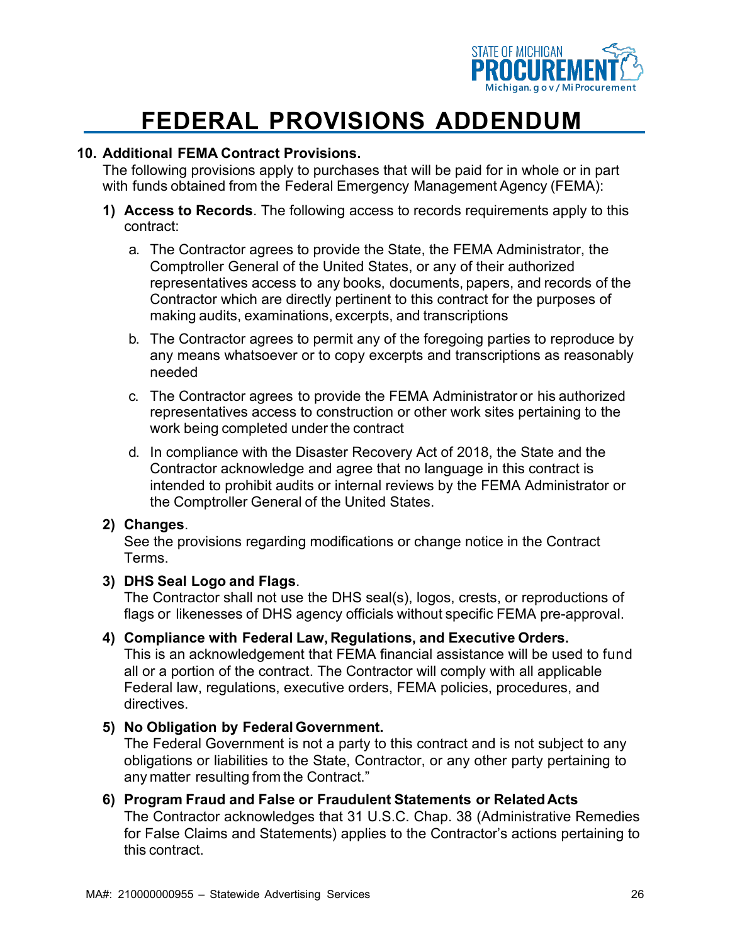

#### **10. Additional FEMA Contract Provisions.**

The following provisions apply to purchases that will be paid for in whole or in part with funds obtained from the Federal Emergency Management Agency (FEMA):

- **1) Access to Records**. The following access to records requirements apply to this contract:
	- a. The Contractor agrees to provide the State, the FEMA Administrator, the Comptroller General of the United States, or any of their authorized representatives access to any books, documents, papers, and records of the Contractor which are directly pertinent to this contract for the purposes of making audits, examinations, excerpts, and transcriptions
	- b. The Contractor agrees to permit any of the foregoing parties to reproduce by any means whatsoever or to copy excerpts and transcriptions as reasonably needed
	- c. The Contractor agrees to provide the FEMA Administrator or his authorized representatives access to construction or other work sites pertaining to the work being completed under the contract
	- d. In compliance with the Disaster Recovery Act of 2018, the State and the Contractor acknowledge and agree that no language in this contract is intended to prohibit audits or internal reviews by the FEMA Administrator or the Comptroller General of the United States.

#### **2) Changes**.

See the provisions regarding modifications or change notice in the Contract Terms.

#### **3) DHS Seal Logo and Flags**.

The Contractor shall not use the DHS seal(s), logos, crests, or reproductions of flags or likenesses of DHS agency officials without specific FEMA pre-approval.

#### **4) Compliance with Federal Law, Regulations, and Executive Orders.**

This is an acknowledgement that FEMA financial assistance will be used to fund all or a portion of the contract. The Contractor will comply with all applicable Federal law, regulations, executive orders, FEMA policies, procedures, and directives.

#### **5) No Obligation by Federal Government.**

The Federal Government is not a party to this contract and is not subject to any obligations or liabilities to the State, Contractor, or any other party pertaining to any matter resulting from the Contract."

#### **6) Program Fraud and False or Fraudulent Statements or RelatedActs**

The Contractor acknowledges that 31 U.S.C. Chap. 38 (Administrative Remedies for False Claims and Statements) applies to the Contractor's actions pertaining to this contract.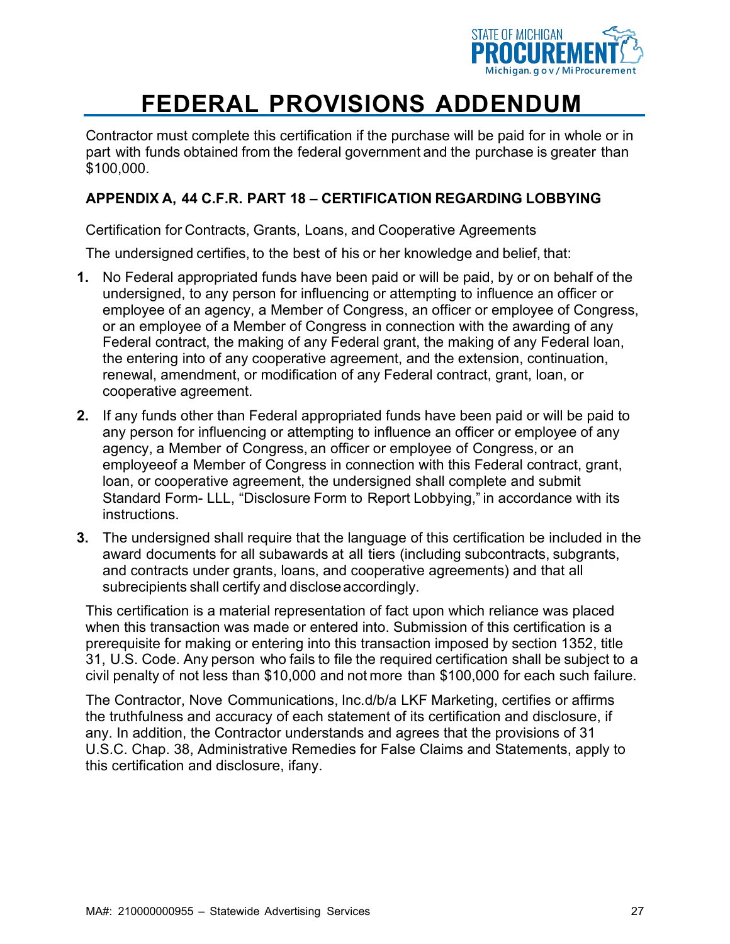

Contractor must complete this certification if the purchase will be paid for in whole or in part with funds obtained from the federal government and the purchase is greater than \$100,000.

#### **APPENDIX A, 44 C.F.R. PART 18 – CERTIFICATION REGARDING LOBBYING**

Certification for Contracts, Grants, Loans, and Cooperative Agreements

The undersigned certifies, to the best of his or her knowledge and belief, that:

- **1.** No Federal appropriated funds have been paid or will be paid, by or on behalf of the undersigned, to any person for influencing or attempting to influence an officer or employee of an agency, a Member of Congress, an officer or employee of Congress, or an employee of a Member of Congress in connection with the awarding of any Federal contract, the making of any Federal grant, the making of any Federal loan, the entering into of any cooperative agreement, and the extension, continuation, renewal, amendment, or modification of any Federal contract, grant, loan, or cooperative agreement.
- **2.** If any funds other than Federal appropriated funds have been paid or will be paid to any person for influencing or attempting to influence an officer or employee of any agency, a Member of Congress, an officer or employee of Congress, or an employeeof a Member of Congress in connection with this Federal contract, grant, loan, or cooperative agreement, the undersigned shall complete and submit Standard Form- LLL, "Disclosure Form to Report Lobbying," in accordance with its instructions.
- **3.** The undersigned shall require that the language of this certification be included in the award documents for all subawards at all tiers (including subcontracts, subgrants, and contracts under grants, loans, and cooperative agreements) and that all subrecipients shall certify and discloseaccordingly.

This certification is a material representation of fact upon which reliance was placed when this transaction was made or entered into. Submission of this certification is a prerequisite for making or entering into this transaction imposed by section 1352, title 31, U.S. Code. Any person who fails to file the required certification shall be subject to a civil penalty of not less than \$10,000 and not more than \$100,000 for each such failure.

The Contractor, Nove Communications, Inc.d/b/a LKF Marketing, certifies or affirms the truthfulness and accuracy of each statement of its certification and disclosure, if any. In addition, the Contractor understands and agrees that the provisions of 31 U.S.C. Chap. 38, Administrative Remedies for False Claims and Statements, apply to this certification and disclosure, ifany.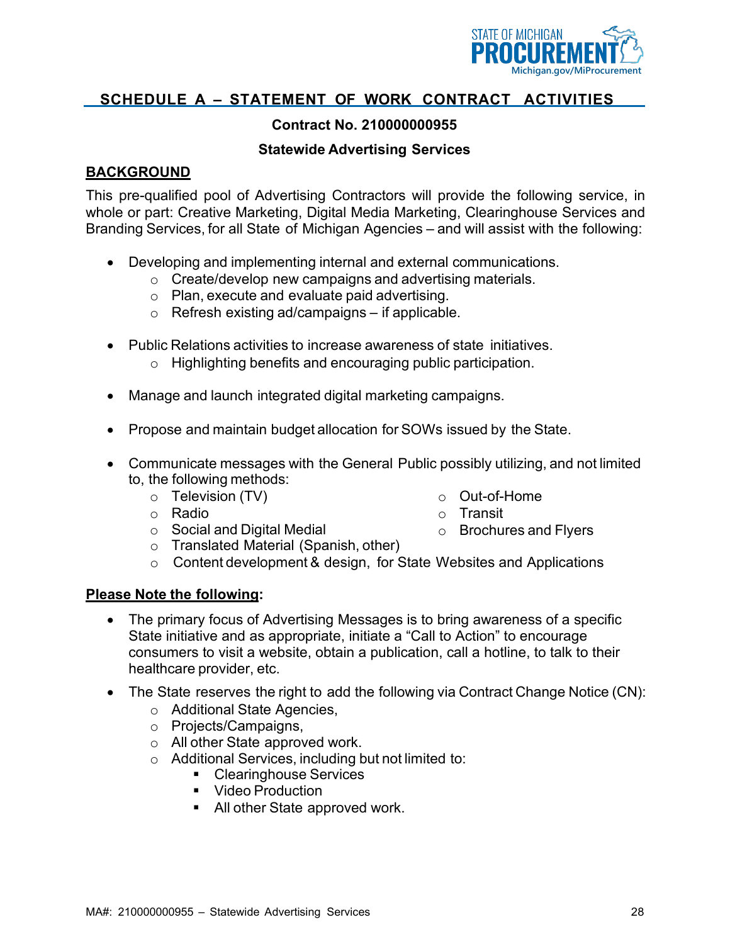

#### **Contract No. 210000000955**

#### **Statewide Advertising Services**

#### **BACKGROUND**

This pre-qualified pool of Advertising Contractors will provide the following service, in whole or part: Creative Marketing, Digital Media Marketing, Clearinghouse Services and Branding Services, for all State of Michigan Agencies – and will assist with the following:

- Developing and implementing internal and external communications.
	- o Create/develop new campaigns and advertising materials.
	- o Plan, execute and evaluate paid advertising.
	- o Refresh existing ad/campaigns if applicable.
- Public Relations activities to increase awareness of state initiatives.
	- o Highlighting benefits and encouraging public participation.
- Manage and launch integrated digital marketing campaigns.
- Propose and maintain budget allocation for SOWs issued by the State.
- Communicate messages with the General Public possibly utilizing, and not limited to, the following methods:
	- o Television (TV)
- o Out-of-Home
- 
- o Transit o Brochures and Flyers
- o Social and Digital Medial o Translated Material (Spanish, other)
- o Content development & design, for State Websites and Applications

#### **Please Note the following:**

o Radio

- The primary focus of Advertising Messages is to bring awareness of a specific State initiative and as appropriate, initiate a "Call to Action" to encourage consumers to visit a website, obtain a publication, call a hotline, to talk to their healthcare provider, etc.
- The State reserves the right to add the following via Contract Change Notice (CN):
	- o Additional State Agencies,
	- o Projects/Campaigns,
	- o All other State approved work.
	- o Additional Services, including but not limited to:
		- Clearinghouse Services
		- **•** Video Production
		- All other State approved work.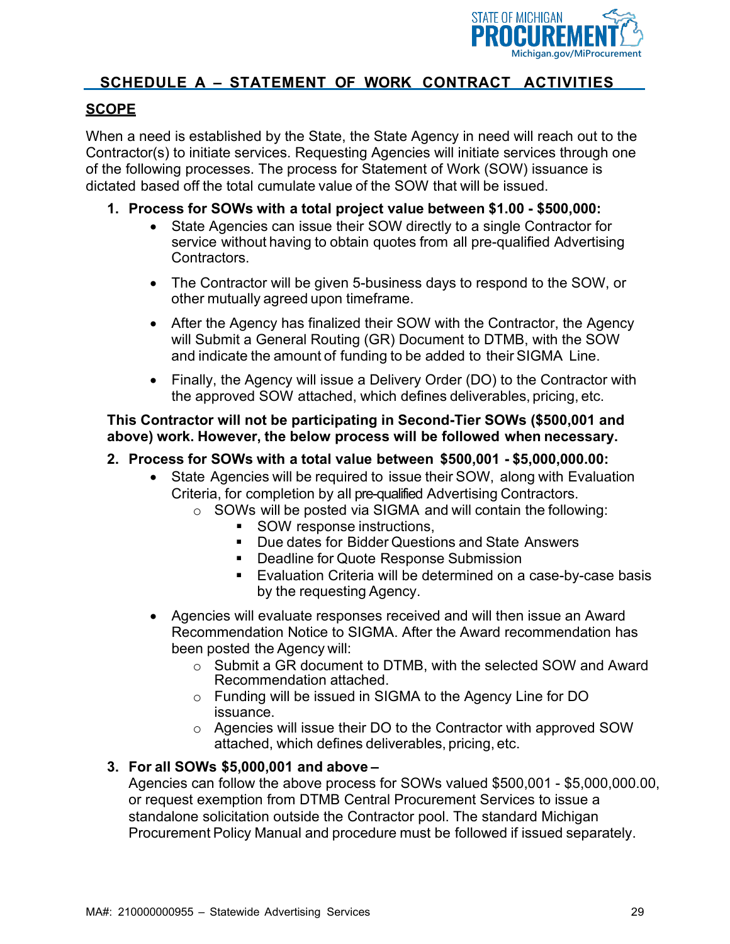

#### **SCOPE**

When a need is established by the State, the State Agency in need will reach out to the Contractor(s) to initiate services. Requesting Agencies will initiate services through one of the following processes. The process for Statement of Work (SOW) issuance is dictated based off the total cumulate value of the SOW that will be issued.

#### **1. Process for SOWs with a total project value between \$1.00 - \$500,000:**

- State Agencies can issue their SOW directly to a single Contractor for service without having to obtain quotes from all pre-qualified Advertising Contractors.
- The Contractor will be given 5-business days to respond to the SOW, or other mutually agreed upon timeframe.
- After the Agency has finalized their SOW with the Contractor, the Agency will Submit a General Routing (GR) Document to DTMB, with the SOW and indicate the amount of funding to be added to their SIGMA Line.
- Finally, the Agency will issue a Delivery Order (DO) to the Contractor with the approved SOW attached, which defines deliverables, pricing, etc.

#### **This Contractor will not be participating in Second-Tier SOWs (\$500,001 and above) work. However, the below process will be followed when necessary.**

#### **2. Process for SOWs with a total value between \$500,001 - \$5,000,000.00:**

- State Agencies will be required to issue their SOW, along with Evaluation Criteria, for completion by all pre-qualified Advertising Contractors.
	- o SOWs will be posted via SIGMA and will contain the following:
		- **SOW** response instructions,
		- **Due dates for Bidder Questions and State Answers**
		- **Deadline for Quote Response Submission**
		- Evaluation Criteria will be determined on a case-by-case basis by the requesting Agency.
- Agencies will evaluate responses received and will then issue an Award Recommendation Notice to SIGMA. After the Award recommendation has been posted the Agency will:
	- o Submit a GR document to DTMB, with the selected SOW and Award Recommendation attached.
	- o Funding will be issued in SIGMA to the Agency Line for DO issuance.
	- o Agencies will issue their DO to the Contractor with approved SOW attached, which defines deliverables, pricing, etc.

#### **3. For all SOWs \$5,000,001 and above –**

Agencies can follow the above process for SOWs valued \$500,001 - \$5,000,000.00, or request exemption from DTMB Central Procurement Services to issue a standalone solicitation outside the Contractor pool. The standard Michigan Procurement Policy Manual and procedure must be followed if issued separately.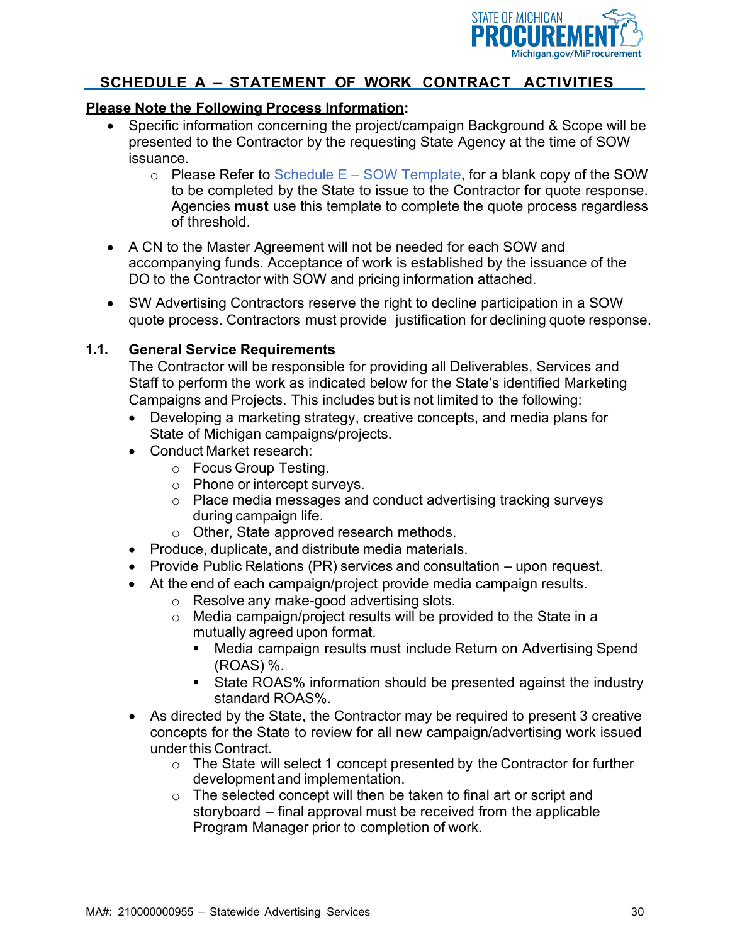

#### **Please Note the Following Process Information:**

- Specific information concerning the project/campaign Background & Scope will be presented to the Contractor by the requesting State Agency at the time of SOW issuance.
	- $\circ$  Please Refer to Schedule E SOW Template, for a blank copy of the SOW to be completed by the State to issue to the Contractor for quote response. Agencies **must** use this template to complete the quote process regardless of threshold.
- A CN to the Master Agreement will not be needed for each SOW and accompanying funds. Acceptance of work is established by the issuance of the DO to the Contractor with SOW and pricing information attached.
- SW Advertising Contractors reserve the right to decline participation in a SOW quote process. Contractors must provide justification for declining quote response.

#### **1.1. General Service Requirements**

The Contractor will be responsible for providing all Deliverables, Services and Staff to perform the work as indicated below for the State's identified Marketing Campaigns and Projects. This includes but is not limited to the following:

- Developing a marketing strategy, creative concepts, and media plans for State of Michigan campaigns/projects.
- Conduct Market research:
	- o Focus Group Testing.
	- o Phone or intercept surveys.
	- o Place media messages and conduct advertising tracking surveys during campaign life.
	- o Other, State approved research methods.
- Produce, duplicate, and distribute media materials.
- Provide Public Relations (PR) services and consultation upon request.
- At the end of each campaign/project provide media campaign results.
	- o Resolve any make-good advertising slots.
	- o Media campaign/project results will be provided to the State in a mutually agreed upon format.
		- Media campaign results must include Return on Advertising Spend (ROAS) %.
		- State ROAS% information should be presented against the industry standard ROAS%.
- As directed by the State, the Contractor may be required to present 3 creative concepts for the State to review for all new campaign/advertising work issued under this Contract.
	- o The State will select 1 concept presented by the Contractor for further development and implementation.
	- $\circ$  The selected concept will then be taken to final art or script and storyboard – final approval must be received from the applicable Program Manager prior to completion of work.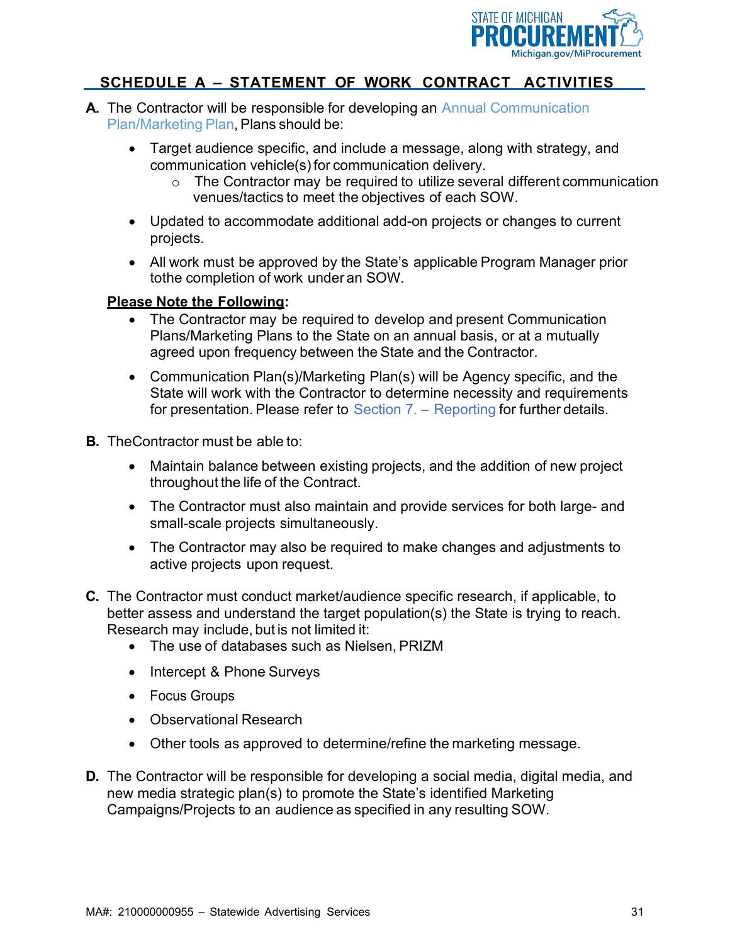

- **A.** The Contractor will be responsible for developing an Annual Communication Plan/Marketing Plan, Plans should be:
	- Target audience specific, and include a message, along with strategy, and communication vehicle(s) for communication delivery.
		- o The Contractor may be required to utilize several different communication venues/tactics to meet the objectives of each SOW.
	- Updated to accommodate additional add-on projects or changes to current projects.
	- All work must be approved by the State's applicable Program Manager prior tothe completion of work under an SOW.

#### **Please Note the Following:**

- The Contractor may be required to develop and present Communication Plans/Marketing Plans to the State on an annual basis, or at a mutually agreed upon frequency between the State and the Contractor.
- Communication Plan(s)/Marketing Plan(s) will be Agency specific, and the State will work with the Contractor to determine necessity and requirements for presentation. Please refer to Section 7. – Reporting for further details.
- **B.** TheContractor must be able to:
	- Maintain balance between existing projects, and the addition of new project throughout the life of the Contract.
	- The Contractor must also maintain and provide services for both large- and small-scale projects simultaneously.
	- The Contractor may also be required to make changes and adjustments to active projects upon request.
- **C.** The Contractor must conduct market/audience specific research, if applicable, to better assess and understand the target population(s) the State is trying to reach. Research may include, but is not limited it:
	- The use of databases such as Nielsen, PRIZM
	- Intercept & Phone Surveys
	- Focus Groups
	- Observational Research
	- Other tools as approved to determine/refine the marketing message.
- **D.** The Contractor will be responsible for developing a social media, digital media, and new media strategic plan(s) to promote the State's identified Marketing Campaigns/Projects to an audience as specified in any resulting SOW.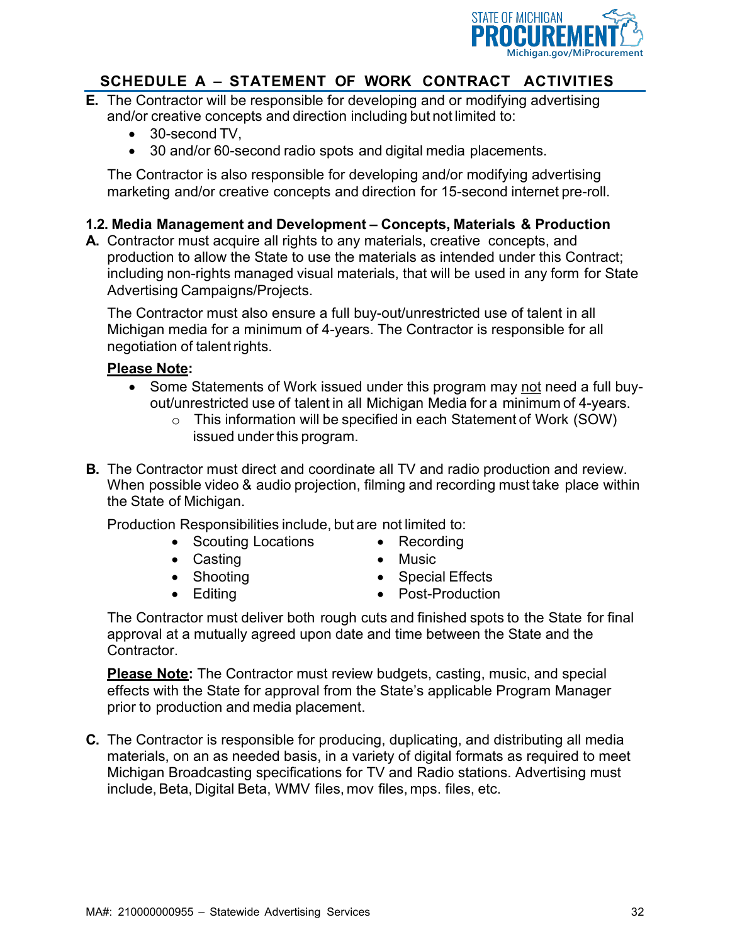

- **E.** The Contractor will be responsible for developing and or modifying advertising and/or creative concepts and direction including but not limited to:
	- 30-second TV,
	- 30 and/or 60-second radio spots and digital media placements.

The Contractor is also responsible for developing and/or modifying advertising marketing and/or creative concepts and direction for 15-second internet pre-roll.

#### **1.2. Media Management and Development – Concepts, Materials & Production**

**A.** Contractor must acquire all rights to any materials, creative concepts, and production to allow the State to use the materials as intended under this Contract; including non-rights managed visual materials, that will be used in any form for State Advertising Campaigns/Projects.

The Contractor must also ensure a full buy-out/unrestricted use of talent in all Michigan media for a minimum of 4-years. The Contractor is responsible for all negotiation of talentrights.

#### **Please Note:**

- Some Statements of Work issued under this program may not need a full buyout/unrestricted use of talent in all Michigan Media for a minimum of 4-years.
	- o This information will be specified in each Statement of Work (SOW) issued under this program.
- **B.** The Contractor must direct and coordinate all TV and radio production and review. When possible video & audio projection, filming and recording must take place within the State of Michigan.

Production Responsibilities include, but are not limited to:

- Scouting Locations
- Recording

• Casting

• Music

• Shooting • Editing

- Special Effects • Post-Production
- The Contractor must deliver both rough cuts and finished spots to the State for final approval at a mutually agreed upon date and time between the State and the Contractor.

**Please Note:** The Contractor must review budgets, casting, music, and special effects with the State for approval from the State's applicable Program Manager prior to production and media placement.

**C.** The Contractor is responsible for producing, duplicating, and distributing all media materials, on an as needed basis, in a variety of digital formats as required to meet Michigan Broadcasting specifications for TV and Radio stations. Advertising must include, Beta, Digital Beta, WMV files, mov files, mps. files, etc.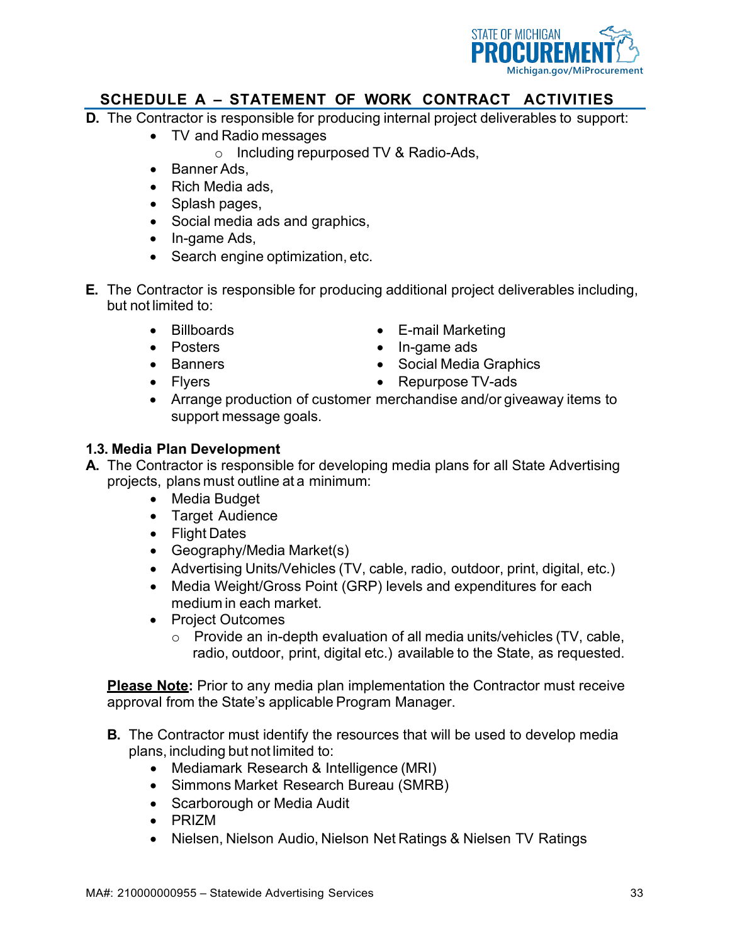

- **D.** The Contractor is responsible for producing internal project deliverables to support:
	- TV and Radio messages
		- o Including repurposed TV & Radio-Ads,
	- Banner Ads,
	- Rich Media ads,
	- Splash pages,
	- Social media ads and graphics,
	- In-game Ads,
	- Search engine optimization, etc.
- **E.** The Contractor is responsible for producing additional project deliverables including, but not limited to:
	- Billboards
	- Posters
	- Banners
	- Flyers
- E-mail Marketing
- In-game ads
- Social Media Graphics
- Repurpose TV-ads
- Arrange production of customer merchandise and/or giveaway items to support message goals.

#### **1.3. Media Plan Development**

- **A.** The Contractor is responsible for developing media plans for all State Advertising projects, plans must outline at a minimum:
	- Media Budget
	- Target Audience
	- Flight Dates
	- Geography/Media Market(s)
	- Advertising Units/Vehicles (TV, cable, radio, outdoor, print, digital, etc.)
	- Media Weight/Gross Point (GRP) levels and expenditures for each medium in each market.
	- Project Outcomes
		- o Provide an in-depth evaluation of all media units/vehicles (TV, cable, radio, outdoor, print, digital etc.) available to the State, as requested.

**Please Note:** Prior to any media plan implementation the Contractor must receive approval from the State's applicable Program Manager.

- **B.** The Contractor must identify the resources that will be used to develop media plans, including but not limited to:
	- Mediamark Research & Intelligence (MRI)
	- Simmons Market Research Bureau (SMRB)
	- Scarborough or Media Audit
	- PRIZM
	- Nielsen, Nielson Audio, Nielson Net Ratings & Nielsen TV Ratings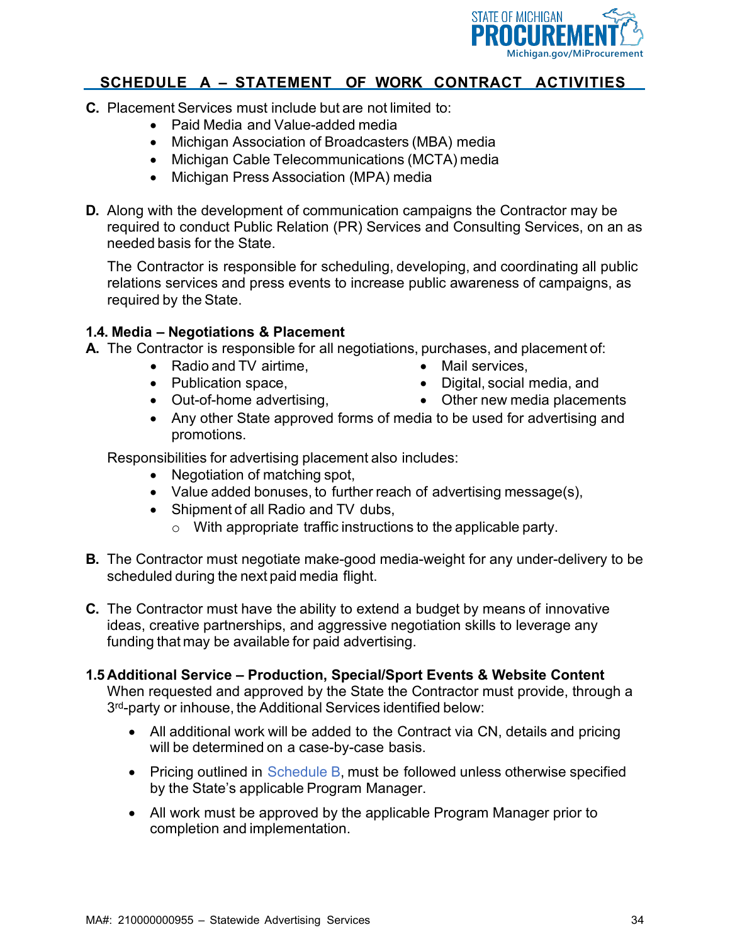

- **C.** Placement Services must include but are not limited to:
	- Paid Media and Value-added media
	- Michigan Association of Broadcasters (MBA) media
	- Michigan Cable Telecommunications (MCTA) media
	- Michigan Press Association (MPA) media
- **D.** Along with the development of communication campaigns the Contractor may be required to conduct Public Relation (PR) Services and Consulting Services, on an as needed basis for the State.

The Contractor is responsible for scheduling, developing, and coordinating all public relations services and press events to increase public awareness of campaigns, as required by the State.

#### **1.4. Media – Negotiations & Placement**

**A.** The Contractor is responsible for all negotiations, purchases, and placement of:

- Radio and TV airtime,
	- Publication space,
	- Out-of-home advertising,
- Mail services,
- Digital, social media, and
- Other new media placements
- Any other State approved forms of media to be used for advertising and promotions.

Responsibilities for advertising placement also includes:

- Negotiation of matching spot,
- Value added bonuses, to further reach of advertising message(s),
- Shipment of all Radio and TV dubs,
	- o With appropriate traffic instructions to the applicable party.
- **B.** The Contractor must negotiate make-good media-weight for any under-delivery to be scheduled during the next paid media flight.
- **C.** The Contractor must have the ability to extend a budget by means of innovative ideas, creative partnerships, and aggressive negotiation skills to leverage any funding that may be available for paid advertising.
- **1.5 Additional Service – Production, Special/Sport Events & Website Content**

When requested and approved by the State the Contractor must provide, through a 3<sup>rd</sup>-party or inhouse, the Additional Services identified below:

- All additional work will be added to the Contract via CN, details and pricing will be determined on a case-by-case basis.
- Pricing outlined in Schedule B, must be followed unless otherwise specified by the State's applicable Program Manager.
- All work must be approved by the applicable Program Manager prior to completion and implementation.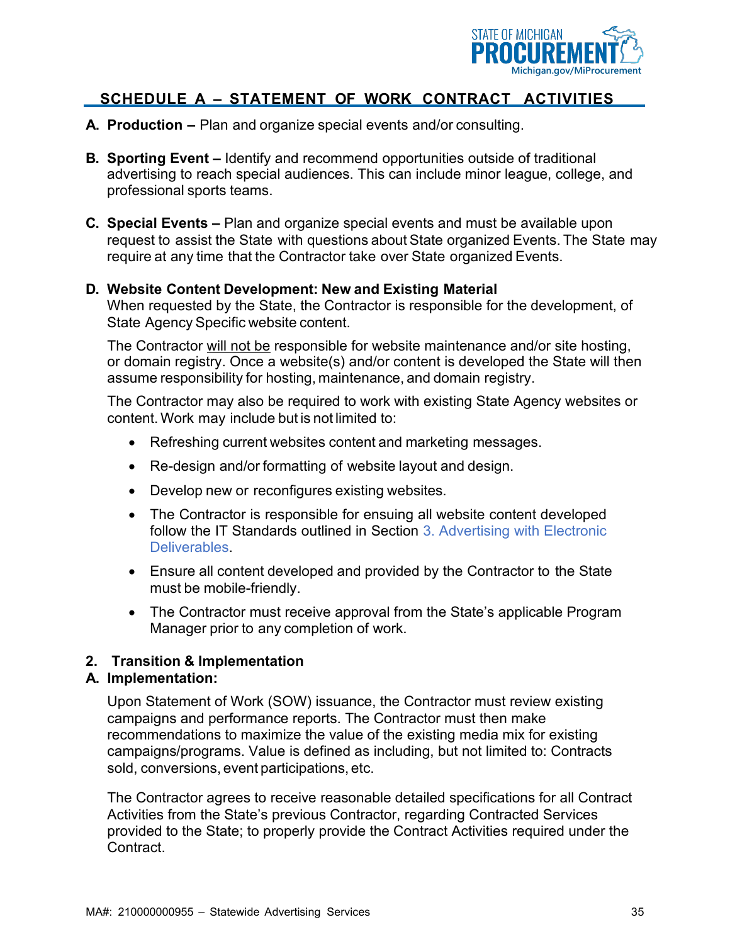

- **A. Production –** Plan and organize special events and/or consulting.
- **B. Sporting Event –** Identify and recommend opportunities outside of traditional advertising to reach special audiences. This can include minor league, college, and professional sports teams.
- **C. Special Events –** Plan and organize special events and must be available upon request to assist the State with questions about State organized Events. The State may require at any time that the Contractor take over State organized Events.

#### **D. Website Content Development: New and Existing Material**

When requested by the State, the Contractor is responsible for the development, of State Agency Specific website content.

The Contractor will not be responsible for website maintenance and/or site hosting, or domain registry. Once a website(s) and/or content is developed the State will then assume responsibility for hosting, maintenance, and domain registry.

The Contractor may also be required to work with existing State Agency websites or content.Work may include but is not limited to:

- Refreshing current websites content and marketing messages.
- Re-design and/or formatting of website layout and design.
- Develop new or reconfigures existing websites.
- The Contractor is responsible for ensuing all website content developed follow the IT Standards outlined in Section 3. Advertising with Electronic Deliverables.
- Ensure all content developed and provided by the Contractor to the State must be mobile-friendly.
- The Contractor must receive approval from the State's applicable Program Manager prior to any completion of work.

#### **2. Transition & Implementation**

#### **A. Implementation:**

Upon Statement of Work (SOW) issuance, the Contractor must review existing campaigns and performance reports. The Contractor must then make recommendations to maximize the value of the existing media mix for existing campaigns/programs. Value is defined as including, but not limited to: Contracts sold, conversions, event participations, etc.

The Contractor agrees to receive reasonable detailed specifications for all Contract Activities from the State's previous Contractor, regarding Contracted Services provided to the State; to properly provide the Contract Activities required under the **Contract**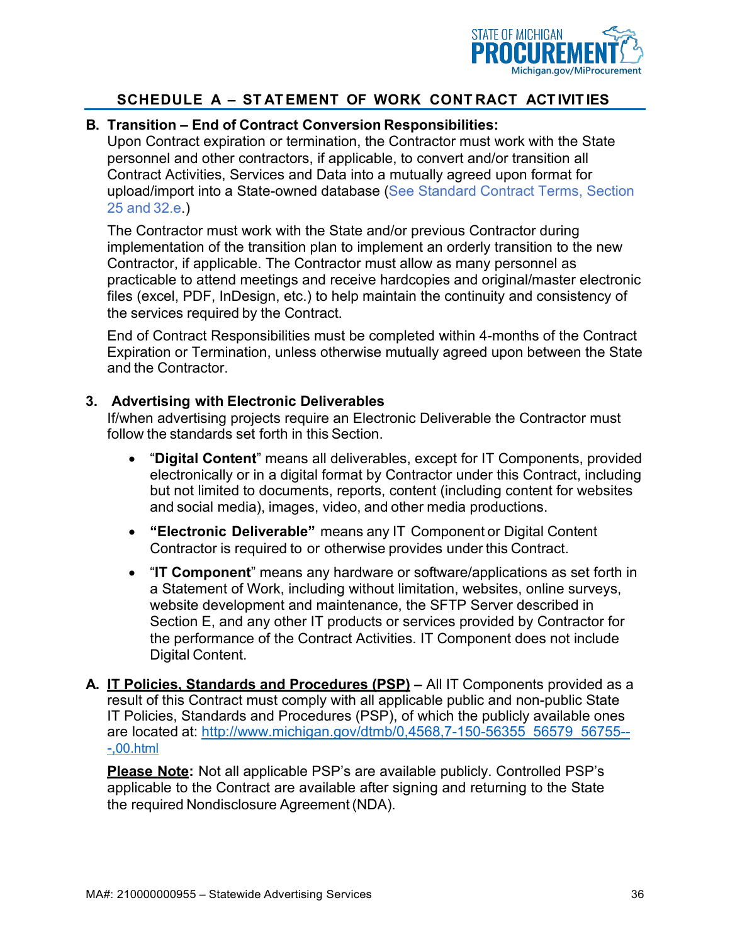

#### **B. Transition – End of Contract Conversion Responsibilities:**

Upon Contract expiration or termination, the Contractor must work with the State personnel and other contractors, if applicable, to convert and/or transition all Contract Activities, Services and Data into a mutually agreed upon format for upload/import into a State-owned database (See Standard Contract Terms, Section 25 and 32.e.)

The Contractor must work with the State and/or previous Contractor during implementation of the transition plan to implement an orderly transition to the new Contractor, if applicable. The Contractor must allow as many personnel as practicable to attend meetings and receive hardcopies and original/master electronic files (excel, PDF, InDesign, etc.) to help maintain the continuity and consistency of the services required by the Contract.

End of Contract Responsibilities must be completed within 4-months of the Contract Expiration or Termination, unless otherwise mutually agreed upon between the State and the Contractor.

#### **3. Advertising with Electronic Deliverables**

If/when advertising projects require an Electronic Deliverable the Contractor must follow the standards set forth in this Section.

- "**Digital Content**" means all deliverables, except for IT Components, provided electronically or in a digital format by Contractor under this Contract, including but not limited to documents, reports, content (including content for websites and social media), images, video, and other media productions.
- **"Electronic Deliverable"** means any IT Component or Digital Content Contractor is required to or otherwise provides under this Contract.
- "**IT Component**" means any hardware or software/applications as set forth in a Statement of Work, including without limitation, websites, online surveys, website development and maintenance, the SFTP Server described in Section E, and any other IT products or services provided by Contractor for the performance of the Contract Activities. IT Component does not include Digital Content.

**A. IT Policies, Standards and Procedures (PSP) –** All IT Components provided as a result of this Contract must comply with all applicable public and non-public State IT Policies, Standards and Procedures (PSP), of which the publicly available ones are located at: [http://www.michigan.gov/dtmb/0,4568,7-150-56355\\_56579\\_56755--](http://www.michigan.gov/dtmb/0%2C4568%2C7-150-56355_56579_56755---%2C00.html) [-,00.html](http://www.michigan.gov/dtmb/0%2C4568%2C7-150-56355_56579_56755---%2C00.html)

**Please Note:** Not all applicable PSP's are available publicly. Controlled PSP's applicable to the Contract are available after signing and returning to the State the required Nondisclosure Agreement(NDA).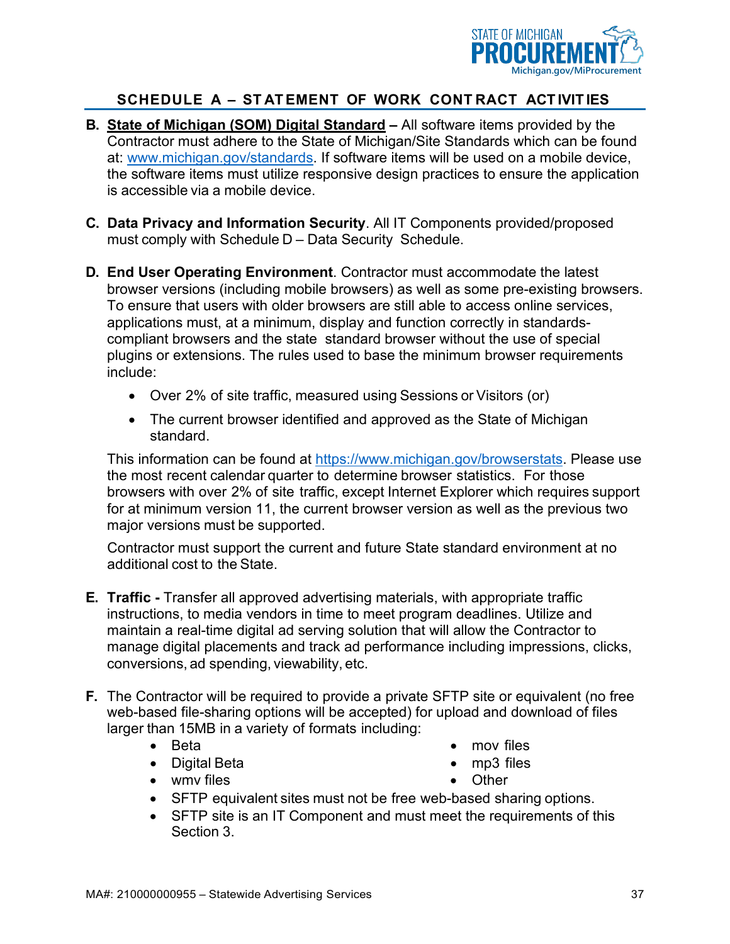

- **B. State of Michigan (SOM) Digital Standard –** All software items provided by the Contractor must adhere to the State of Michigan/Site Standards which can be found at: [www.michigan.gov/standards.](http://www.michigan.gov/standards) If software items will be used on a mobile device, the software items must utilize responsive design practices to ensure the application is accessible via a mobile device.
- **C. Data Privacy and Information Security**. All IT Components provided/proposed must comply with Schedule D – Data Security Schedule.
- **D. End User Operating Environment**. Contractor must accommodate the latest browser versions (including mobile browsers) as well as some pre-existing browsers. To ensure that users with older browsers are still able to access online services, applications must, at a minimum, display and function correctly in standardscompliant browsers and the state standard browser without the use of special plugins or extensions. The rules used to base the minimum browser requirements include:
	- Over 2% of site traffic, measured using Sessions or Visitors (or)
	- The current browser identified and approved as the State of Michigan standard.

This information can be found at [https://www.michigan.gov/browserstats.](https://www.michigan.gov/browserstats) Please use the most recent calendar quarter to determine browser statistics. For those browsers with over 2% of site traffic, except Internet Explorer which requires support for at minimum version 11, the current browser version as well as the previous two major versions must be supported.

Contractor must support the current and future State standard environment at no additional cost to the State.

- **E. Traffic -** Transfer all approved advertising materials, with appropriate traffic instructions, to media vendors in time to meet program deadlines. Utilize and maintain a real-time digital ad serving solution that will allow the Contractor to manage digital placements and track ad performance including impressions, clicks, conversions, ad spending, viewability, etc.
- **F.** The Contractor will be required to provide a private SFTP site or equivalent (no free web-based file-sharing options will be accepted) for upload and download of files larger than 15MB in a variety of formats including:
	- Beta
	- Digital Beta

• mov files

• wmv files

- mp3 files
- Other
- SFTP equivalent sites must not be free web-based sharing options.
- SFTP site is an IT Component and must meet the requirements of this Section 3.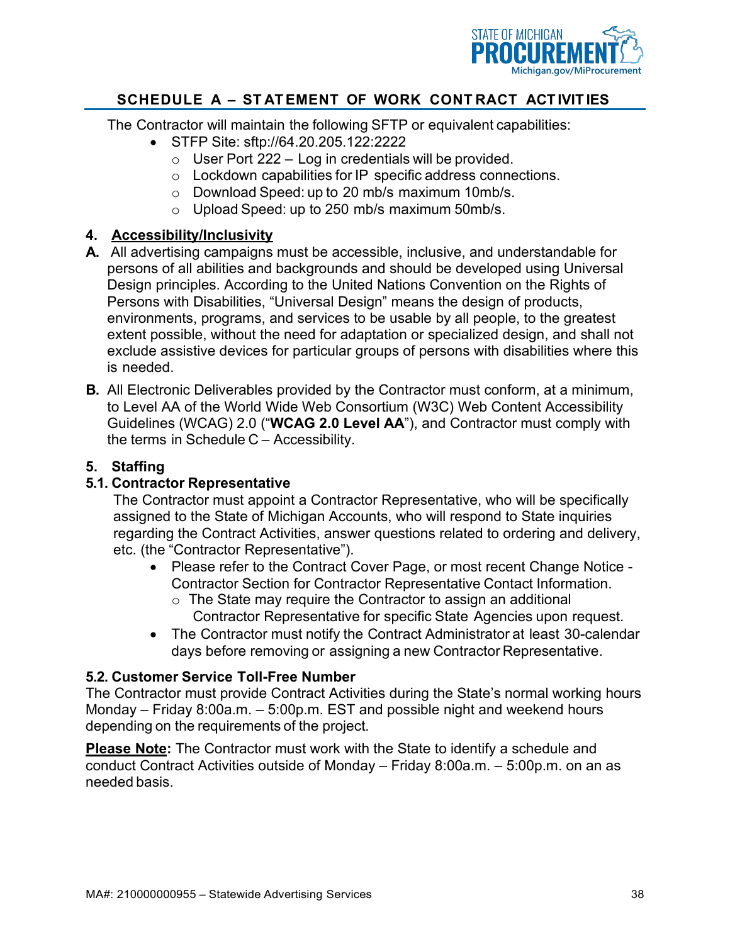

The Contractor will maintain the following SFTP or equivalent capabilities:

- STFP Site: sftp://64.20.205.122:2222
	- $\circ$  User Port 222 Log in credentials will be provided.
	- o Lockdown capabilities for IP specific address connections.
	- o Download Speed: up to 20 mb/s maximum 10mb/s.
	- o Upload Speed: up to 250 mb/s maximum 50mb/s.

#### **4. Accessibility/Inclusivity**

- **A.** All advertising campaigns must be accessible, inclusive, and understandable for persons of all abilities and backgrounds and should be developed using Universal Design principles. According to the United Nations Convention on the Rights of Persons with Disabilities, "Universal Design" means the design of products, environments, programs, and services to be usable by all people, to the greatest extent possible, without the need for adaptation or specialized design, and shall not exclude assistive devices for particular groups of persons with disabilities where this is needed.
- **B.** All Electronic Deliverables provided by the Contractor must conform, at a minimum, to Level AA of the World Wide Web Consortium (W3C) Web Content Accessibility Guidelines (WCAG) 2.0 ("**WCAG 2.0 Level AA**"), and Contractor must comply with the terms in Schedule C – Accessibility.

#### **5. Staffing**

#### **5.1. Contractor Representative**

The Contractor must appoint a Contractor Representative, who will be specifically assigned to the State of Michigan Accounts, who will respond to State inquiries regarding the Contract Activities, answer questions related to ordering and delivery, etc. (the "Contractor Representative").

- Please refer to the Contract Cover Page, or most recent Change Notice Contractor Section for Contractor Representative Contact Information.
	- $\circ$  The State may require the Contractor to assign an additional Contractor Representative for specific State Agencies upon request.
- The Contractor must notify the Contract Administrator at least 30-calendar days before removing or assigning a new Contractor Representative.

#### **5.2. Customer Service Toll-Free Number**

The Contractor must provide Contract Activities during the State's normal working hours Monday – Friday 8:00a.m. – 5:00p.m. EST and possible night and weekend hours depending on the requirements of the project.

**Please Note:** The Contractor must work with the State to identify a schedule and conduct Contract Activities outside of Monday – Friday 8:00a.m. – 5:00p.m. on an as needed basis.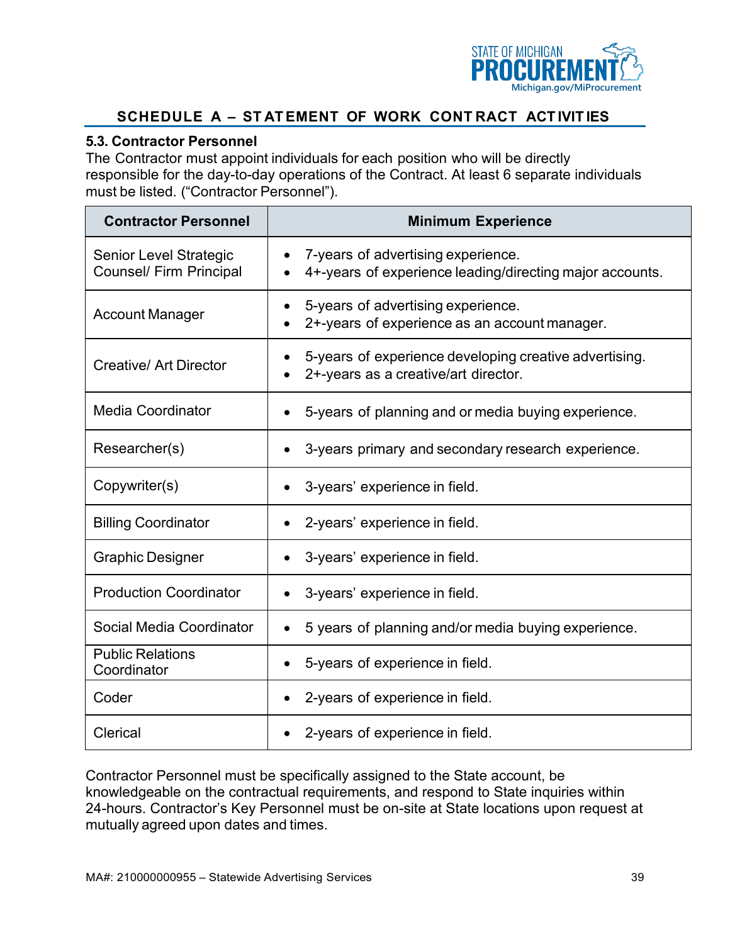

#### **5.3. Contractor Personnel**

The Contractor must appoint individuals for each position who will be directly responsible for the day-to-day operations of the Contract. At least 6 separate individuals must be listed. ("Contractor Personnel").

| <b>Contractor Personnel</b>                                     | <b>Minimum Experience</b>                                                                      |  |  |  |  |
|-----------------------------------------------------------------|------------------------------------------------------------------------------------------------|--|--|--|--|
| <b>Senior Level Strategic</b><br><b>Counsel/ Firm Principal</b> | 7-years of advertising experience.<br>4+-years of experience leading/directing major accounts. |  |  |  |  |
| <b>Account Manager</b>                                          | 5-years of advertising experience.<br>2+-years of experience as an account manager.            |  |  |  |  |
| <b>Creative/ Art Director</b>                                   | 5-years of experience developing creative advertising.<br>2+-years as a creative/art director. |  |  |  |  |
| <b>Media Coordinator</b>                                        | 5-years of planning and or media buying experience.                                            |  |  |  |  |
| Researcher(s)                                                   | 3-years primary and secondary research experience.                                             |  |  |  |  |
| Copywriter(s)                                                   | 3-years' experience in field.<br>$\bullet$                                                     |  |  |  |  |
| <b>Billing Coordinator</b>                                      | 2-years' experience in field.                                                                  |  |  |  |  |
| <b>Graphic Designer</b>                                         | 3-years' experience in field.                                                                  |  |  |  |  |
| <b>Production Coordinator</b>                                   | 3-years' experience in field.                                                                  |  |  |  |  |
| Social Media Coordinator                                        | 5 years of planning and/or media buying experience.                                            |  |  |  |  |
| <b>Public Relations</b><br>Coordinator                          | 5-years of experience in field.                                                                |  |  |  |  |
| Coder                                                           | 2-years of experience in field.                                                                |  |  |  |  |
| Clerical                                                        | 2-years of experience in field.                                                                |  |  |  |  |

Contractor Personnel must be specifically assigned to the State account, be knowledgeable on the contractual requirements, and respond to State inquiries within 24-hours. Contractor's Key Personnel must be on-site at State locations upon request at mutually agreed upon dates and times.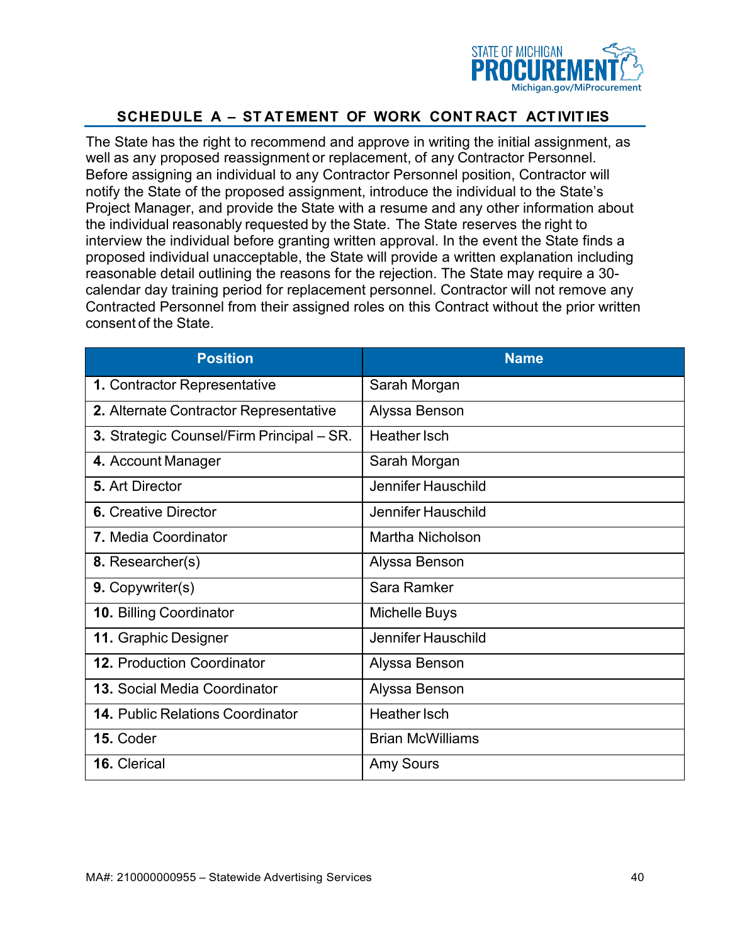

The State has the right to recommend and approve in writing the initial assignment, as well as any proposed reassignment or replacement, of any Contractor Personnel. Before assigning an individual to any Contractor Personnel position, Contractor will notify the State of the proposed assignment, introduce the individual to the State's Project Manager, and provide the State with a resume and any other information about the individual reasonably requested by the State. The State reserves the right to interview the individual before granting written approval. In the event the State finds a proposed individual unacceptable, the State will provide a written explanation including reasonable detail outlining the reasons for the rejection. The State may require a 30 calendar day training period for replacement personnel. Contractor will not remove any Contracted Personnel from their assigned roles on this Contract without the prior written consent of the State.

| <b>Position</b>                           | <b>Name</b>             |
|-------------------------------------------|-------------------------|
| 1. Contractor Representative              | Sarah Morgan            |
| 2. Alternate Contractor Representative    | Alyssa Benson           |
| 3. Strategic Counsel/Firm Principal – SR. | <b>Heather Isch</b>     |
| 4. Account Manager                        | Sarah Morgan            |
| 5. Art Director                           | Jennifer Hauschild      |
| <b>6.</b> Creative Director               | Jennifer Hauschild      |
| 7. Media Coordinator                      | Martha Nicholson        |
| 8. Researcher(s)                          | Alyssa Benson           |
| <b>9. Copywriter(s)</b>                   | Sara Ramker             |
| 10. Billing Coordinator                   | Michelle Buys           |
| 11. Graphic Designer                      | Jennifer Hauschild      |
| <b>12. Production Coordinator</b>         | Alyssa Benson           |
| <b>13. Social Media Coordinator</b>       | Alyssa Benson           |
| <b>14. Public Relations Coordinator</b>   | <b>Heather Isch</b>     |
| 15. Coder                                 | <b>Brian McWilliams</b> |
| 16. Clerical                              | <b>Amy Sours</b>        |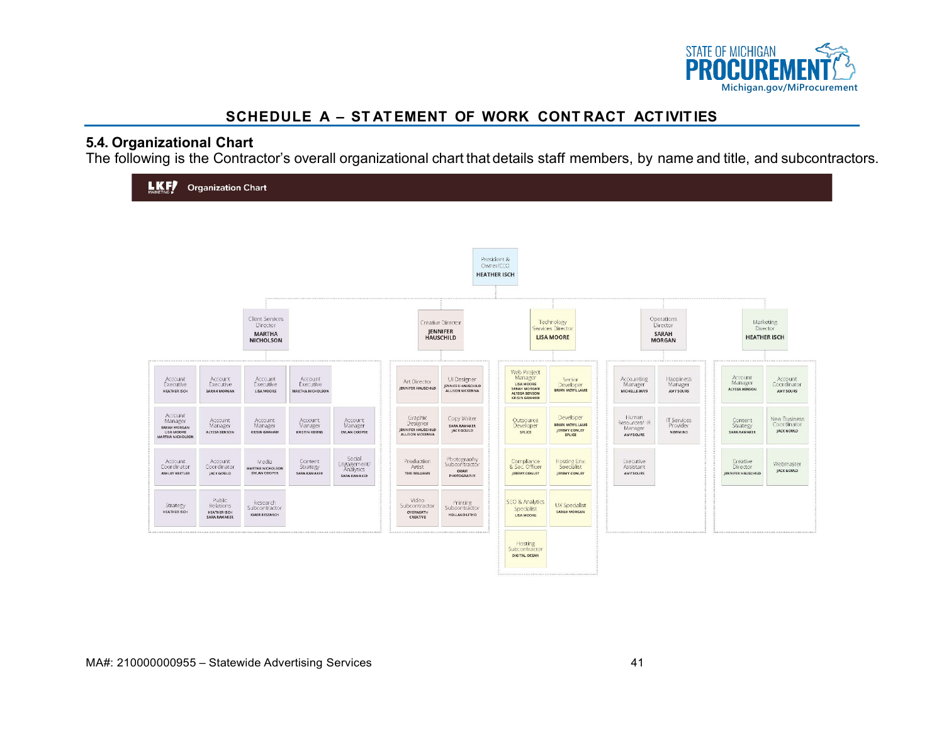

#### **5.4. Organizational Chart**

The following is the Contractor's overall organizational chart that details staff members, by name and title, and subcontractors.

| <b>LKF</b>                                                                  | <b>Organization Chart</b>                           |                                                                  |                                             |                                                           |                                                                     |                                                             |                                                                                               |                                                         |                                                       |                                                  |                                            |                                              |
|-----------------------------------------------------------------------------|-----------------------------------------------------|------------------------------------------------------------------|---------------------------------------------|-----------------------------------------------------------|---------------------------------------------------------------------|-------------------------------------------------------------|-----------------------------------------------------------------------------------------------|---------------------------------------------------------|-------------------------------------------------------|--------------------------------------------------|--------------------------------------------|----------------------------------------------|
|                                                                             |                                                     |                                                                  |                                             |                                                           |                                                                     |                                                             | President &<br>Owner/CEO<br><b>HEATHER ISCH</b>                                               |                                                         |                                                       |                                                  |                                            |                                              |
|                                                                             |                                                     | Client Services<br>Director<br><b>MARTHA</b><br><b>NICHOLSON</b> |                                             |                                                           |                                                                     | Creative Director<br><b>JENNIFER</b><br><b>HAUSCHILD</b>    |                                                                                               | Technology<br>Services Director<br><b>LISA MOORE</b>    |                                                       | Operations<br>Director<br>SARAH<br><b>MORGAN</b> |                                            | Marketing<br>Director<br><b>HEATHER ISCH</b> |
| Account.<br>Executive<br><b>HEATHER ISCH</b>                                | Account<br>Executive<br>SARAH MORGAN                | Account<br><b>Executive</b><br>LISA MOORE                        | Account<br>Executive<br>MARTHA NICHOLSON    |                                                           | Art Director<br><b>IENNIFER HAUSCHILD</b>                           | UI Designer<br><b>JENNIFER HAUSCHILD</b><br>ALLISON MCKENNA | Web Project<br>Manager<br>LISA MOORE<br>SARAH MORGAN<br>ALYSSA BENSON<br><b>KRISIN GRAHAM</b> | Serior<br>Developer<br>BRIAN MCWILLAMS                  | Accounting<br>Manager<br>MICHELLE BUYS                | Happiness<br>Manager<br>AMY SOURS                | Account<br>Manager<br><b>ALYSSA BENSON</b> | Account<br>Coordinator<br>AMY SOURS          |
| Account<br>Manager<br>SARAH MORGAN<br>LISA MOORE<br><b>MARTHA NICHOLSON</b> | Account<br>Manager<br>ALYSSA BENSON                 | Account<br>Manager<br><b>KRISIN GRAHAM</b>                       | Account<br>Vanager<br><b>KRISTIN KEIRNS</b> | Account<br>Manager<br>DYLAN COOPER                        | Graphic<br>Designer<br><b>JENNIFER HAUSCHILD</b><br>ALLISON MCKENNA | Copy Writer<br>SARA RAMAKER<br><b>JACK GOULD</b>            | Outsource<br>Developer<br>SPLICE                                                              | Developer<br>BRIAN MCWILLAMS<br>JEREMY CONLEY<br>SPLICE | Human<br>Resources/ IR<br>Manager<br><b>AMY SOURS</b> | IT Services<br>Provider<br><b>NEWMIND</b>        | Content<br>Strategy<br>SARA RAMAKER        | New Business<br>Coordinator<br>JACK GOULD    |
| Account<br>Coordinator<br>ASHLEY KRETLER                                    | Account<br>Coordinator<br>JACK GOULD                | Media<br>MARTHA NICHOLSON<br>DYLAN COOPER                        | Content<br>Strategy<br>SARA RAMAKER         | Social<br>Engagement/<br><b>Analytics</b><br>SARA RAMAKER | Production<br>Artist<br>TERI WILLIAMS                               | Photography<br>Subcontractor<br>ORAM<br>PHOTOGRAPHY         | Compliance<br>& Sec. Officer<br>JEREMY CONLEY                                                 | Hosting Env.<br>Soecialist<br>JEREMY CONLEY             | Executive.<br>Assistant<br><b>AMY SOURS</b>           |                                                  | Creative<br>Director<br>JENNIFER HAUSCHILD | Webmaster<br>JACK GOULD                      |
| Strategy<br>HEATHER ISCH                                                    | Public<br>Relations<br>HEATHER ISCH<br>SARA RAMAKER | Research<br>Subcontractor<br>KIAER RESEARCH                      |                                             |                                                           | Video<br>Subcontractor<br>OVERNEATH<br>CREATIVE                     | Printing<br>Subcontractor<br>HOLLAND LITHO                  | SEO & Analytics<br>Specialist<br><b>LISA MOORE</b>                                            | <b>UX Specialist</b><br>SARAH MORGAN                    |                                                       |                                                  |                                            |                                              |
|                                                                             |                                                     |                                                                  |                                             |                                                           |                                                                     |                                                             | Hosting<br>Subcontractor<br>DIGITAL OCEAN                                                     |                                                         |                                                       |                                                  |                                            |                                              |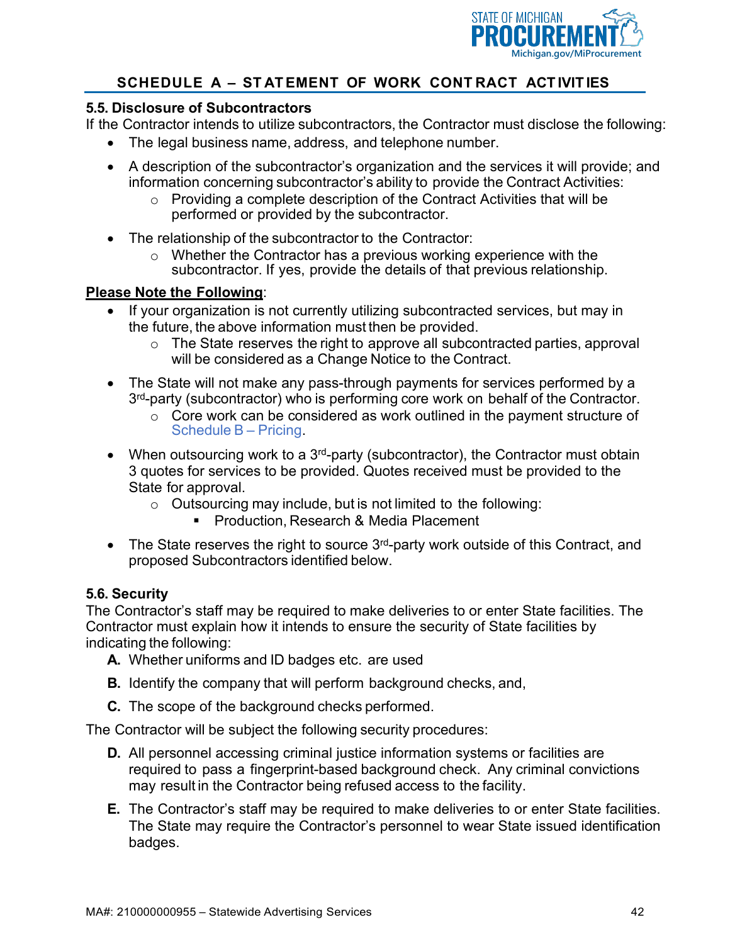

#### **5.5. Disclosure of Subcontractors**

If the Contractor intends to utilize subcontractors, the Contractor must disclose the following:

- The legal business name, address, and telephone number.
- A description of the subcontractor's organization and the services it will provide; and information concerning subcontractor's ability to provide the Contract Activities:
	- o Providing a complete description of the Contract Activities that will be performed or provided by the subcontractor.
- The relationship of the subcontractor to the Contractor:
	- o Whether the Contractor has a previous working experience with the subcontractor. If yes, provide the details of that previous relationship.

#### **Please Note the Following**:

- If your organization is not currently utilizing subcontracted services, but may in the future, the above information must then be provided.
	- o The State reserves the right to approve all subcontracted parties, approval will be considered as a Change Notice to the Contract.
- The State will not make any pass-through payments for services performed by a 3<sup>rd</sup>-party (subcontractor) who is performing core work on behalf of the Contractor.
	- o Core work can be considered as work outlined in the payment structure of Schedule B – Pricing.
- When outsourcing work to a  $3<sup>rd</sup>$ -party (subcontractor), the Contractor must obtain 3 quotes for services to be provided. Quotes received must be provided to the State for approval.
	- $\circ$  Outsourcing may include, but is not limited to the following:
		- **Production, Research & Media Placement**
- The State reserves the right to source 3<sup>rd</sup>-party work outside of this Contract, and proposed Subcontractors identified below.

#### **5.6. Security**

The Contractor's staff may be required to make deliveries to or enter State facilities. The Contractor must explain how it intends to ensure the security of State facilities by indicating the following:

- **A.** Whether uniforms and ID badges etc. are used
- **B.** Identify the company that will perform background checks, and,
- **C.** The scope of the background checks performed.

The Contractor will be subject the following security procedures:

- **D.** All personnel accessing criminal justice information systems or facilities are required to pass a fingerprint-based background check. Any criminal convictions may result in the Contractor being refused access to the facility.
- **E.** The Contractor's staff may be required to make deliveries to or enter State facilities. The State may require the Contractor's personnel to wear State issued identification badges.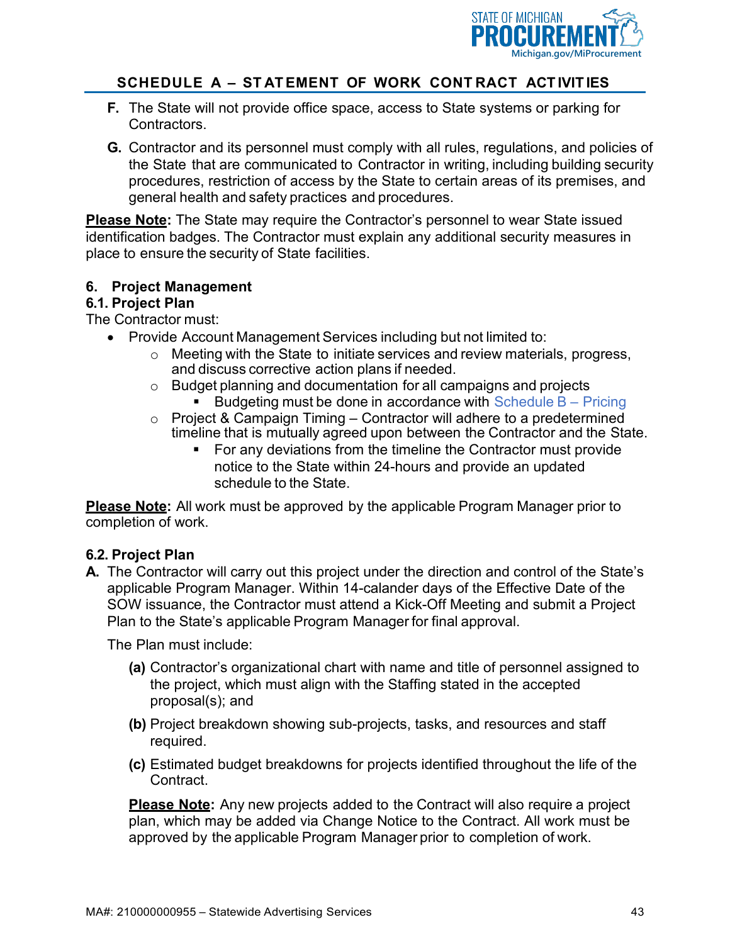

- **F.** The State will not provide office space, access to State systems or parking for Contractors.
- **G.** Contractor and its personnel must comply with all rules, regulations, and policies of the State that are communicated to Contractor in writing, including building security procedures, restriction of access by the State to certain areas of its premises, and general health and safety practices and procedures.

**Please Note:** The State may require the Contractor's personnel to wear State issued identification badges. The Contractor must explain any additional security measures in place to ensure the security of State facilities.

#### **6. Project Management**

#### **6.1. Project Plan**

The Contractor must:

- Provide Account Management Services including but not limited to:
	- o Meeting with the State to initiate services and review materials, progress, and discuss corrective action plans if needed.
	- o Budget planning and documentation for all campaigns and projects
		- Budgeting must be done in accordance with Schedule  $B -$  Pricing
	- o Project & Campaign Timing Contractor will adhere to a predetermined timeline that is mutually agreed upon between the Contractor and the State.
		- For any deviations from the timeline the Contractor must provide notice to the State within 24-hours and provide an updated schedule to the State.

**Please Note:** All work must be approved by the applicable Program Manager prior to completion of work.

#### **6.2. Project Plan**

**A.** The Contractor will carry out this project under the direction and control of the State's applicable Program Manager. Within 14-calander days of the Effective Date of the SOW issuance, the Contractor must attend a Kick-Off Meeting and submit a Project Plan to the State's applicable Program Manager for final approval.

The Plan must include:

- **(a)** Contractor's organizational chart with name and title of personnel assigned to the project, which must align with the Staffing stated in the accepted proposal(s); and
- **(b)** Project breakdown showing sub-projects, tasks, and resources and staff required.
- **(c)** Estimated budget breakdowns for projects identified throughout the life of the Contract.

**Please Note:** Any new projects added to the Contract will also require a project plan, which may be added via Change Notice to the Contract. All work must be approved by the applicable Program Manager prior to completion of work.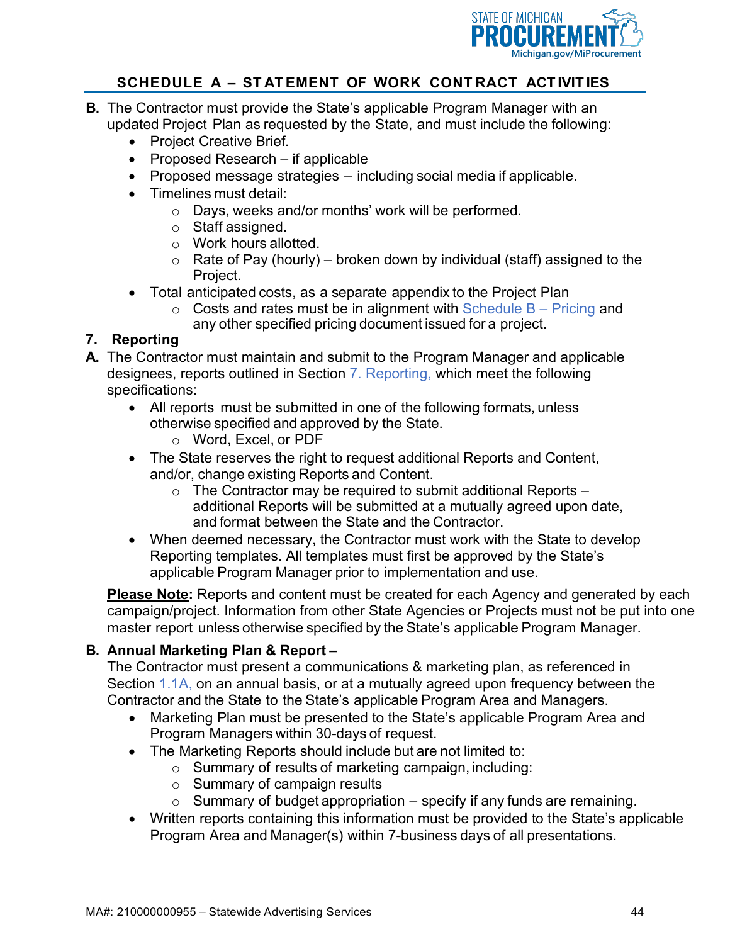

- **B.** The Contractor must provide the State's applicable Program Manager with an updated Project Plan as requested by the State, and must include the following:
	- Project Creative Brief.
	- Proposed Research if applicable
	- Proposed message strategies including social media if applicable.
	- Timelines must detail:
		- o Days, weeks and/or months' work will be performed.
		- o Staff assigned.
		- o Work hours allotted.
		- $\circ$  Rate of Pay (hourly) broken down by individual (staff) assigned to the Project.
	- Total anticipated costs, as a separate appendix to the Project Plan
		- $\circ$  Costs and rates must be in alignment with Schedule B Pricing and any other specified pricing document issued for a project.

#### **7. Reporting**

- **A.** The Contractor must maintain and submit to the Program Manager and applicable designees, reports outlined in Section 7. Reporting, which meet the following specifications:
	- All reports must be submitted in one of the following formats, unless otherwise specified and approved by the State.
		- o Word, Excel, or PDF
	- The State reserves the right to request additional Reports and Content, and/or, change existing Reports and Content.
		- $\circ$  The Contractor may be required to submit additional Reports additional Reports will be submitted at a mutually agreed upon date, and format between the State and the Contractor.
	- When deemed necessary, the Contractor must work with the State to develop Reporting templates. All templates must first be approved by the State's applicable Program Manager prior to implementation and use.

**Please Note:** Reports and content must be created for each Agency and generated by each campaign/project. Information from other State Agencies or Projects must not be put into one master report unless otherwise specified by the State's applicable Program Manager.

#### **B. Annual Marketing Plan & Report –**

The Contractor must present a communications & marketing plan, as referenced in Section 1.1A, on an annual basis, or at a mutually agreed upon frequency between the Contractor and the State to the State's applicable Program Area and Managers.

- Marketing Plan must be presented to the State's applicable Program Area and Program Managers within 30-days of request.
- The Marketing Reports should include but are not limited to:
	- o Summary of results of marketing campaign, including:
	- o Summary of campaign results
	- $\circ$  Summary of budget appropriation specify if any funds are remaining.
- Written reports containing this information must be provided to the State's applicable Program Area and Manager(s) within 7-business days of all presentations.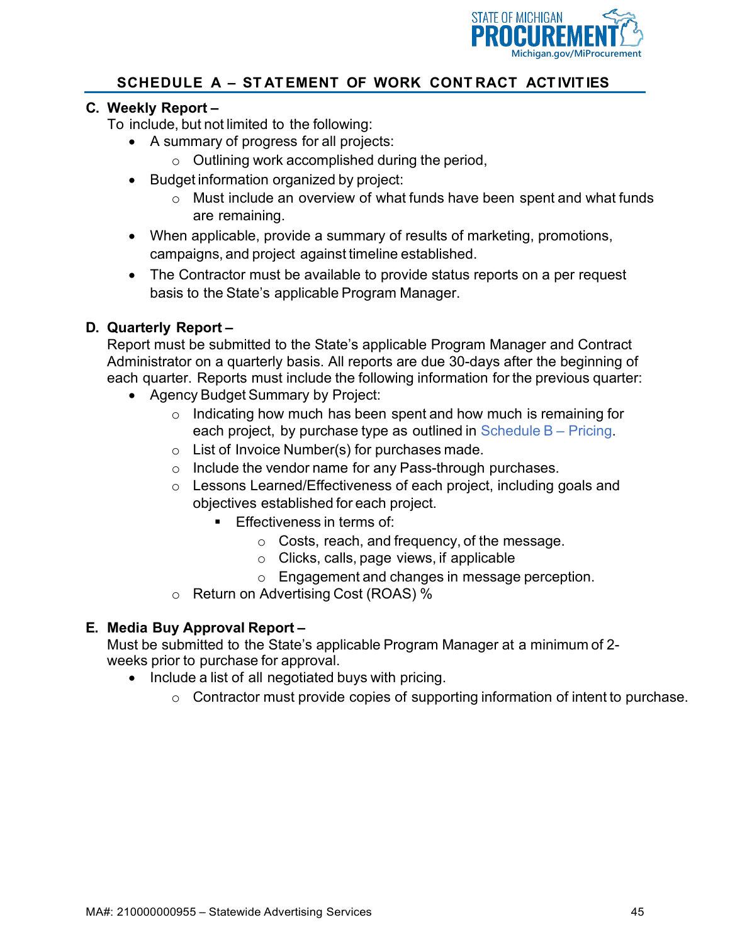

#### **C. Weekly Report –**

To include, but not limited to the following:

- A summary of progress for all projects:
	- $\circ$  Outlining work accomplished during the period,
- Budget information organized by project:
	- o Must include an overview of what funds have been spent and what funds are remaining.
- When applicable, provide a summary of results of marketing, promotions, campaigns, and project against timeline established.
- The Contractor must be available to provide status reports on a per request basis to the State's applicable Program Manager.

#### **D. Quarterly Report –**

Report must be submitted to the State's applicable Program Manager and Contract Administrator on a quarterly basis. All reports are due 30-days after the beginning of each quarter. Reports must include the following information for the previous quarter:

- Agency Budget Summary by Project:
	- o Indicating how much has been spent and how much is remaining for each project, by purchase type as outlined in Schedule B – Pricing.
	- o List of Invoice Number(s) for purchases made.
	- o Include the vendor name for any Pass-through purchases.
	- o Lessons Learned/Effectiveness of each project, including goals and objectives established for each project.
		- **Effectiveness in terms of:** 
			- o Costs, reach, and frequency, of the message.
			- o Clicks, calls, page views, if applicable
			- o Engagement and changes in message perception.
	- o Return on Advertising Cost (ROAS) %

#### **E. Media Buy Approval Report –**

Must be submitted to the State's applicable Program Manager at a minimum of 2 weeks prior to purchase for approval.

- Include a list of all negotiated buys with pricing.
	- o Contractor must provide copies of supporting information of intent to purchase.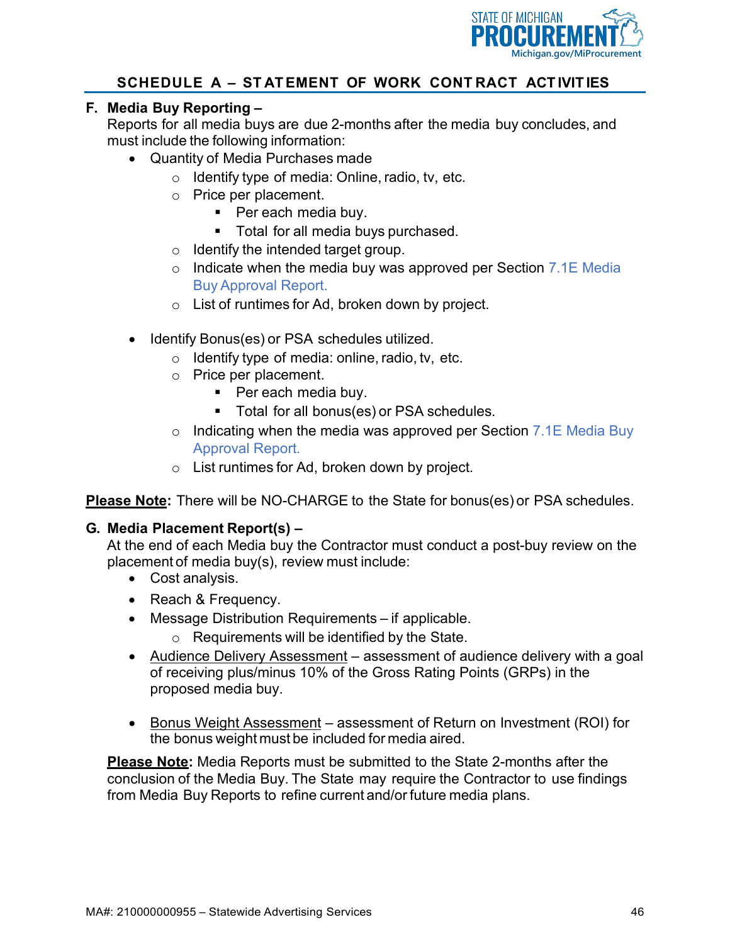

#### **F. Media Buy Reporting –**

Reports for all media buys are due 2-months after the media buy concludes, and must include the following information:

- Quantity of Media Purchases made
	- $\circ$  Identify type of media: Online, radio, tv, etc.
	- o Price per placement.
		- Per each media buy.
		- **Total for all media buys purchased.**
	- $\circ$  Identify the intended target group.
	- o Indicate when the media buy was approved per Section 7.1E Media Buy Approval Report.
	- o List of runtimes for Ad, broken down by project.
- Identify Bonus(es) or PSA schedules utilized.
	- $\circ$  Identify type of media: online, radio, tv, etc.
	- o Price per placement.
		- Per each media buy.
		- **Total for all bonus(es) or PSA schedules.**
	- $\circ$  Indicating when the media was approved per Section 7.1E Media Buy Approval Report.
	- o List runtimes for Ad, broken down by project.

**Please Note:** There will be NO-CHARGE to the State for bonus(es) or PSA schedules.

#### **G. Media Placement Report(s) –**

At the end of each Media buy the Contractor must conduct a post-buy review on the placement of media buy(s), review must include:

- Cost analysis.
- Reach & Frequency.
- Message Distribution Requirements if applicable.
	- o Requirements will be identified by the State.
- Audience Delivery Assessment assessment of audience delivery with a goal of receiving plus/minus 10% of the Gross Rating Points (GRPs) in the proposed media buy.
- Bonus Weight Assessment assessment of Return on Investment (ROI) for the bonus weight must be included for media aired.

**Please Note:** Media Reports must be submitted to the State 2-months after the conclusion of the Media Buy. The State may require the Contractor to use findings from Media Buy Reports to refine current and/or future media plans.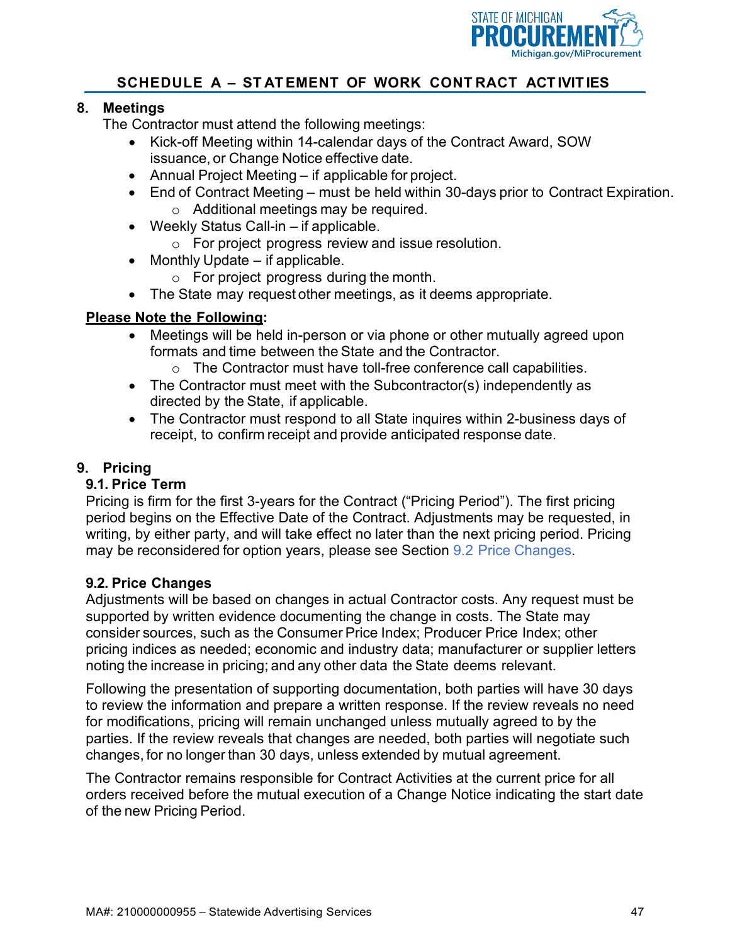

#### **8. Meetings**

The Contractor must attend the following meetings:

- Kick-off Meeting within 14-calendar days of the Contract Award, SOW issuance, or Change Notice effective date.
- Annual Project Meeting if applicable for project.
- End of Contract Meeting must be held within 30-days prior to Contract Expiration. o Additional meetings may be required.
- Weekly Status Call-in if applicable.
	- o For project progress review and issue resolution.
- Monthly Update if applicable.
	- o For project progress during the month.
- The State may request other meetings, as it deems appropriate.

#### **Please Note the Following:**

- Meetings will be held in-person or via phone or other mutually agreed upon formats and time between the State and the Contractor.
	- o The Contractor must have toll-free conference call capabilities.
- The Contractor must meet with the Subcontractor(s) independently as directed by the State, if applicable.
- The Contractor must respond to all State inquires within 2-business days of receipt, to confirm receipt and provide anticipated response date.

#### **9. Pricing**

#### **9.1. Price Term**

Pricing is firm for the first 3-years for the Contract ("Pricing Period"). The first pricing period begins on the Effective Date of the Contract. Adjustments may be requested, in writing, by either party, and will take effect no later than the next pricing period. Pricing may be reconsidered for option years, please see Section 9.2 Price Changes.

#### **9.2. Price Changes**

Adjustments will be based on changes in actual Contractor costs. Any request must be supported by written evidence documenting the change in costs. The State may consider sources, such as the Consumer Price Index; Producer Price Index; other pricing indices as needed; economic and industry data; manufacturer or supplier letters noting the increase in pricing; and any other data the State deems relevant.

Following the presentation of supporting documentation, both parties will have 30 days to review the information and prepare a written response. If the review reveals no need for modifications, pricing will remain unchanged unless mutually agreed to by the parties. If the review reveals that changes are needed, both parties will negotiate such changes, for no longer than 30 days, unless extended by mutual agreement.

The Contractor remains responsible for Contract Activities at the current price for all orders received before the mutual execution of a Change Notice indicating the start date of the new Pricing Period.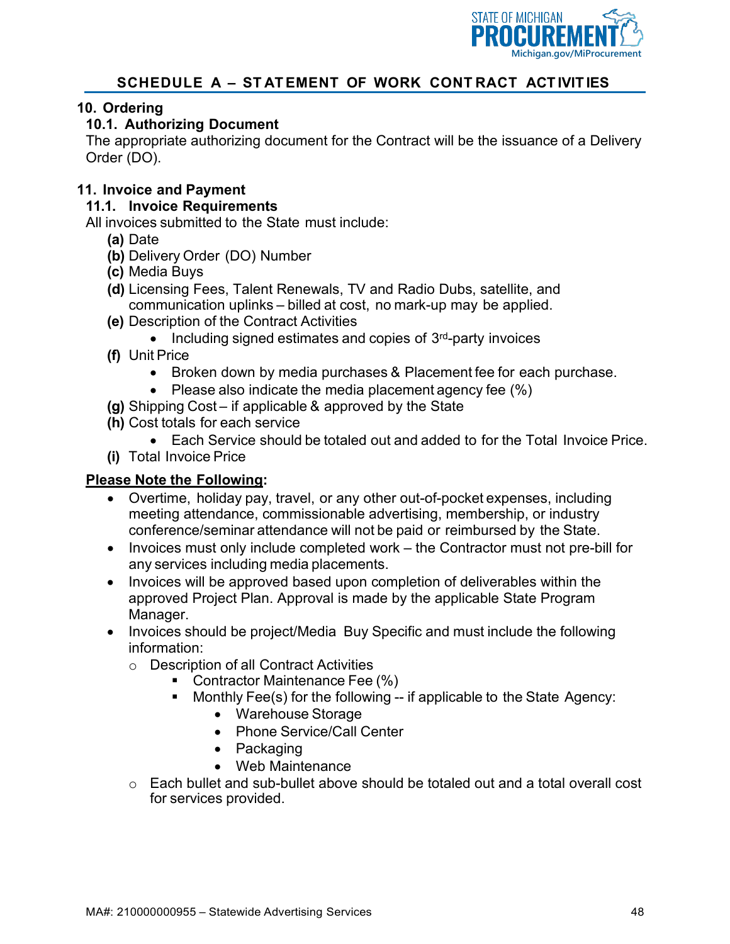

#### **10. Ordering**

#### **10.1. Authorizing Document**

The appropriate authorizing document for the Contract will be the issuance of a Delivery Order (DO).

#### **11. Invoice and Payment**

#### **11.1. Invoice Requirements**

All invoices submitted to the State must include:

- **(a)** Date
- **(b)** Delivery Order (DO) Number
- **(c)** Media Buys
- **(d)** Licensing Fees, Talent Renewals, TV and Radio Dubs, satellite, and communication uplinks – billed at cost, no mark-up may be applied.
- **(e)** Description of the Contract Activities
	- Including signed estimates and copies of  $3<sup>rd</sup>$ -party invoices
- **(f)** Unit Price
	- Broken down by media purchases & Placement fee for each purchase.
	- Please also indicate the media placement agency fee (%)
- **(g)** Shipping Cost if applicable & approved by the State
- **(h)** Cost totals for each service
	- Each Service should be totaled out and added to for the Total Invoice Price.
- **(i)** Total Invoice Price

#### **Please Note the Following:**

- Overtime, holiday pay, travel, or any other out-of-pocket expenses, including meeting attendance, commissionable advertising, membership, or industry conference/seminar attendance will not be paid or reimbursed by the State.
- Invoices must only include completed work the Contractor must not pre-bill for any services including media placements.
- Invoices will be approved based upon completion of deliverables within the approved Project Plan. Approval is made by the applicable State Program Manager.
- Invoices should be project/Media Buy Specific and must include the following information:
	- o Description of all Contract Activities
		- Contractor Maintenance Fee (%)
		- **Monthly Fee(s) for the following -- if applicable to the State Agency:** 
			- Warehouse Storage
			- Phone Service/Call Center
			- Packaging
			- Web Maintenance
	- o Each bullet and sub-bullet above should be totaled out and a total overall cost for services provided.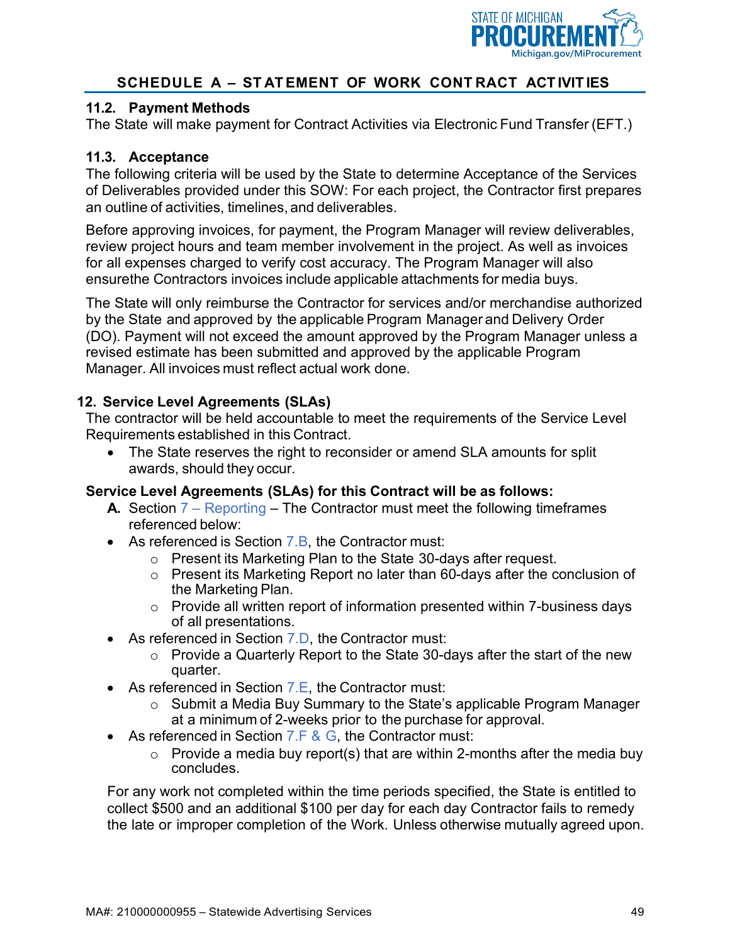

#### **11.2. Payment Methods**

The State will make payment for Contract Activities via Electronic Fund Transfer (EFT.)

#### **11.3. Acceptance**

The following criteria will be used by the State to determine Acceptance of the Services of Deliverables provided under this SOW: For each project, the Contractor first prepares an outline of activities, timelines, and deliverables.

Before approving invoices, for payment, the Program Manager will review deliverables, review project hours and team member involvement in the project. As well as invoices for all expenses charged to verify cost accuracy. The Program Manager will also ensurethe Contractors invoices include applicable attachments for media buys.

The State will only reimburse the Contractor for services and/or merchandise authorized by the State and approved by the applicable Program Manager and Delivery Order (DO). Payment will not exceed the amount approved by the Program Manager unless a revised estimate has been submitted and approved by the applicable Program Manager. All invoices must reflect actual work done.

#### **12. Service Level Agreements (SLAs)**

The contractor will be held accountable to meet the requirements of the Service Level Requirements established in this Contract.

• The State reserves the right to reconsider or amend SLA amounts for split awards, should they occur.

#### **Service Level Agreements (SLAs) for this Contract will be as follows:**

- **A.** Section 7 Reporting The Contractor must meet the following timeframes referenced below:
- As referenced is Section 7.B, the Contractor must:
	- o Present its Marketing Plan to the State 30-days after request.
	- o Present its Marketing Report no later than 60-days after the conclusion of the Marketing Plan.
	- o Provide all written report of information presented within 7-business days of all presentations.
- As referenced in Section 7.D, the Contractor must:
	- o Provide a Quarterly Report to the State 30-days after the start of the new quarter.
- As referenced in Section 7.E, the Contractor must:
	- o Submit a Media Buy Summary to the State's applicable Program Manager at a minimum of 2-weeks prior to the purchase for approval.
- As referenced in Section  $7.F & G$ , the Contractor must:
	- $\circ$  Provide a media buy report(s) that are within 2-months after the media buy concludes.

For any work not completed within the time periods specified, the State is entitled to collect \$500 and an additional \$100 per day for each day Contractor fails to remedy the late or improper completion of the Work. Unless otherwise mutually agreed upon.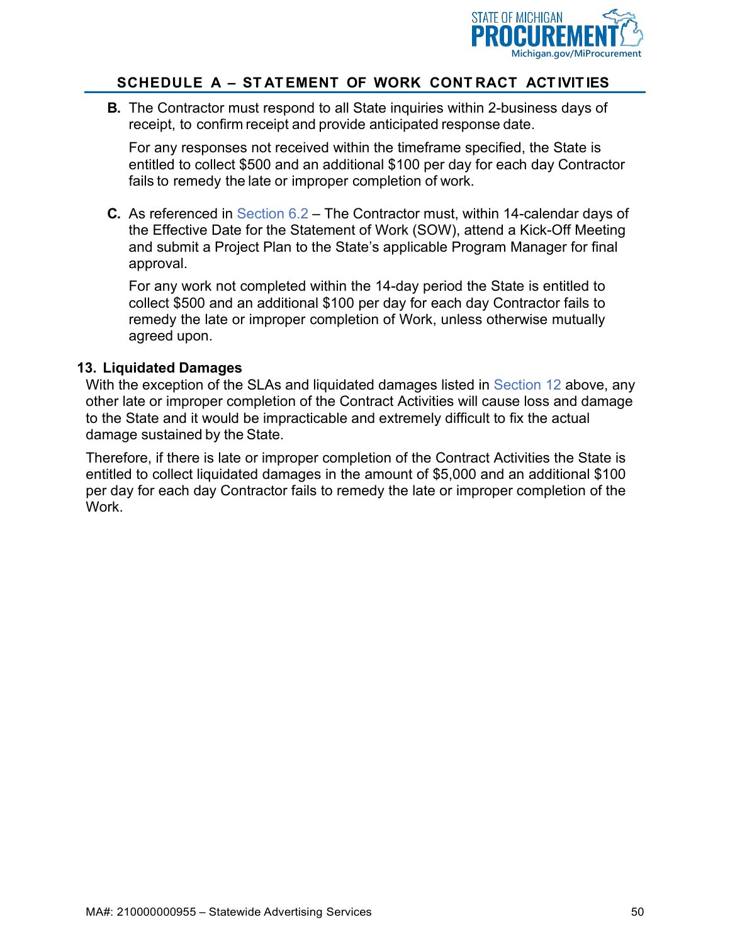

**B.** The Contractor must respond to all State inquiries within 2-business days of receipt, to confirm receipt and provide anticipated response date.

For any responses not received within the timeframe specified, the State is entitled to collect \$500 and an additional \$100 per day for each day Contractor fails to remedy the late or improper completion of work.

**C.** As referenced in Section 6.2 – The Contractor must, within 14-calendar days of the Effective Date for the Statement of Work (SOW), attend a Kick-Off Meeting and submit a Project Plan to the State's applicable Program Manager for final approval.

For any work not completed within the 14-day period the State is entitled to collect \$500 and an additional \$100 per day for each day Contractor fails to remedy the late or improper completion of Work, unless otherwise mutually agreed upon.

#### **13. Liquidated Damages**

With the exception of the SLAs and liquidated damages listed in Section 12 above, any other late or improper completion of the Contract Activities will cause loss and damage to the State and it would be impracticable and extremely difficult to fix the actual damage sustained by the State.

Therefore, if there is late or improper completion of the Contract Activities the State is entitled to collect liquidated damages in the amount of \$5,000 and an additional \$100 per day for each day Contractor fails to remedy the late or improper completion of the Work.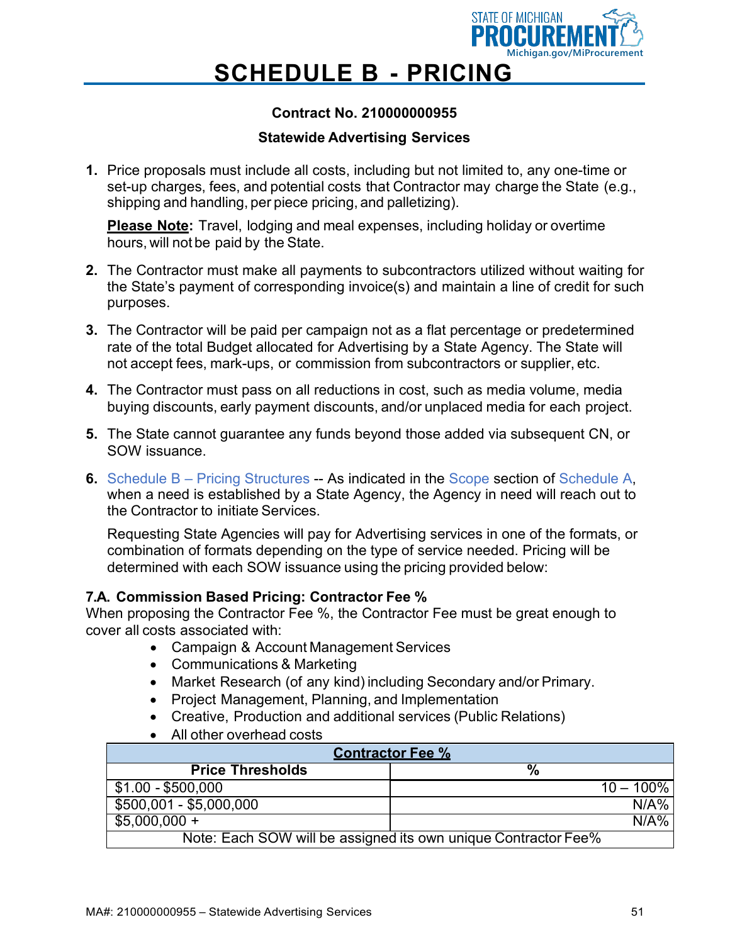

### **SCHEDULE B - PRICING**

#### **Contract No. 210000000955**

#### **Statewide Advertising Services**

**1.** Price proposals must include all costs, including but not limited to, any one-time or set-up charges, fees, and potential costs that Contractor may charge the State (e.g., shipping and handling, per piece pricing, and palletizing).

**Please Note:** Travel, lodging and meal expenses, including holiday or overtime hours, will not be paid by the State.

- **2.** The Contractor must make all payments to subcontractors utilized without waiting for the State's payment of corresponding invoice(s) and maintain a line of credit for such purposes.
- **3.** The Contractor will be paid per campaign not as a flat percentage or predetermined rate of the total Budget allocated for Advertising by a State Agency. The State will not accept fees, mark-ups, or commission from subcontractors or supplier, etc.
- **4.** The Contractor must pass on all reductions in cost, such as media volume, media buying discounts, early payment discounts, and/or unplaced media for each project.
- **5.** The State cannot guarantee any funds beyond those added via subsequent CN, or SOW issuance.
- **6.** Schedule B Pricing Structures -- As indicated in the Scope section of Schedule A, when a need is established by a State Agency, the Agency in need will reach out to the Contractor to initiate Services.

Requesting State Agencies will pay for Advertising services in one of the formats, or combination of formats depending on the type of service needed. Pricing will be determined with each SOW issuance using the pricing provided below:

#### **7.A. Commission Based Pricing: Contractor Fee %**

When proposing the Contractor Fee %, the Contractor Fee must be great enough to cover all costs associated with:

- Campaign & Account Management Services
- Communications & Marketing
- Market Research (of any kind) including Secondary and/or Primary.
- Project Management, Planning, and Implementation
- Creative, Production and additional services (Public Relations)
- All other overhead costs

| <b>Contractor Fee %</b>                                        |              |  |  |  |  |  |
|----------------------------------------------------------------|--------------|--|--|--|--|--|
| <b>Price Thresholds</b><br>$\%$                                |              |  |  |  |  |  |
| \$1.00 - \$500,000                                             | $10 - 100\%$ |  |  |  |  |  |
| $$500,001 - $5,000,000$                                        | N/A%         |  |  |  |  |  |
| $$5,000,000 +$                                                 | N/A%         |  |  |  |  |  |
| Note: Each SOW will be assigned its own unique Contractor Fee% |              |  |  |  |  |  |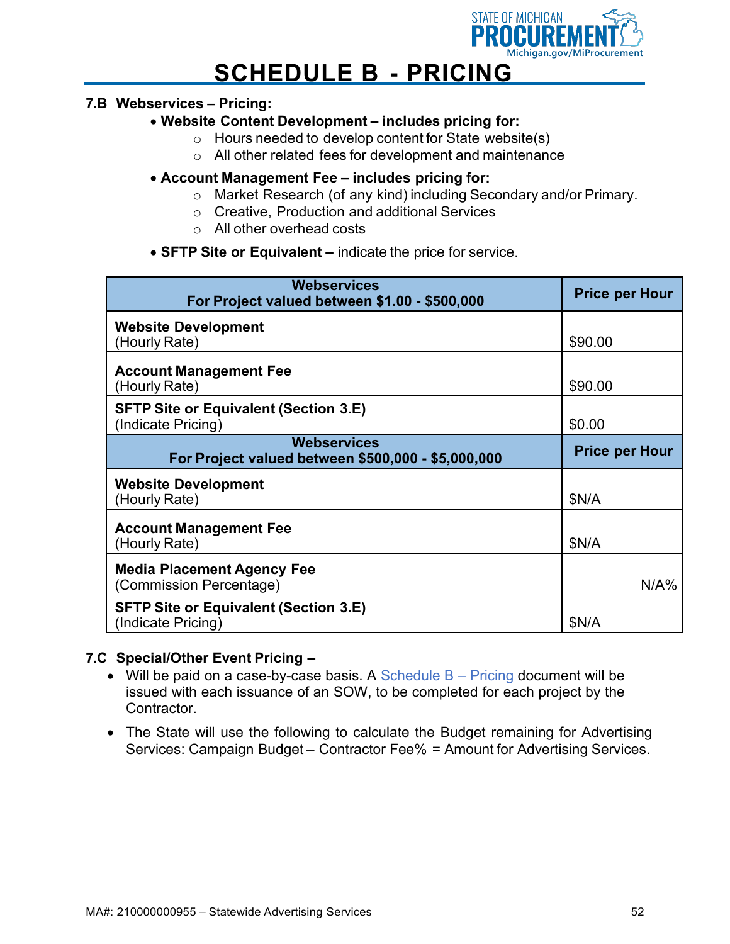

### **SCHEDULE B - PRICING**

#### **7.B Webservices – Pricing:**

#### • **Website Content Development – includes pricing for:**

- o Hours needed to develop content for State website(s)
- o All other related fees for development and maintenance

#### • **Account Management Fee – includes pricing for:**

- o Market Research (of any kind) including Secondary and/or Primary.
- o Creative, Production and additional Services
- o All other overhead costs
- **SFTP Site or Equivalent –** indicate the price for service.

| <b>Webservices</b><br>For Project valued between \$1.00 - \$500,000      | <b>Price per Hour</b> |
|--------------------------------------------------------------------------|-----------------------|
| <b>Website Development</b><br>(Hourly Rate)                              | \$90.00               |
| <b>Account Management Fee</b><br>(Hourly Rate)                           | \$90.00               |
| <b>SFTP Site or Equivalent (Section 3.E)</b><br>(Indicate Pricing)       | \$0.00                |
| <b>Webservices</b><br>For Project valued between \$500,000 - \$5,000,000 | <b>Price per Hour</b> |
| <b>Website Development</b><br>(Hourly Rate)                              | \$N/A                 |
| <b>Account Management Fee</b><br>(Hourly Rate)                           | \$N/A                 |
| <b>Media Placement Agency Fee</b><br>(Commission Percentage)             | N/A%                  |
| <b>SFTP Site or Equivalent (Section 3.E)</b><br>(Indicate Pricing)       | \$N/A                 |

#### **7.C Special/Other Event Pricing –**

- Will be paid on a case-by-case basis. A Schedule  $B P$ ricing document will be issued with each issuance of an SOW, to be completed for each project by the Contractor.
- The State will use the following to calculate the Budget remaining for Advertising Services: Campaign Budget – Contractor Fee% = Amount for Advertising Services.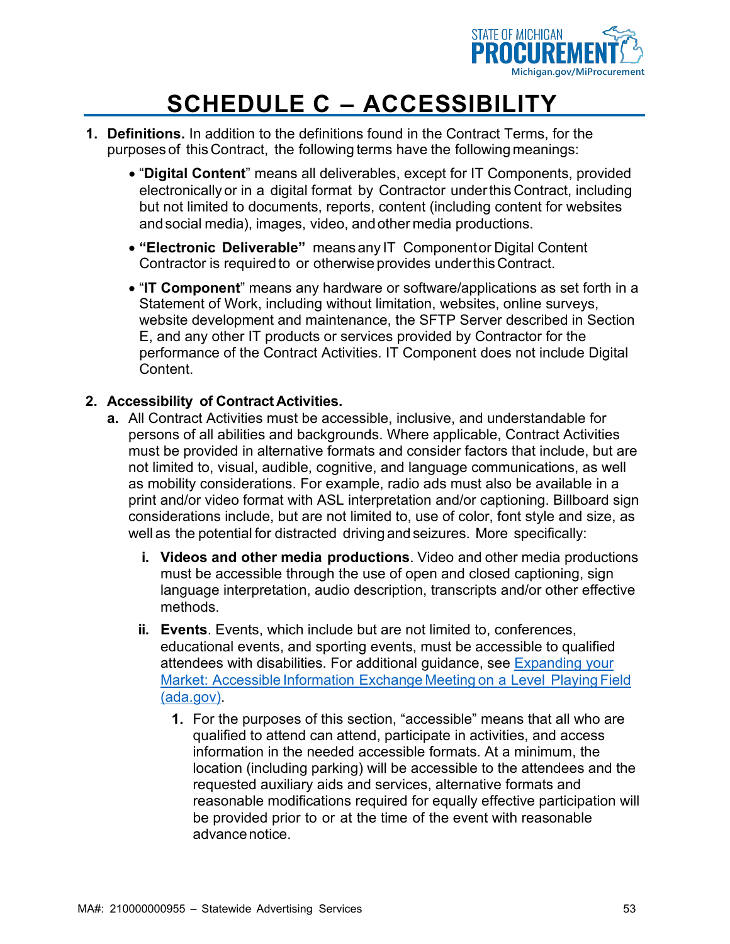

- **1. Definitions.** In addition to the definitions found in the Contract Terms, for the purposes of this Contract, the following terms have the following meanings:
	- "**Digital Content**" means all deliverables, except for IT Components, provided electronically or in a digital format by Contractor underthis Contract, including but not limited to documents, reports, content (including content for websites andsocial media), images, video, andother media productions.
	- **"Electronic Deliverable"** means any IT Componentor Digital Content Contractor is required to or otherwise provides underthisContract.
	- "**IT Component**" means any hardware or software/applications as set forth in a Statement of Work, including without limitation, websites, online surveys, website development and maintenance, the SFTP Server described in Section E, and any other IT products or services provided by Contractor for the performance of the Contract Activities. IT Component does not include Digital Content.

#### **2. Accessibility of Contract Activities.**

- **a.** All Contract Activities must be accessible, inclusive, and understandable for persons of all abilities and backgrounds. Where applicable, Contract Activities must be provided in alternative formats and consider factors that include, but are not limited to, visual, audible, cognitive, and language communications, as well as mobility considerations. For example, radio ads must also be available in a print and/or video format with ASL interpretation and/or captioning. Billboard sign considerations include, but are not limited to, use of color, font style and size, as well as the potential for distracted driving and seizures. More specifically:
	- **i. Videos and other media productions**. Video and other media productions must be accessible through the use of open and closed captioning, sign language interpretation, audio description, transcripts and/or other effective methods.
	- **ii. Events**. Events, which include but are not limited to, conferences, educational events, and sporting events, must be accessible to qualified attendees with disabilities. For additional guidance, see [Expanding your](https://www.ada.gov/business/accessiblemtg.htm) Market: Accessible [Information](https://www.ada.gov/business/accessiblemtg.htm) Exchange Meeting on a Level Playing Field [\(ada.gov\).](https://www.ada.gov/business/accessiblemtg.htm)
		- **1.** For the purposes of this section, "accessible" means that all who are qualified to attend can attend, participate in activities, and access information in the needed accessible formats. At a minimum, the location (including parking) will be accessible to the attendees and the requested auxiliary aids and services, alternative formats and reasonable modifications required for equally effective participation will be provided prior to or at the time of the event with reasonable advancenotice.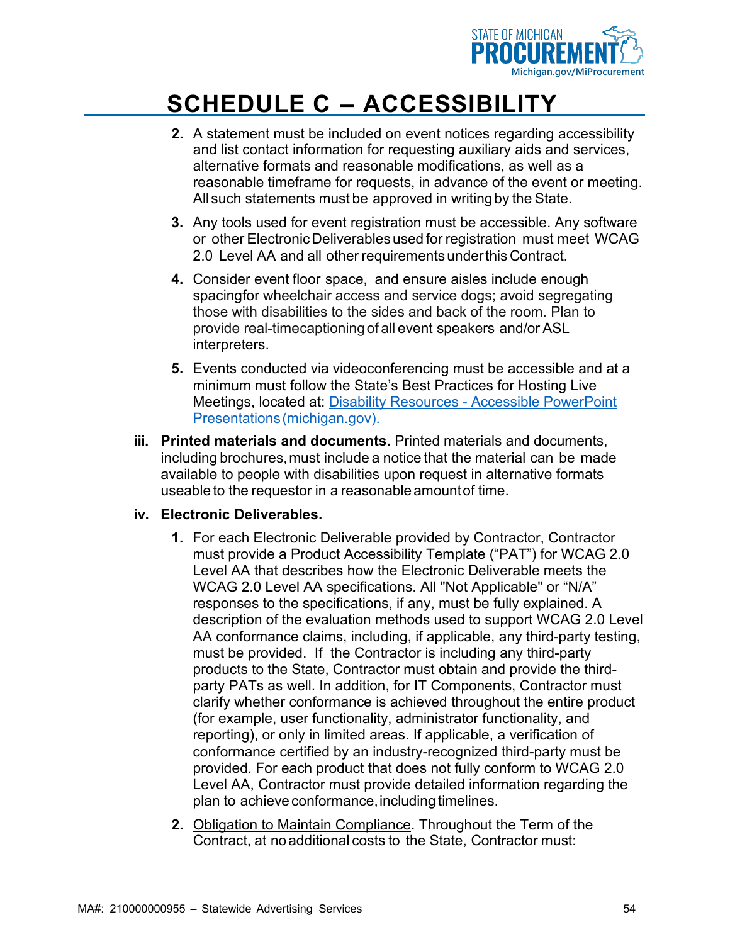

- **2.** A statement must be included on event notices regarding accessibility and list contact information for requesting auxiliary aids and services, alternative formats and reasonable modifications, as well as a reasonable timeframe for requests, in advance of the event or meeting. All such statements must be approved in writingby the State.
- **3.** Any tools used for event registration must be accessible. Any software or other ElectronicDeliverables used for registration must meet WCAG 2.0 Level AA and all other requirements underthis Contract.
- **4.** Consider event floor space, and ensure aisles include enough spacingfor wheelchair access and service dogs; avoid segregating those with disabilities to the sides and back of the room. Plan to provide real-timecaptioningof all event speakers and/or ASL interpreters.
- **5.** Events conducted via videoconferencing must be accessible and at a minimum must follow the State's Best Practices for Hosting Live Meetings, located at: Disability Resources - [Accessible PowerPoint](https://www.michigan.gov/disabilityresources/0%2C4563%2C7-223-40877-145234--%2C00.html) [Presentations\(michigan.gov\).](https://www.michigan.gov/disabilityresources/0%2C4563%2C7-223-40877-145234--%2C00.html)
- **iii. Printed materials and documents.** Printed materials and documents, including brochures, must include a notice that the material can be made available to people with disabilities upon request in alternative formats useable to the requestor in a reasonable amountof time.

#### **iv. Electronic Deliverables.**

- **1.** For each Electronic Deliverable provided by Contractor, Contractor must provide a Product Accessibility Template ("PAT") for WCAG 2.0 Level AA that describes how the Electronic Deliverable meets the WCAG 2.0 Level AA specifications. All "Not Applicable" or "N/A" responses to the specifications, if any, must be fully explained. A description of the evaluation methods used to support WCAG 2.0 Level AA conformance claims, including, if applicable, any third-party testing, must be provided. If the Contractor is including any third-party products to the State, Contractor must obtain and provide the thirdparty PATs as well. In addition, for IT Components, Contractor must clarify whether conformance is achieved throughout the entire product (for example, user functionality, administrator functionality, and reporting), or only in limited areas. If applicable, a verification of conformance certified by an industry-recognized third-party must be provided. For each product that does not fully conform to WCAG 2.0 Level AA, Contractor must provide detailed information regarding the plan to achieve conformance, including timelines.
- **2.** Obligation to Maintain Compliance. Throughout the Term of the Contract, at no additional costs to the State, Contractor must: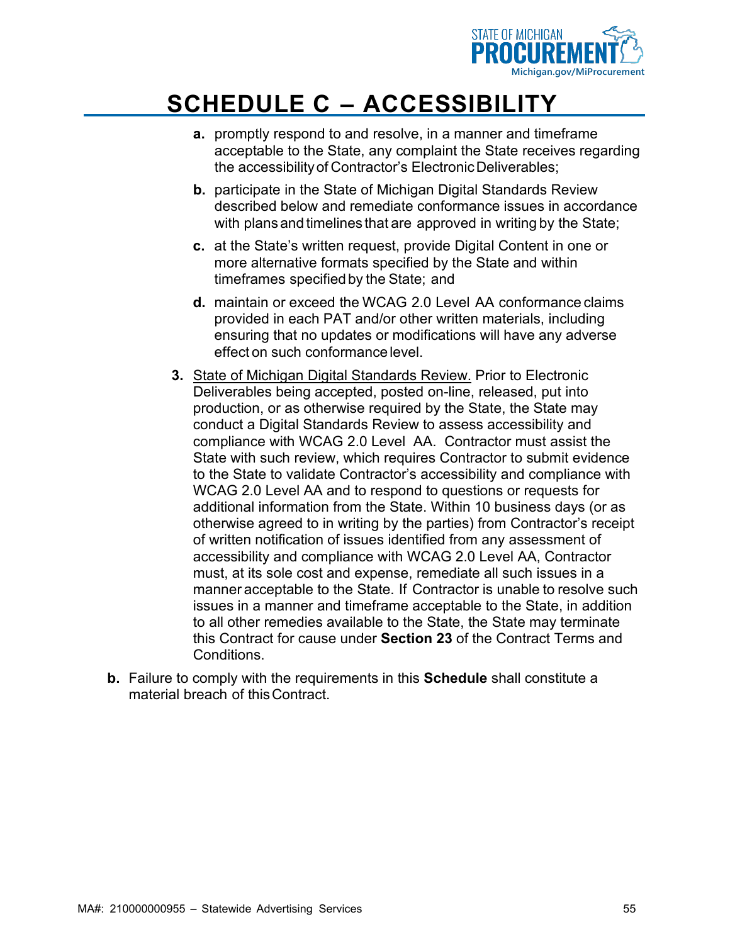

- **a.** promptly respond to and resolve, in a manner and timeframe acceptable to the State, any complaint the State receives regarding the accessibilityof Contractor's ElectronicDeliverables;
- **b.** participate in the State of Michigan Digital Standards Review described below and remediate conformance issues in accordance with plans and timelines that are approved in writing by the State;
- **c.** at the State's written request, provide Digital Content in one or more alternative formats specified by the State and within timeframes specified by the State; and
- **d.** maintain or exceed the WCAG 2.0 Level AA conformance claims provided in each PAT and/or other written materials, including ensuring that no updates or modifications will have any adverse effect on such conformance level.
- **3.** State of Michigan Digital Standards Review. Prior to Electronic Deliverables being accepted, posted on-line, released, put into production, or as otherwise required by the State, the State may conduct a Digital Standards Review to assess accessibility and compliance with WCAG 2.0 Level AA. Contractor must assist the State with such review, which requires Contractor to submit evidence to the State to validate Contractor's accessibility and compliance with WCAG 2.0 Level AA and to respond to questions or requests for additional information from the State. Within 10 business days (or as otherwise agreed to in writing by the parties) from Contractor's receipt of written notification of issues identified from any assessment of accessibility and compliance with WCAG 2.0 Level AA, Contractor must, at its sole cost and expense, remediate all such issues in a manner acceptable to the State. If Contractor is unable to resolve such issues in a manner and timeframe acceptable to the State, in addition to all other remedies available to the State, the State may terminate this Contract for cause under **Section 23** of the Contract Terms and **Conditions**
- **b.** Failure to comply with the requirements in this **Schedule** shall constitute a material breach of thisContract.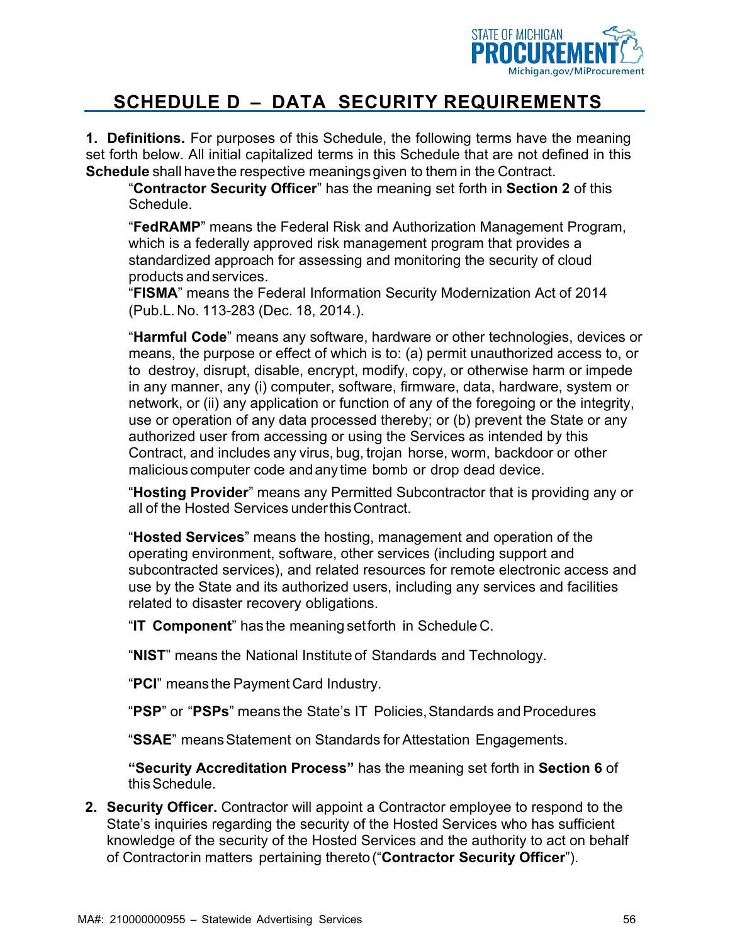

**1. Definitions.** For purposes of this Schedule, the following terms have the meaning set forth below. All initial capitalized terms in this Schedule that are not defined in this **Schedule** shall have the respective meanings given to them in the Contract.

"**Contractor Security Officer**" has the meaning set forth in **Section 2** of this Schedule.

"**FedRAMP**" means the Federal Risk and Authorization Management Program, which is a federally approved risk management program that provides a standardized approach for assessing and monitoring the security of cloud products andservices.

"**FISMA**" means the Federal Information Security Modernization Act of 2014 (Pub.L. No. 113-283 (Dec. 18, 2014.).

"**Harmful Code**" means any software, hardware or other technologies, devices or means, the purpose or effect of which is to: (a) permit unauthorized access to, or to destroy, disrupt, disable, encrypt, modify, copy, or otherwise harm or impede in any manner, any (i) computer, software, firmware, data, hardware, system or network, or (ii) any application or function of any of the foregoing or the integrity, use or operation of any data processed thereby; or (b) prevent the State or any authorized user from accessing or using the Services as intended by this Contract, and includes any virus, bug, trojan horse, worm, backdoor or other malicious computer code and any time bomb or drop dead device.

"**Hosting Provider**" means any Permitted Subcontractor that is providing any or all of the Hosted Services underthisContract.

"**Hosted Services**" means the hosting, management and operation of the operating environment, software, other services (including support and subcontracted services), and related resources for remote electronic access and use by the State and its authorized users, including any services and facilities related to disaster recovery obligations.

"**IT Component**" has the meaning setforth in Schedule C.

"**NIST**" means the National Institute of Standards and Technology.

"**PCI**" meansthe Payment Card Industry.

"PSP" or "PSPs" means the State's IT Policies, Standards and Procedures

"**SSAE**" meansStatement on Standards for Attestation Engagements.

**"Security Accreditation Process"** has the meaning set forth in **Section 6** of this Schedule.

**2. Security Officer.** Contractor will appoint a Contractor employee to respond to the State's inquiries regarding the security of the Hosted Services who has sufficient knowledge of the security of the Hosted Services and the authority to act on behalf of Contractorin matters pertaining thereto("**Contractor Security Officer**").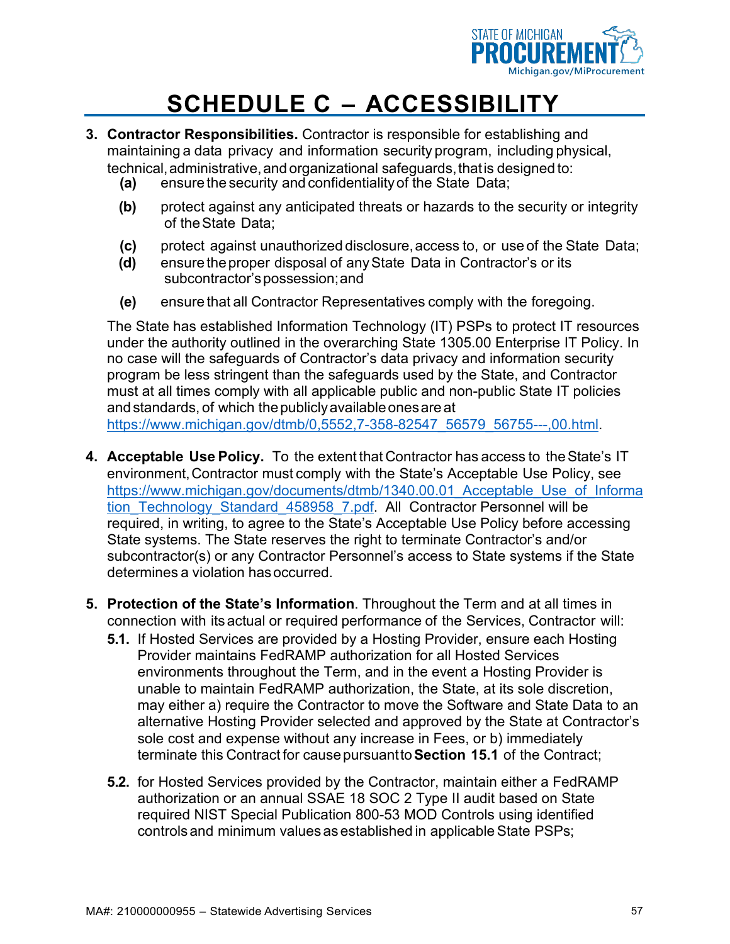

- **3. Contractor Responsibilities.** Contractor is responsible for establishing and maintaining a data privacy and information security program, including physical, technical, administrative, and organizational safeguards, that is designed to:
	- **(a)** ensure the security and confidentialityof the State Data;
	- **(b)** protect against any anticipated threats or hazards to the security or integrity of theState Data;
	- **(c)** protect against unauthorized disclosure,access to, or use of the State Data;
	- **(d)** ensure theproper disposal of anyState Data in Contractor's or its subcontractor'spossession;and
	- **(e)** ensure that all Contractor Representatives comply with the foregoing.

The State has established Information Technology (IT) PSPs to protect IT resources under the authority outlined in the overarching State 1305.00 Enterprise IT Policy. In no case will the safeguards of Contractor's data privacy and information security program be less stringent than the safeguards used by the State, and Contractor must at all times comply with all applicable public and non-public State IT policies andstandards, of which thepubliclyavailableonesareat [https://www.michigan.gov/dtmb/0,5552,7-358-82547\\_56579\\_56755---,00.html.](https://www.michigan.gov/dtmb/0%2C5552%2C7-358-82547_56579_56755---%2C00.html)

- **4. Acceptable Use Policy.** To the extent that Contractor has access to theState's IT environment,Contractor must comply with the State's Acceptable Use Policy, see https://www.michigan.gov/documents/dtmb/1340.00.01 Acceptable Use of Informa tion Technology Standard 458958 7.pdf. All Contractor Personnel will be required, in writing, to agree to the State's Acceptable Use Policy before accessing State systems. The State reserves the right to terminate Contractor's and/or subcontractor(s) or any Contractor Personnel's access to State systems if the State determines a violation hasoccurred.
- **5. Protection of the State's Information**. Throughout the Term and at all times in connection with its actual or required performance of the Services, Contractor will:
	- **5.1.** If Hosted Services are provided by a Hosting Provider, ensure each Hosting Provider maintains FedRAMP authorization for all Hosted Services environments throughout the Term, and in the event a Hosting Provider is unable to maintain FedRAMP authorization, the State, at its sole discretion, may either a) require the Contractor to move the Software and State Data to an alternative Hosting Provider selected and approved by the State at Contractor's sole cost and expense without any increase in Fees, or b) immediately terminate this Contract for causepursuantto**Section 15.1** of the Contract;
	- **5.2.** for Hosted Services provided by the Contractor, maintain either a FedRAMP authorization or an annual SSAE 18 SOC 2 Type II audit based on State required NIST Special Publication 800-53 MOD Controls using identified controls and minimum values as established in applicable State PSPs;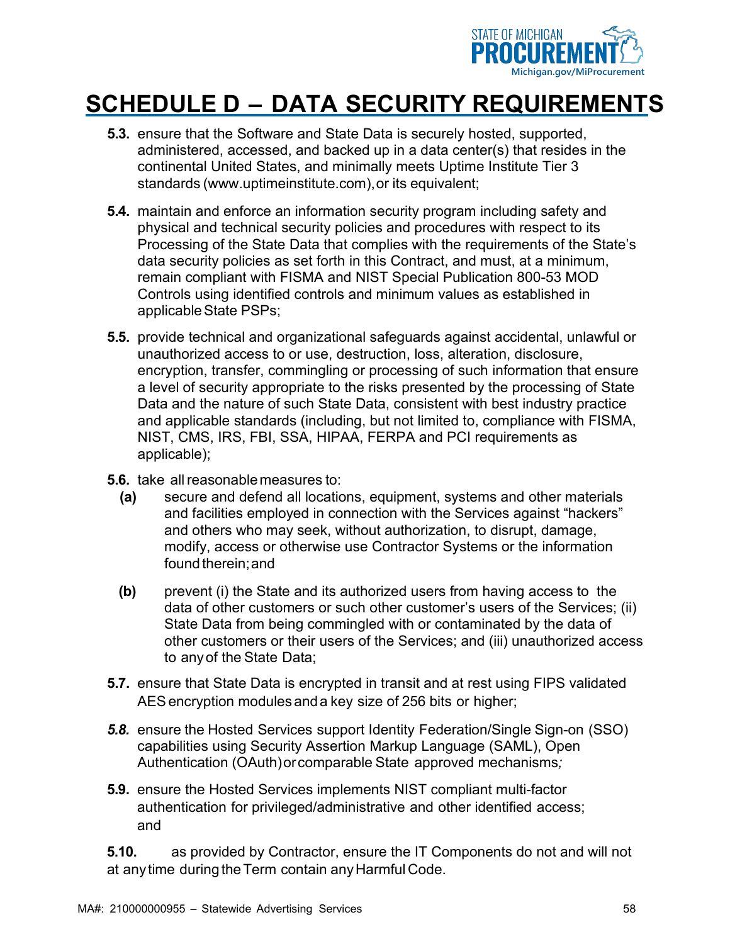

- **5.3.** ensure that the Software and State Data is securely hosted, supported, administered, accessed, and backed up in a data center(s) that resides in the continental United States, and minimally meets Uptime Institute Tier 3 standards [\(www.uptimeinstitute.com\)](http://www.uptimeinstitute.com/),or its equivalent;
- **5.4.** maintain and enforce an information security program including safety and physical and technical security policies and procedures with respect to its Processing of the State Data that complies with the requirements of the State's data security policies as set forth in this Contract, and must, at a minimum, remain compliant with FISMA and NIST Special Publication 800-53 MOD Controls using identified controls and minimum values as established in applicableState PSPs;
- **5.5.** provide technical and organizational safeguards against accidental, unlawful or unauthorized access to or use, destruction, loss, alteration, disclosure, encryption, transfer, commingling or processing of such information that ensure a level of security appropriate to the risks presented by the processing of State Data and the nature of such State Data, consistent with best industry practice and applicable standards (including, but not limited to, compliance with FISMA, NIST, CMS, IRS, FBI, SSA, HIPAA, FERPA and PCI requirements as applicable);
- **5.6.** take allreasonablemeasures to:
	- **(a)** secure and defend all locations, equipment, systems and other materials and facilities employed in connection with the Services against "hackers" and others who may seek, without authorization, to disrupt, damage, modify, access or otherwise use Contractor Systems or the information found therein; and
	- **(b)** prevent (i) the State and its authorized users from having access to the data of other customers or such other customer's users of the Services; (ii) State Data from being commingled with or contaminated by the data of other customers or their users of the Services; and (iii) unauthorized access to anyof the State Data;
- **5.7.** ensure that State Data is encrypted in transit and at rest using FIPS validated AESencryption modulesanda key size of 256 bits or higher;
- *5.8.* ensure the Hosted Services support Identity Federation/Single Sign-on (SSO) capabilities using Security Assertion Markup Language (SAML), Open Authentication (OAuth)orcomparable State approved mechanisms*;*
- **5.9.** ensure the Hosted Services implements NIST compliant multi-factor authentication for privileged/administrative and other identified access; and

**5.10.** as provided by Contractor, ensure the IT Components do not and will not at any time during the Term contain any Harmful Code.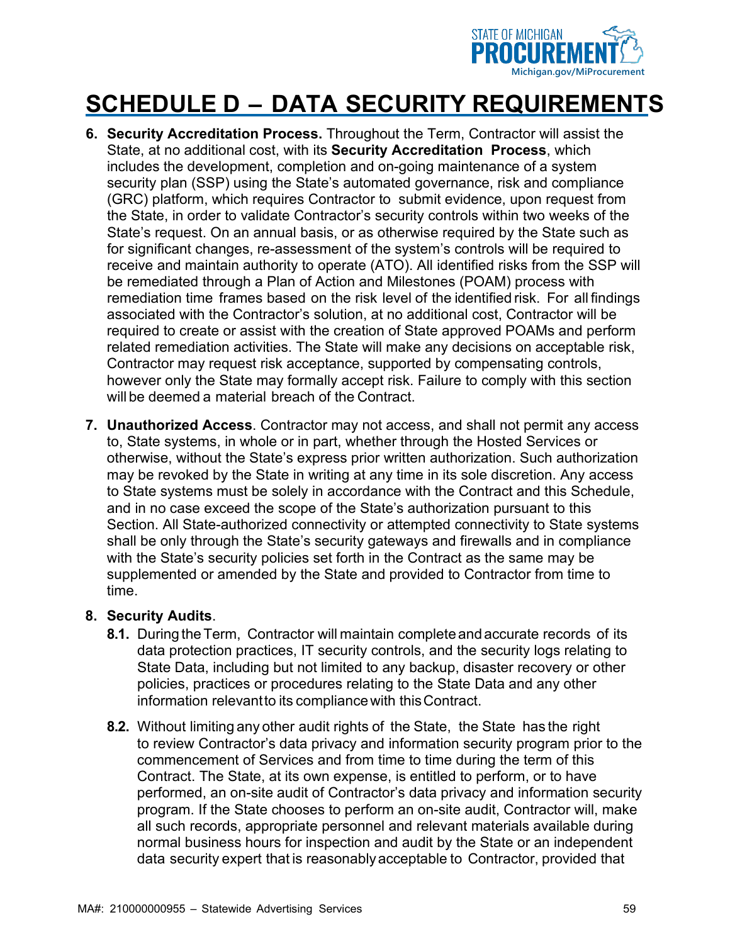

- **6. Security Accreditation Process.** Throughout the Term, Contractor will assist the State, at no additional cost, with its **Security Accreditation Process**, which includes the development, completion and on-going maintenance of a system security plan (SSP) using the State's automated governance, risk and compliance (GRC) platform, which requires Contractor to submit evidence, upon request from the State, in order to validate Contractor's security controls within two weeks of the State's request. On an annual basis, or as otherwise required by the State such as for significant changes, re-assessment of the system's controls will be required to receive and maintain authority to operate (ATO). All identified risks from the SSP will be remediated through a Plan of Action and Milestones (POAM) process with remediation time frames based on the risk level of the identified risk. For all findings associated with the Contractor's solution, at no additional cost, Contractor will be required to create or assist with the creation of State approved POAMs and perform related remediation activities. The State will make any decisions on acceptable risk, Contractor may request risk acceptance, supported by compensating controls, however only the State may formally accept risk. Failure to comply with this section will be deemed a material breach of the Contract.
- **7. Unauthorized Access**. Contractor may not access, and shall not permit any access to, State systems, in whole or in part, whether through the Hosted Services or otherwise, without the State's express prior written authorization. Such authorization may be revoked by the State in writing at any time in its sole discretion. Any access to State systems must be solely in accordance with the Contract and this Schedule, and in no case exceed the scope of the State's authorization pursuant to this Section. All State-authorized connectivity or attempted connectivity to State systems shall be only through the State's security gateways and firewalls and in compliance with the State's security policies set forth in the Contract as the same may be supplemented or amended by the State and provided to Contractor from time to time.

#### **8. Security Audits**.

- **8.1.** During the Term, Contractor will maintain complete and accurate records of its data protection practices, IT security controls, and the security logs relating to State Data, including but not limited to any backup, disaster recovery or other policies, practices or procedures relating to the State Data and any other information relevantto its compliancewith thisContract.
- **8.2.** Without limiting any other audit rights of the State, the State has the right to review Contractor's data privacy and information security program prior to the commencement of Services and from time to time during the term of this Contract. The State, at its own expense, is entitled to perform, or to have performed, an on-site audit of Contractor's data privacy and information security program. If the State chooses to perform an on-site audit, Contractor will, make all such records, appropriate personnel and relevant materials available during normal business hours for inspection and audit by the State or an independent data security expert that is reasonablyacceptable to Contractor, provided that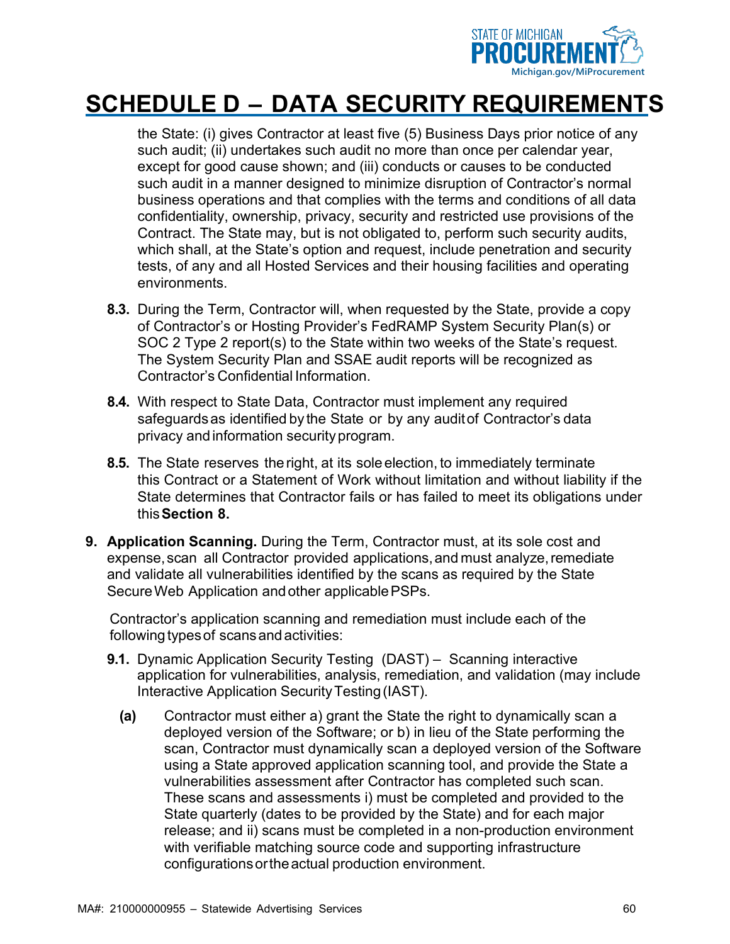

the State: (i) gives Contractor at least five (5) Business Days prior notice of any such audit; (ii) undertakes such audit no more than once per calendar year, except for good cause shown; and (iii) conducts or causes to be conducted such audit in a manner designed to minimize disruption of Contractor's normal business operations and that complies with the terms and conditions of all data confidentiality, ownership, privacy, security and restricted use provisions of the Contract. The State may, but is not obligated to, perform such security audits, which shall, at the State's option and request, include penetration and security tests, of any and all Hosted Services and their housing facilities and operating environments.

- **8.3.** During the Term, Contractor will, when requested by the State, provide a copy of Contractor's or Hosting Provider's FedRAMP System Security Plan(s) or SOC 2 Type 2 report(s) to the State within two weeks of the State's request. The System Security Plan and SSAE audit reports will be recognized as Contractor's Confidential Information.
- **8.4.** With respect to State Data, Contractor must implement any required safeguards as identified by the State or by any audit of Contractor's data privacy andinformation securityprogram.
- **8.5.** The State reserves the right, at its sole election, to immediately terminate this Contract or a Statement of Work without limitation and without liability if the State determines that Contractor fails or has failed to meet its obligations under this**Section 8.**
- **9. Application Scanning.** During the Term, Contractor must, at its sole cost and expense, scan all Contractor provided applications, and must analyze, remediate and validate all vulnerabilities identified by the scans as required by the State SecureWeb Application andother applicablePSPs.

Contractor's application scanning and remediation must include each of the following types of scans and activities:

- **9.1.** Dynamic Application Security Testing (DAST) Scanning interactive application for vulnerabilities, analysis, remediation, and validation (may include Interactive Application Security Testing (IAST).
	- **(a)** Contractor must either a) grant the State the right to dynamically scan a deployed version of the Software; or b) in lieu of the State performing the scan, Contractor must dynamically scan a deployed version of the Software using a State approved application scanning tool, and provide the State a vulnerabilities assessment after Contractor has completed such scan. These scans and assessments i) must be completed and provided to the State quarterly (dates to be provided by the State) and for each major release; and ii) scans must be completed in a non-production environment with verifiable matching source code and supporting infrastructure configurationsortheactual production environment.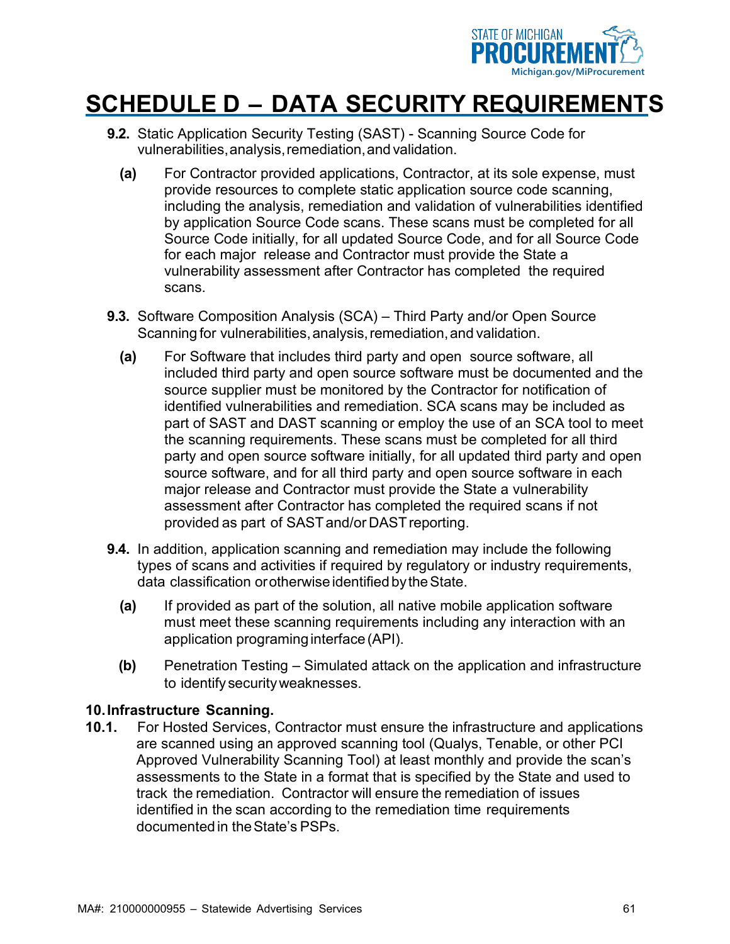

- **9.2.** Static Application Security Testing (SAST) Scanning Source Code for vulnerabilities,analysis,remediation,and validation.
	- **(a)** For Contractor provided applications, Contractor, at its sole expense, must provide resources to complete static application source code scanning, including the analysis, remediation and validation of vulnerabilities identified by application Source Code scans. These scans must be completed for all Source Code initially, for all updated Source Code, and for all Source Code for each major release and Contractor must provide the State a vulnerability assessment after Contractor has completed the required scans.
- **9.3.** Software Composition Analysis (SCA) Third Party and/or Open Source Scanning for vulnerabilities, analysis, remediation, and validation.
	- **(a)** For Software that includes third party and open source software, all included third party and open source software must be documented and the source supplier must be monitored by the Contractor for notification of identified vulnerabilities and remediation. SCA scans may be included as part of SAST and DAST scanning or employ the use of an SCA tool to meet the scanning requirements. These scans must be completed for all third party and open source software initially, for all updated third party and open source software, and for all third party and open source software in each major release and Contractor must provide the State a vulnerability assessment after Contractor has completed the required scans if not provided as part of SASTand/or DASTreporting.
- **9.4.** In addition, application scanning and remediation may include the following types of scans and activities if required by regulatory or industry requirements, data classification orotherwise identifiedbytheState.
	- **(a)** If provided as part of the solution, all native mobile application software must meet these scanning requirements including any interaction with an application programing interface (API).
	- **(b)** Penetration Testing Simulated attack on the application and infrastructure to identify securityweaknesses.

#### **10.Infrastructure Scanning.**

**10.1.** For Hosted Services, Contractor must ensure the infrastructure and applications are scanned using an approved scanning tool (Qualys, Tenable, or other PCI Approved Vulnerability Scanning Tool) at least monthly and provide the scan's assessments to the State in a format that is specified by the State and used to track the remediation. Contractor will ensure the remediation of issues identified in the scan according to the remediation time requirements documentedin theState's PSPs.